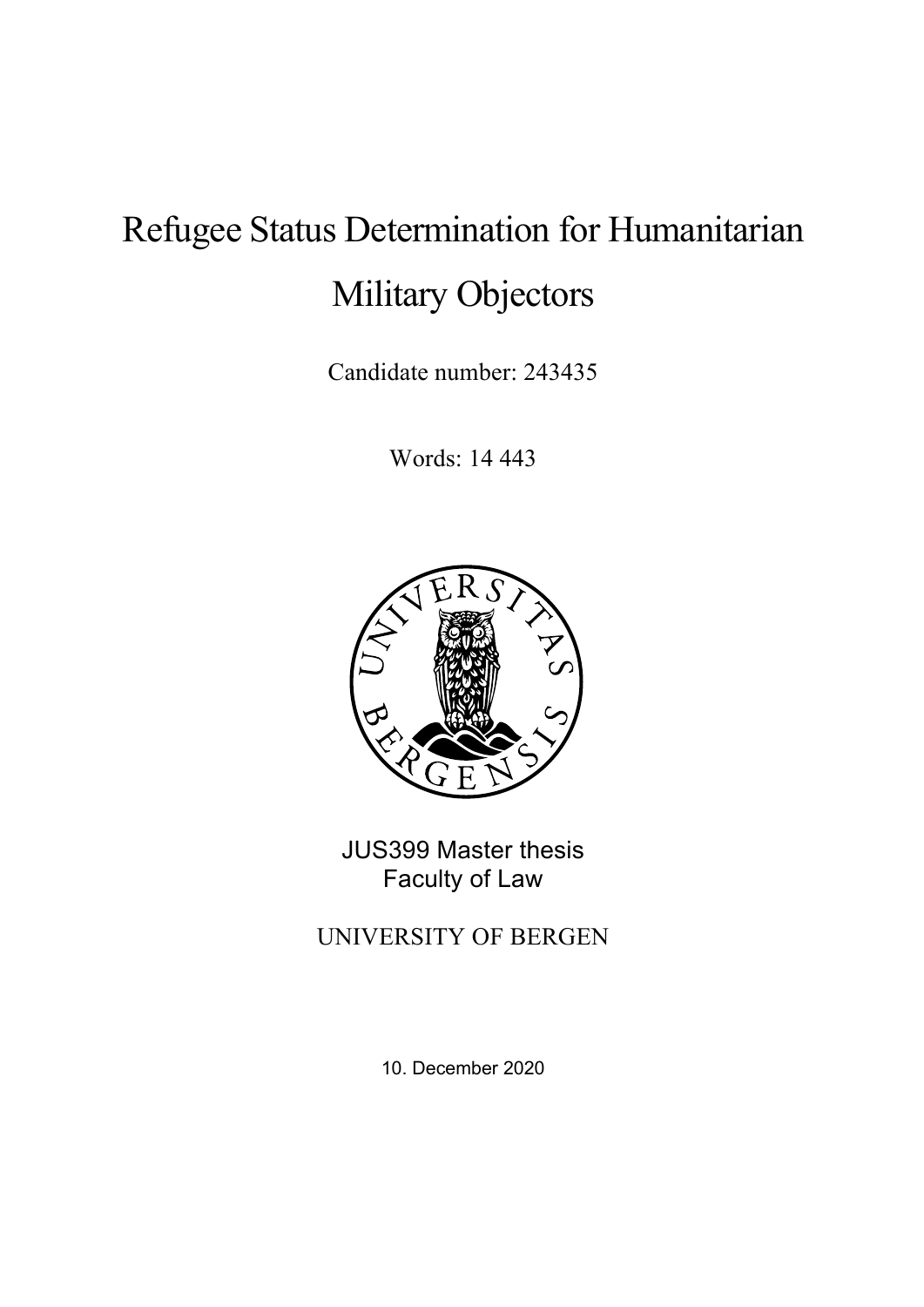# Refugee Status Determination for Humanitarian Military Objectors

Candidate number: 243435

Words: 14 443



JUS399 Master thesis Faculty of Law

UNIVERSITY OF BERGEN

10. December 2020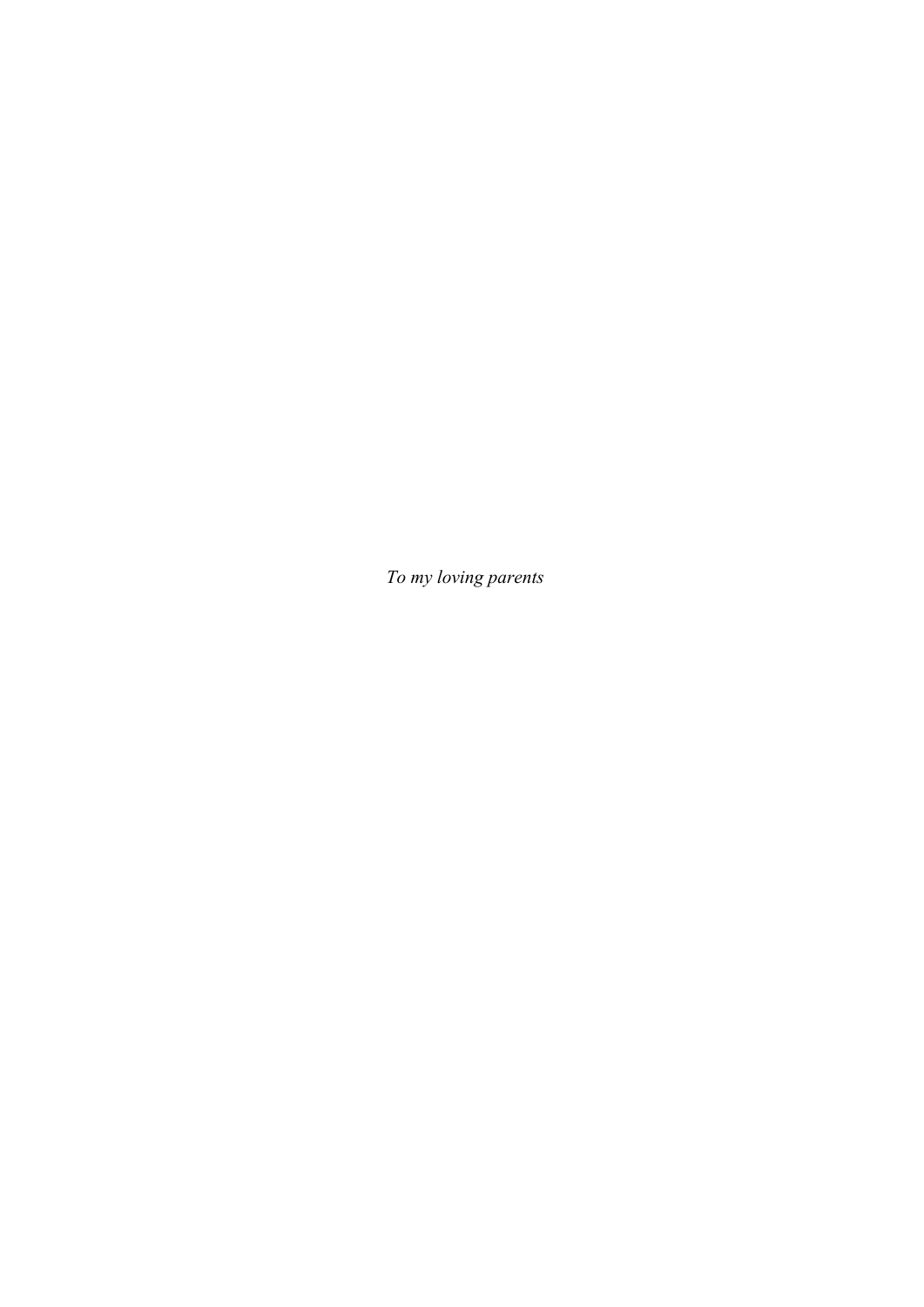*To my loving parents*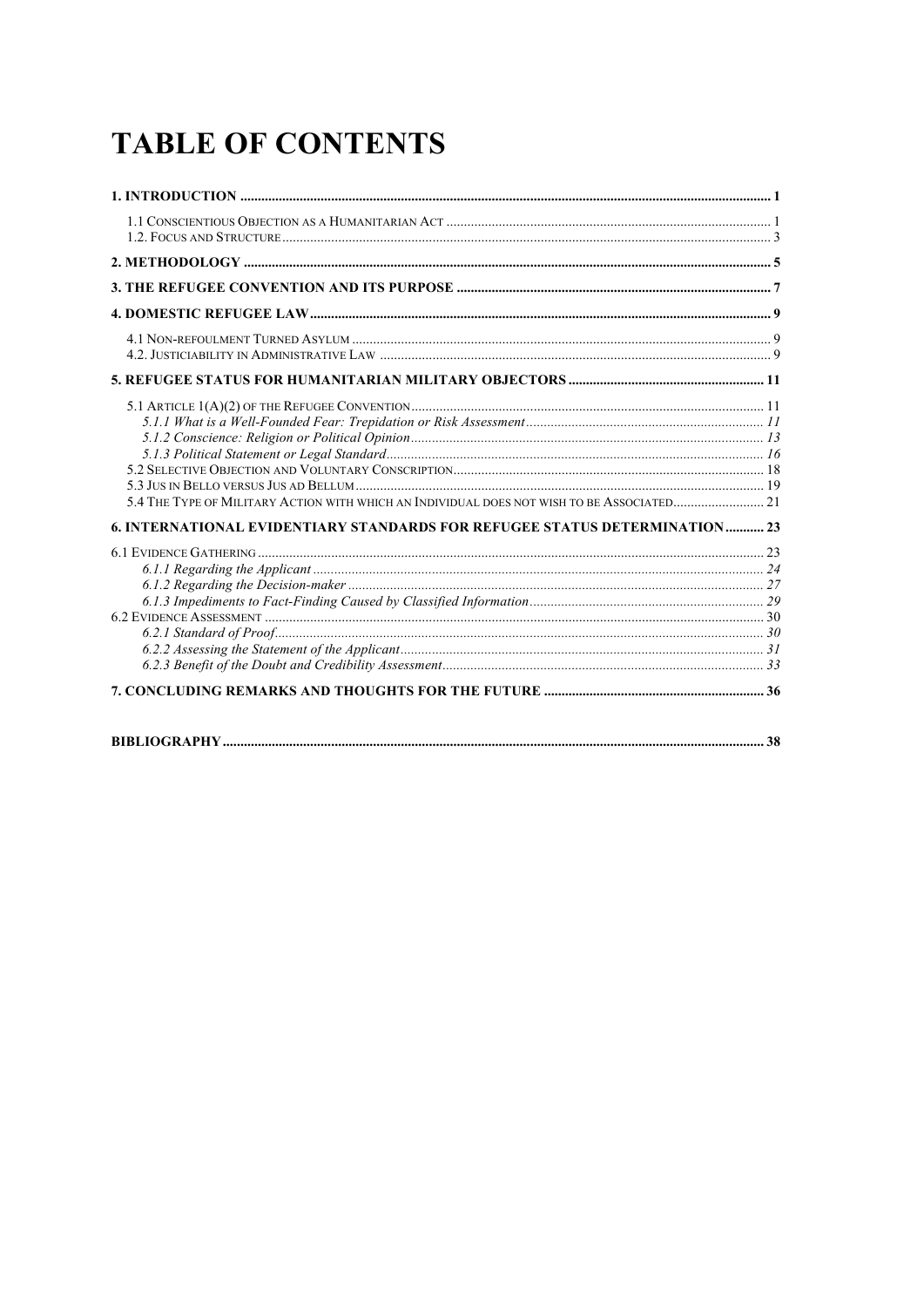## **TABLE OF CONTENTS**

| 5.4 THE TYPE OF MILITARY ACTION WITH WHICH AN INDIVIDUAL DOES NOT WISH TO BE ASSOCIATED 21 |  |
|--------------------------------------------------------------------------------------------|--|
| 6. INTERNATIONAL EVIDENTIARY STANDARDS FOR REFUGEE STATUS DETERMINATION 23                 |  |
|                                                                                            |  |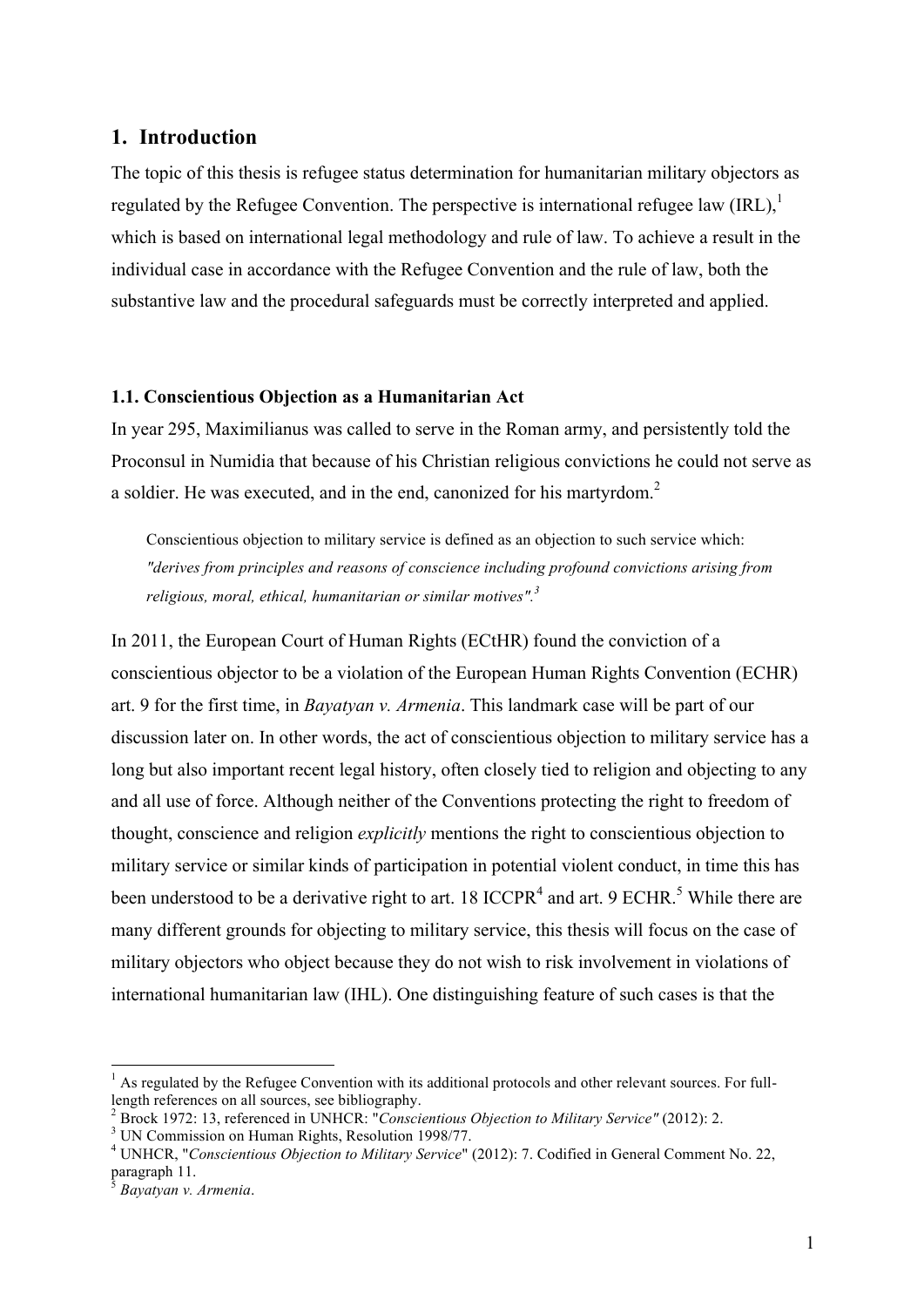#### **1. Introduction**

The topic of this thesis is refugee status determination for humanitarian military objectors as regulated by the Refugee Convention. The perspective is international refugee law  $\text{(IRL)}$ , which is based on international legal methodology and rule of law. To achieve a result in the individual case in accordance with the Refugee Convention and the rule of law, both the substantive law and the procedural safeguards must be correctly interpreted and applied.

#### **1.1. Conscientious Objection as a Humanitarian Act**

In year 295, Maximilianus was called to serve in the Roman army, and persistently told the Proconsul in Numidia that because of his Christian religious convictions he could not serve as a soldier. He was executed, and in the end, canonized for his martyrdom.<sup>2</sup>

Conscientious objection to military service is defined as an objection to such service which: *"derives from principles and reasons of conscience including profound convictions arising from religious, moral, ethical, humanitarian or similar motives".3*

In 2011, the European Court of Human Rights (ECtHR) found the conviction of a conscientious objector to be a violation of the European Human Rights Convention (ECHR) art. 9 for the first time, in *Bayatyan v. Armenia*. This landmark case will be part of our discussion later on. In other words, the act of conscientious objection to military service has a long but also important recent legal history, often closely tied to religion and objecting to any and all use of force. Although neither of the Conventions protecting the right to freedom of thought, conscience and religion *explicitly* mentions the right to conscientious objection to military service or similar kinds of participation in potential violent conduct, in time this has been understood to be a derivative right to art. 18 ICCPR<sup>4</sup> and art. 9 ECHR.<sup>5</sup> While there are many different grounds for objecting to military service, this thesis will focus on the case of military objectors who object because they do not wish to risk involvement in violations of international humanitarian law (IHL). One distinguishing feature of such cases is that the

 $<sup>1</sup>$  As regulated by the Refugee Convention with its additional protocols and other relevant sources. For full-</sup> length references on all sources, see bibliography.<br><sup>2</sup> Brock 1972: 13, referenced in UNHCR: "Conscientious Objection to Military Service" (2012): 2.

<sup>&</sup>lt;sup>3</sup> UN Commission on Human Rights, Resolution 1998/77.<br><sup>4</sup> UNHCR, "*Conscientious Objection to Military Service*" (2012): 7. Codified in General Comment No. 22, paragraph 11.

<sup>5</sup> *Bayatyan v. Armenia*.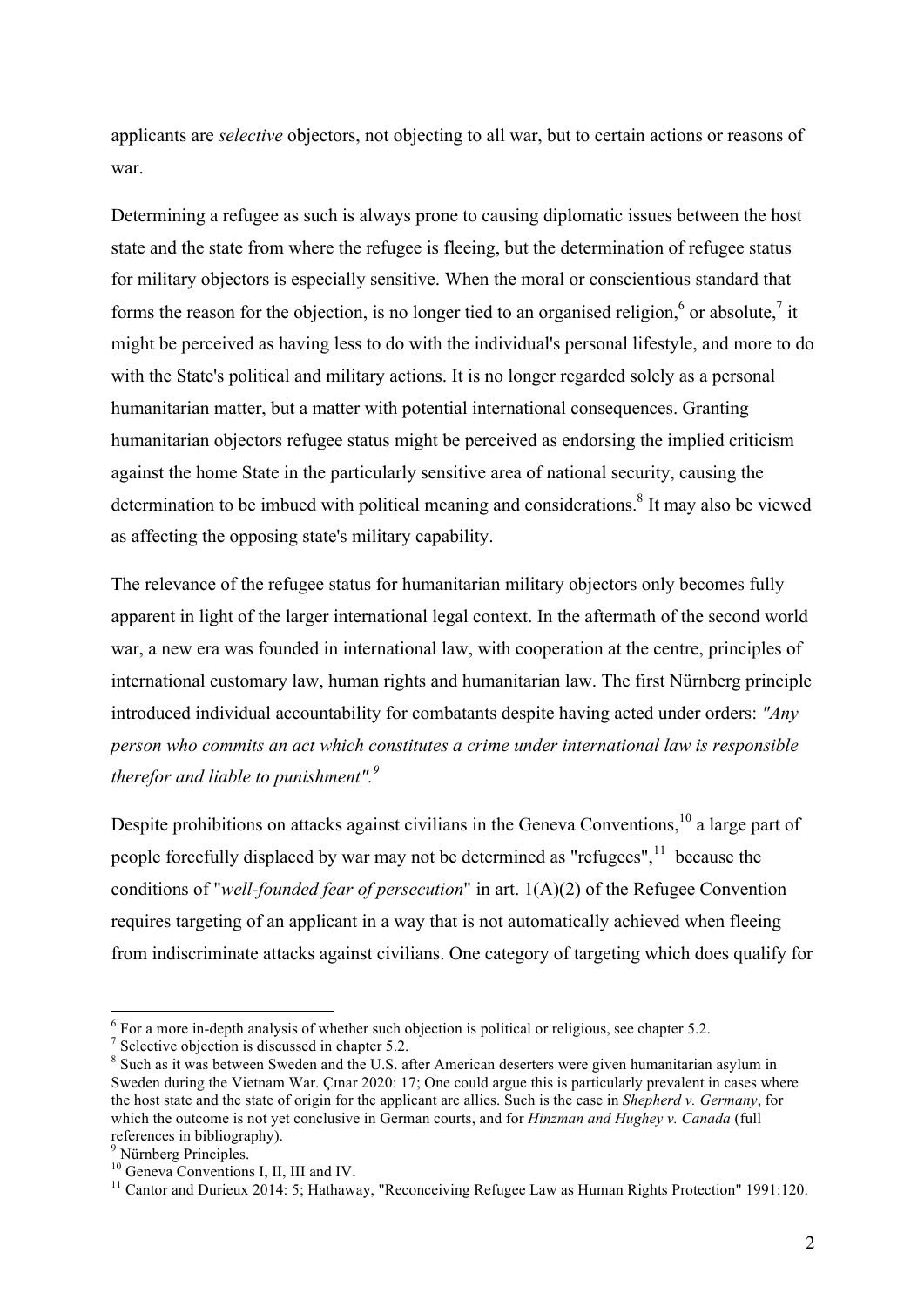applicants are *selective* objectors, not objecting to all war, but to certain actions or reasons of war.

Determining a refugee as such is always prone to causing diplomatic issues between the host state and the state from where the refugee is fleeing, but the determination of refugee status for military objectors is especially sensitive. When the moral or conscientious standard that forms the reason for the objection, is no longer tied to an organised religion, $6$  or absolute, it might be perceived as having less to do with the individual's personal lifestyle, and more to do with the State's political and military actions. It is no longer regarded solely as a personal humanitarian matter, but a matter with potential international consequences. Granting humanitarian objectors refugee status might be perceived as endorsing the implied criticism against the home State in the particularly sensitive area of national security, causing the determination to be imbued with political meaning and considerations.<sup>8</sup> It may also be viewed as affecting the opposing state's military capability.

The relevance of the refugee status for humanitarian military objectors only becomes fully apparent in light of the larger international legal context. In the aftermath of the second world war, a new era was founded in international law, with cooperation at the centre, principles of international customary law, human rights and humanitarian law. The first Nürnberg principle introduced individual accountability for combatants despite having acted under orders: *"Any person who commits an act which constitutes a crime under international law is responsible therefor and liable to punishment".<sup>9</sup>*

Despite prohibitions on attacks against civilians in the Geneva Conventions,  $^{10}$  a large part of people forcefully displaced by war may not be determined as "refugees", $<sup>11</sup>$  because the</sup> conditions of "*well-founded fear of persecution*" in art. 1(A)(2) of the Refugee Convention requires targeting of an applicant in a way that is not automatically achieved when fleeing from indiscriminate attacks against civilians. One category of targeting which does qualify for

 $\frac{6}{7}$  For a more in-depth analysis of whether such objection is political or religious, see chapter 5.2.  $\frac{7}{7}$  Selective objection is discussed in chapter 5.2.

<sup>&</sup>lt;sup>8</sup> Such as it was between Sweden and the U.S. after American deserters were given humanitarian asylum in Sweden during the Vietnam War. Cinar 2020: 17; One could argue this is particularly prevalent in cases where the host state and the state of origin for the applicant are allies. Such is the case in *Shepherd v. Germany*, for which the outcome is not yet conclusive in German courts, and for *Hinzman and Hughey v. Canada* (full references in bibliography).<br><sup>9</sup> Nürnberg Principles.

<sup>&</sup>lt;sup>10</sup> Geneva Conventions I, II, III and IV.<br><sup>11</sup> Cantor and Durieux 2014: 5; Hathaway, "Reconceiving Refugee Law as Human Rights Protection" 1991:120.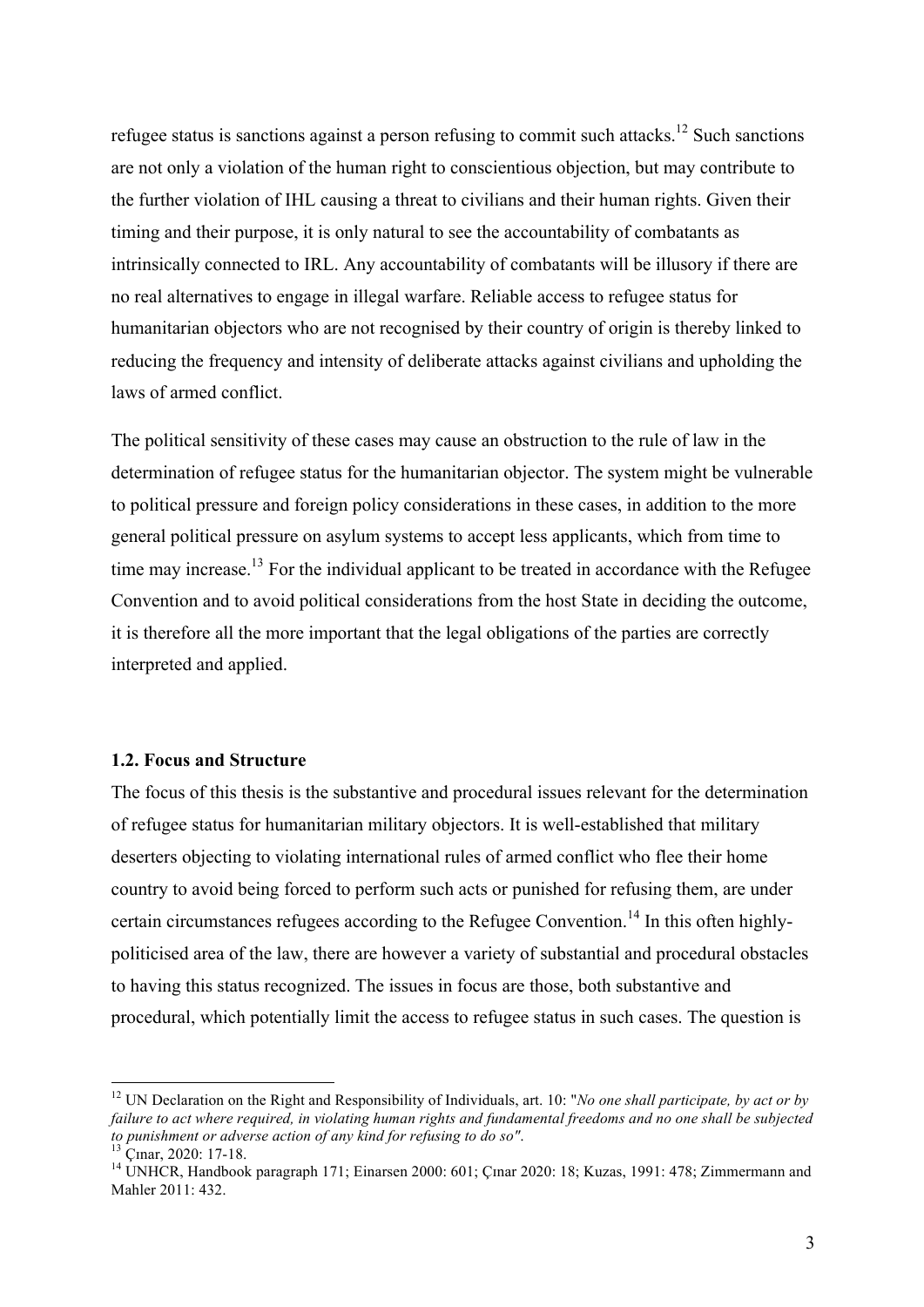refugee status is sanctions against a person refusing to commit such attacks.<sup>12</sup> Such sanctions are not only a violation of the human right to conscientious objection, but may contribute to the further violation of IHL causing a threat to civilians and their human rights. Given their timing and their purpose, it is only natural to see the accountability of combatants as intrinsically connected to IRL. Any accountability of combatants will be illusory if there are no real alternatives to engage in illegal warfare. Reliable access to refugee status for humanitarian objectors who are not recognised by their country of origin is thereby linked to reducing the frequency and intensity of deliberate attacks against civilians and upholding the laws of armed conflict.

The political sensitivity of these cases may cause an obstruction to the rule of law in the determination of refugee status for the humanitarian objector. The system might be vulnerable to political pressure and foreign policy considerations in these cases, in addition to the more general political pressure on asylum systems to accept less applicants, which from time to time may increase.<sup>13</sup> For the individual applicant to be treated in accordance with the Refugee Convention and to avoid political considerations from the host State in deciding the outcome, it is therefore all the more important that the legal obligations of the parties are correctly interpreted and applied.

#### **1.2. Focus and Structure**

The focus of this thesis is the substantive and procedural issues relevant for the determination of refugee status for humanitarian military objectors. It is well-established that military deserters objecting to violating international rules of armed conflict who flee their home country to avoid being forced to perform such acts or punished for refusing them, are under certain circumstances refugees according to the Refugee Convention.<sup>14</sup> In this often highlypoliticised area of the law, there are however a variety of substantial and procedural obstacles to having this status recognized. The issues in focus are those, both substantive and procedural, which potentially limit the access to refugee status in such cases. The question is

<sup>&</sup>lt;sup>12</sup> UN Declaration on the Right and Responsibility of Individuals, art. 10: "*No one shall participate, by act or by failure to act where required, in violating human rights and fundamental freedoms and no one shall be subjected*<br>to punishment or adverse action of any kind for refusing to do so".

<sup>&</sup>lt;sup>13</sup> Çɪnar, 2020: 17-18.<br><sup>14</sup> UNHCR, Handbook paragraph 171; Einarsen 2000: 601; Çɪnar 2020: 18; Kuzas, 1991: 478; Zimmermann and Mahler 2011: 432.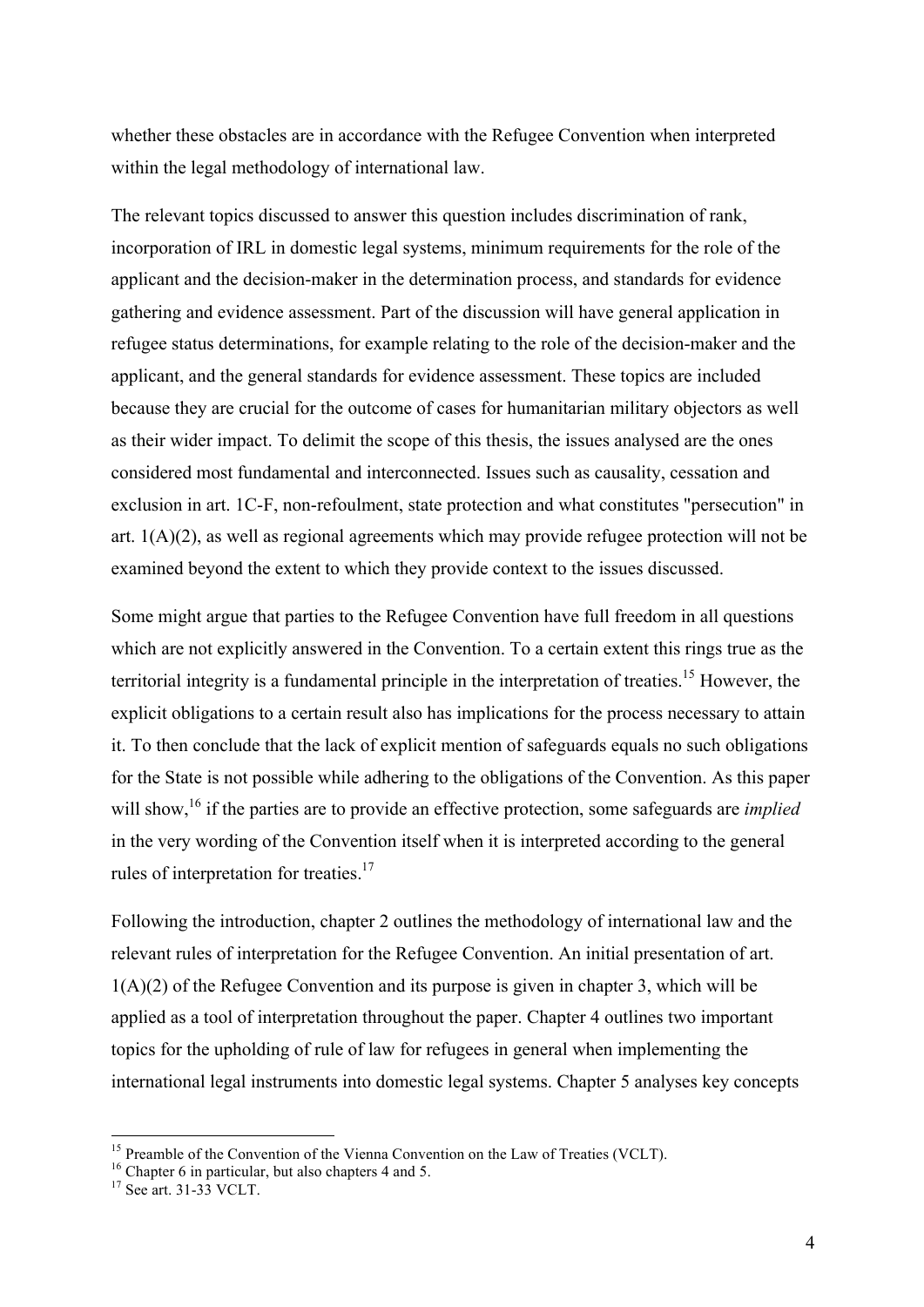whether these obstacles are in accordance with the Refugee Convention when interpreted within the legal methodology of international law.

The relevant topics discussed to answer this question includes discrimination of rank, incorporation of IRL in domestic legal systems, minimum requirements for the role of the applicant and the decision-maker in the determination process, and standards for evidence gathering and evidence assessment. Part of the discussion will have general application in refugee status determinations, for example relating to the role of the decision-maker and the applicant, and the general standards for evidence assessment. These topics are included because they are crucial for the outcome of cases for humanitarian military objectors as well as their wider impact. To delimit the scope of this thesis, the issues analysed are the ones considered most fundamental and interconnected. Issues such as causality, cessation and exclusion in art. 1C-F, non-refoulment, state protection and what constitutes "persecution" in art. 1(A)(2), as well as regional agreements which may provide refugee protection will not be examined beyond the extent to which they provide context to the issues discussed.

Some might argue that parties to the Refugee Convention have full freedom in all questions which are not explicitly answered in the Convention. To a certain extent this rings true as the territorial integrity is a fundamental principle in the interpretation of treaties.<sup>15</sup> However, the explicit obligations to a certain result also has implications for the process necessary to attain it. To then conclude that the lack of explicit mention of safeguards equals no such obligations for the State is not possible while adhering to the obligations of the Convention. As this paper will show,<sup>16</sup> if the parties are to provide an effective protection, some safeguards are *implied* in the very wording of the Convention itself when it is interpreted according to the general rules of interpretation for treaties.<sup>17</sup>

Following the introduction, chapter 2 outlines the methodology of international law and the relevant rules of interpretation for the Refugee Convention. An initial presentation of art.  $1(A)(2)$  of the Refugee Convention and its purpose is given in chapter 3, which will be applied as a tool of interpretation throughout the paper. Chapter 4 outlines two important topics for the upholding of rule of law for refugees in general when implementing the international legal instruments into domestic legal systems. Chapter 5 analyses key concepts

<sup>&</sup>lt;sup>15</sup> Preamble of the Convention of the Vienna Convention on the Law of Treaties (VCLT).<br><sup>16</sup> Chapter 6 in particular, but also chapters 4 and 5.<br><sup>17</sup> See art. 31-33 VCLT.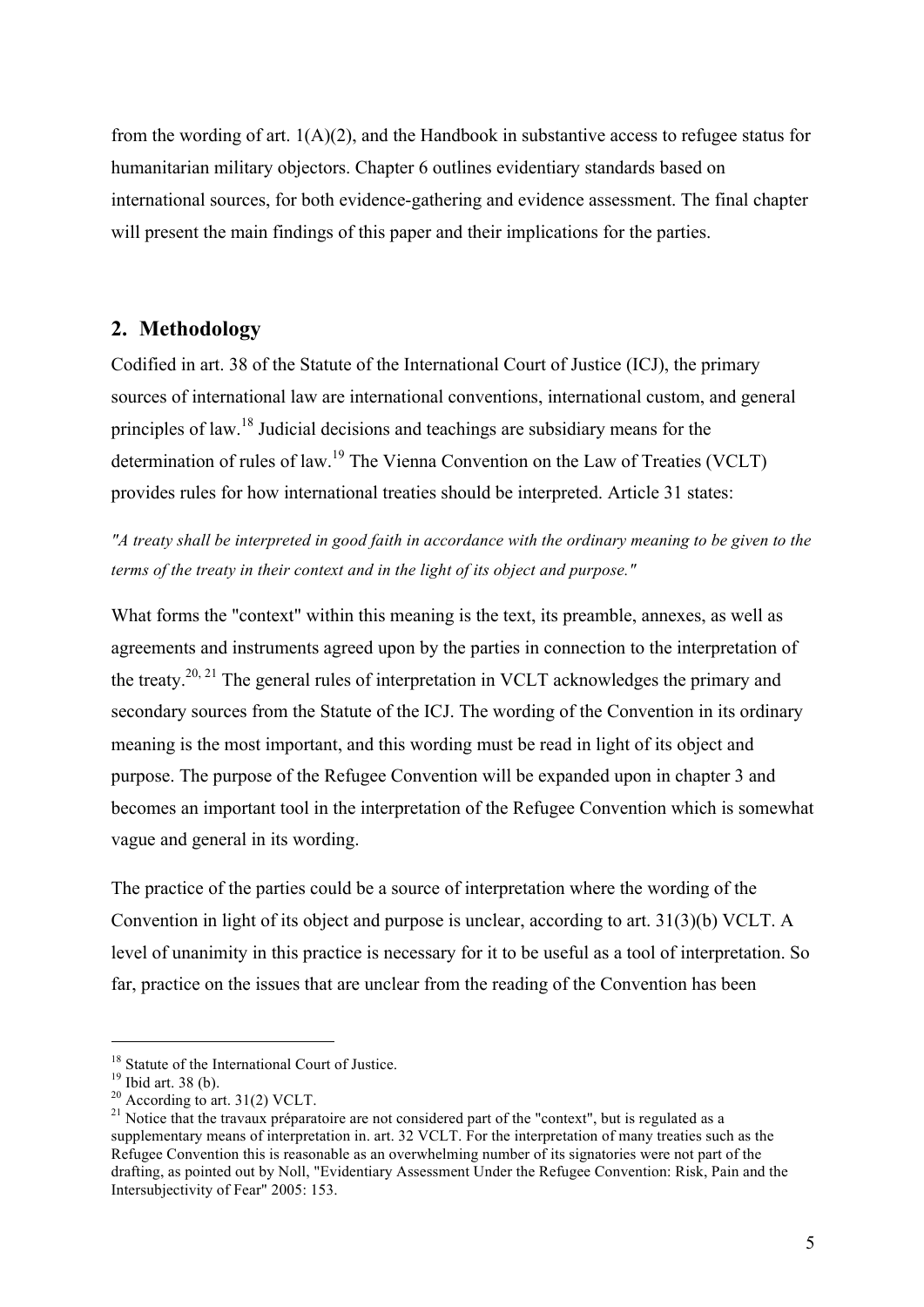from the wording of art.  $1(A)(2)$ , and the Handbook in substantive access to refugee status for humanitarian military objectors. Chapter 6 outlines evidentiary standards based on international sources, for both evidence-gathering and evidence assessment. The final chapter will present the main findings of this paper and their implications for the parties.

#### **2. Methodology**

Codified in art. 38 of the Statute of the International Court of Justice (ICJ), the primary sources of international law are international conventions, international custom, and general principles of law.<sup>18</sup> Judicial decisions and teachings are subsidiary means for the determination of rules of law.<sup>19</sup> The Vienna Convention on the Law of Treaties (VCLT) provides rules for how international treaties should be interpreted. Article 31 states:

*"A treaty shall be interpreted in good faith in accordance with the ordinary meaning to be given to the terms of the treaty in their context and in the light of its object and purpose."* 

What forms the "context" within this meaning is the text, its preamble, annexes, as well as agreements and instruments agreed upon by the parties in connection to the interpretation of the treaty.20, 21 The general rules of interpretation in VCLT acknowledges the primary and secondary sources from the Statute of the ICJ. The wording of the Convention in its ordinary meaning is the most important, and this wording must be read in light of its object and purpose. The purpose of the Refugee Convention will be expanded upon in chapter 3 and becomes an important tool in the interpretation of the Refugee Convention which is somewhat vague and general in its wording.

The practice of the parties could be a source of interpretation where the wording of the Convention in light of its object and purpose is unclear, according to art. 31(3)(b) VCLT. A level of unanimity in this practice is necessary for it to be useful as a tool of interpretation. So far, practice on the issues that are unclear from the reading of the Convention has been

<sup>&</sup>lt;sup>18</sup> Statute of the International Court of Justice.<br><sup>19</sup> Ibid art. 38 (b).<br><sup>20</sup> According to art. 31(2) VCLT.<br><sup>21</sup> Notice that the travaux préparatoire are not considered part of the "context", but is regulated as a supplementary means of interpretation in. art. 32 VCLT. For the interpretation of many treaties such as the Refugee Convention this is reasonable as an overwhelming number of its signatories were not part of the drafting, as pointed out by Noll, "Evidentiary Assessment Under the Refugee Convention: Risk, Pain and the Intersubjectivity of Fear" 2005: 153.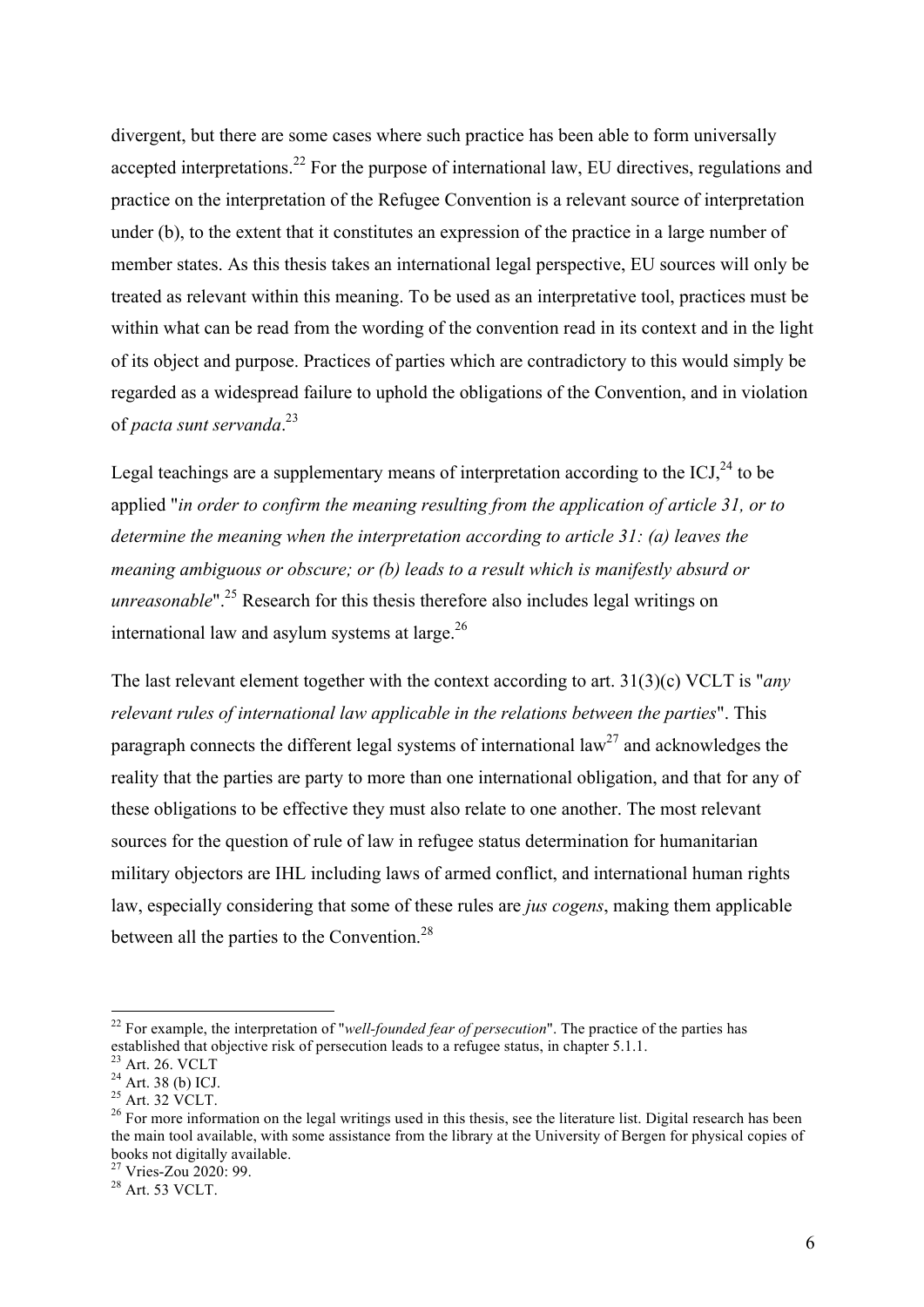divergent, but there are some cases where such practice has been able to form universally accepted interpretations.<sup>22</sup> For the purpose of international law, EU directives, regulations and practice on the interpretation of the Refugee Convention is a relevant source of interpretation under (b), to the extent that it constitutes an expression of the practice in a large number of member states. As this thesis takes an international legal perspective, EU sources will only be treated as relevant within this meaning. To be used as an interpretative tool, practices must be within what can be read from the wording of the convention read in its context and in the light of its object and purpose. Practices of parties which are contradictory to this would simply be regarded as a widespread failure to uphold the obligations of the Convention, and in violation of *pacta sunt servanda*. 23

Legal teachings are a supplementary means of interpretation according to the  $\text{ICJ}^{24}$  to be applied "*in order to confirm the meaning resulting from the application of article 31, or to determine the meaning when the interpretation according to article 31: (a) leaves the meaning ambiguous or obscure; or (b) leads to a result which is manifestly absurd or unreasonable*".<sup>25</sup> Research for this thesis therefore also includes legal writings on international law and asylum systems at large. $26$ 

The last relevant element together with the context according to art. 31(3)(c) VCLT is "*any relevant rules of international law applicable in the relations between the parties*". This paragraph connects the different legal systems of international law<sup>27</sup> and acknowledges the reality that the parties are party to more than one international obligation, and that for any of these obligations to be effective they must also relate to one another. The most relevant sources for the question of rule of law in refugee status determination for humanitarian military objectors are IHL including laws of armed conflict, and international human rights law, especially considering that some of these rules are *jus cogens*, making them applicable between all the parties to the Convention.<sup>28</sup>

<sup>27</sup> Vries-Zou 2020: 99.<br><sup>28</sup> Art. 53 VCLT.

<sup>&</sup>lt;sup>22</sup> For example, the interpretation of "*well-founded fear of persecution*". The practice of the parties has established that objective risk of persecution leads to a refugee status, in chapter 5.1.1.

<sup>&</sup>lt;sup>23</sup> Art. 26. VCLT<br><sup>24</sup> Art. 38 (b) ICJ.<br><sup>25</sup> Art. 32 VCLT.<br><sup>25</sup> For more information on the legal writings used in this thesis, see the literature list. Digital research has been the main tool available, with some assistance from the library at the University of Bergen for physical copies of books not digitally available.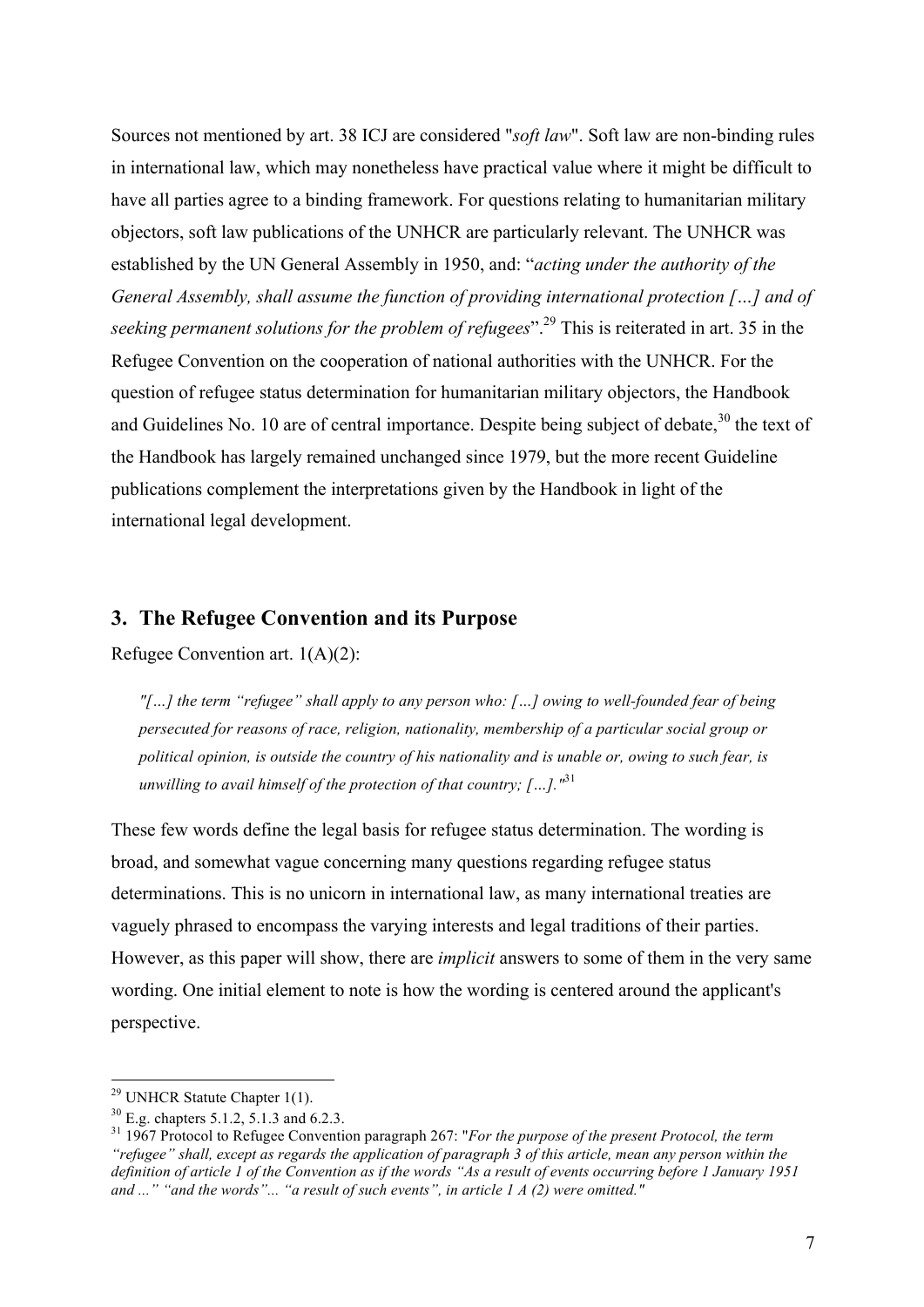Sources not mentioned by art. 38 ICJ are considered "*soft law*". Soft law are non-binding rules in international law, which may nonetheless have practical value where it might be difficult to have all parties agree to a binding framework. For questions relating to humanitarian military objectors, soft law publications of the UNHCR are particularly relevant. The UNHCR was established by the UN General Assembly in 1950, and: "*acting under the authority of the General Assembly, shall assume the function of providing international protection […] and of seeking permanent solutions for the problem of refugees*".<sup>29</sup> This is reiterated in art. 35 in the Refugee Convention on the cooperation of national authorities with the UNHCR. For the question of refugee status determination for humanitarian military objectors, the Handbook and Guidelines No. 10 are of central importance. Despite being subject of debate,  $30$  the text of the Handbook has largely remained unchanged since 1979, but the more recent Guideline publications complement the interpretations given by the Handbook in light of the international legal development.

#### **3. The Refugee Convention and its Purpose**

Refugee Convention art. 1(A)(2):

*"[…] the term "refugee" shall apply to any person who: […] owing to well-founded fear of being persecuted for reasons of race, religion, nationality, membership of a particular social group or political opinion, is outside the country of his nationality and is unable or, owing to such fear, is unwilling to avail himself of the protection of that country; […]."*<sup>31</sup>

These few words define the legal basis for refugee status determination. The wording is broad, and somewhat vague concerning many questions regarding refugee status determinations. This is no unicorn in international law, as many international treaties are vaguely phrased to encompass the varying interests and legal traditions of their parties. However, as this paper will show, there are *implicit* answers to some of them in the very same wording. One initial element to note is how the wording is centered around the applicant's perspective.

 $29$  UNHCR Statute Chapter 1(1).

<sup>&</sup>lt;sup>30</sup> E.g. chapters 5.1.2, 5.1.3 and 6.2.3.<br><sup>31</sup> 1967 Protocol to Refugee Convention paragraph 267: "*For the purpose of the present Protocol, the term "refugee" shall, except as regards the application of paragraph 3 of this article, mean any person within the definition of article 1 of the Convention as if the words "As a result of events occurring before 1 January 1951 and ..." "and the words"... "a result of such events", in article 1 A (2) were omitted."*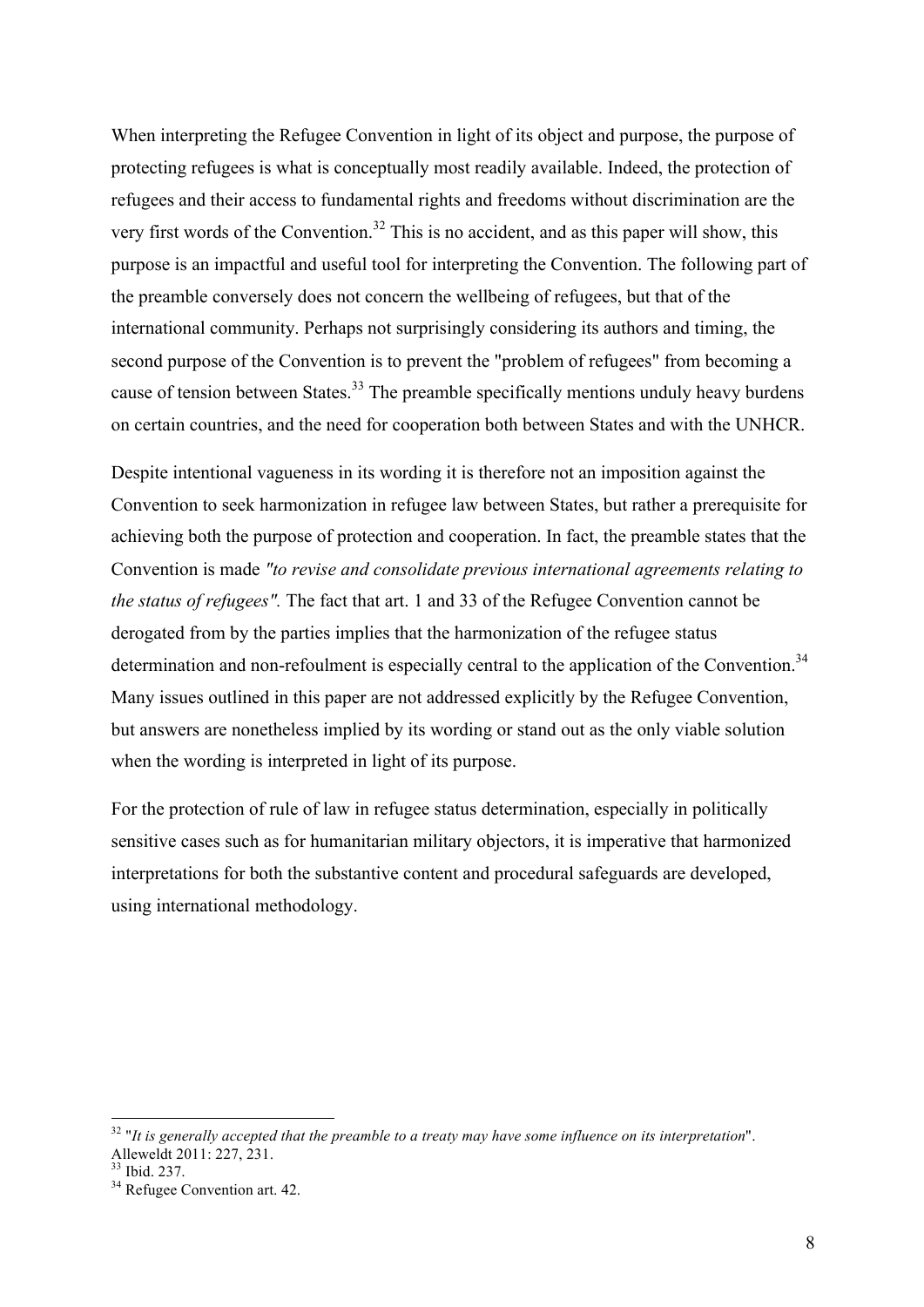When interpreting the Refugee Convention in light of its object and purpose, the purpose of protecting refugees is what is conceptually most readily available. Indeed, the protection of refugees and their access to fundamental rights and freedoms without discrimination are the very first words of the Convention.<sup>32</sup> This is no accident, and as this paper will show, this purpose is an impactful and useful tool for interpreting the Convention. The following part of the preamble conversely does not concern the wellbeing of refugees, but that of the international community. Perhaps not surprisingly considering its authors and timing, the second purpose of the Convention is to prevent the "problem of refugees" from becoming a cause of tension between States.<sup>33</sup> The preamble specifically mentions unduly heavy burdens on certain countries, and the need for cooperation both between States and with the UNHCR.

Despite intentional vagueness in its wording it is therefore not an imposition against the Convention to seek harmonization in refugee law between States, but rather a prerequisite for achieving both the purpose of protection and cooperation. In fact, the preamble states that the Convention is made *"to revise and consolidate previous international agreements relating to the status of refugees".* The fact that art. 1 and 33 of the Refugee Convention cannot be derogated from by the parties implies that the harmonization of the refugee status determination and non-refoulment is especially central to the application of the Convention.<sup>34</sup> Many issues outlined in this paper are not addressed explicitly by the Refugee Convention, but answers are nonetheless implied by its wording or stand out as the only viable solution when the wording is interpreted in light of its purpose.

For the protection of rule of law in refugee status determination, especially in politically sensitive cases such as for humanitarian military objectors, it is imperative that harmonized interpretations for both the substantive content and procedural safeguards are developed, using international methodology.

<sup>&</sup>lt;sup>32</sup> "*It is generally accepted that the preamble to a treaty may have some influence on its interpretation*".<br>Alleweldt 2011: 227, 231.

 $\frac{33}{33}$  Ibid. 237.<br><sup>34</sup> Refugee Convention art. 42.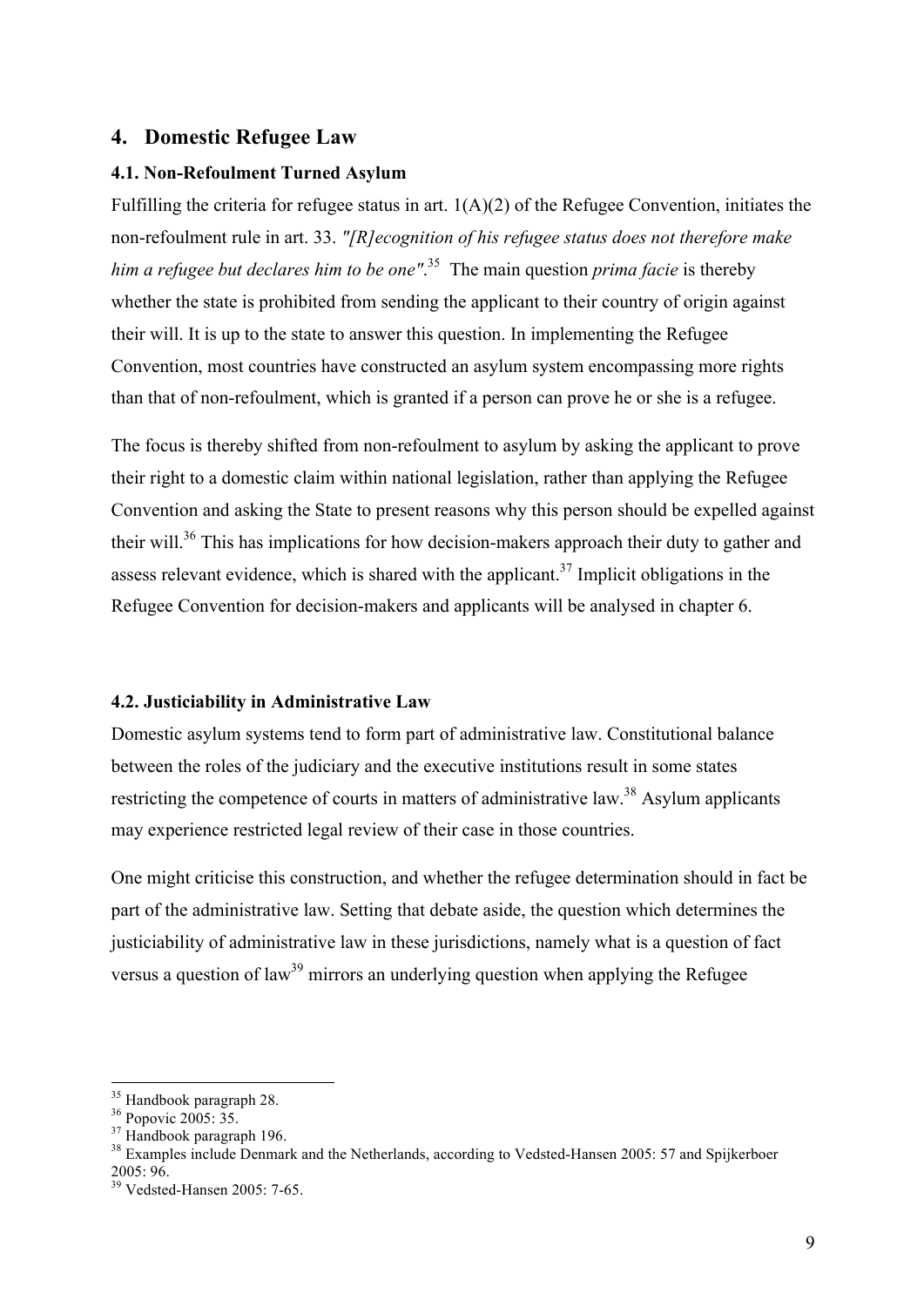#### **4. Domestic Refugee Law**

#### **4.1. Non-Refoulment Turned Asylum**

Fulfilling the criteria for refugee status in art. 1(A)(2) of the Refugee Convention, initiates the non-refoulment rule in art. 33. *"[R]ecognition of his refugee status does not therefore make him a refugee but declares him to be one"*. <sup>35</sup> The main question *prima facie* is thereby whether the state is prohibited from sending the applicant to their country of origin against their will. It is up to the state to answer this question. In implementing the Refugee Convention, most countries have constructed an asylum system encompassing more rights than that of non-refoulment, which is granted if a person can prove he or she is a refugee.

The focus is thereby shifted from non-refoulment to asylum by asking the applicant to prove their right to a domestic claim within national legislation, rather than applying the Refugee Convention and asking the State to present reasons why this person should be expelled against their will.<sup>36</sup> This has implications for how decision-makers approach their duty to gather and assess relevant evidence, which is shared with the applicant.<sup>37</sup> Implicit obligations in the Refugee Convention for decision-makers and applicants will be analysed in chapter 6.

#### **4.2. Justiciability in Administrative Law**

Domestic asylum systems tend to form part of administrative law. Constitutional balance between the roles of the judiciary and the executive institutions result in some states restricting the competence of courts in matters of administrative law.<sup>38</sup> Asylum applicants may experience restricted legal review of their case in those countries.

One might criticise this construction, and whether the refugee determination should in fact be part of the administrative law. Setting that debate aside, the question which determines the justiciability of administrative law in these jurisdictions, namely what is a question of fact versus a question of law<sup>39</sup> mirrors an underlying question when applying the Refugee

<sup>&</sup>lt;sup>35</sup> Handbook paragraph 28.<br><sup>36</sup> Popovic 2005: 35.<br><sup>37</sup> Handbook paragraph 196.<br><sup>38</sup> Examples include Denmark and the Netherlands, according to Vedsted-Hansen 2005: 57 and Spijkerboer 2005: 96. 39 Vedsted-Hansen 2005: 7-65.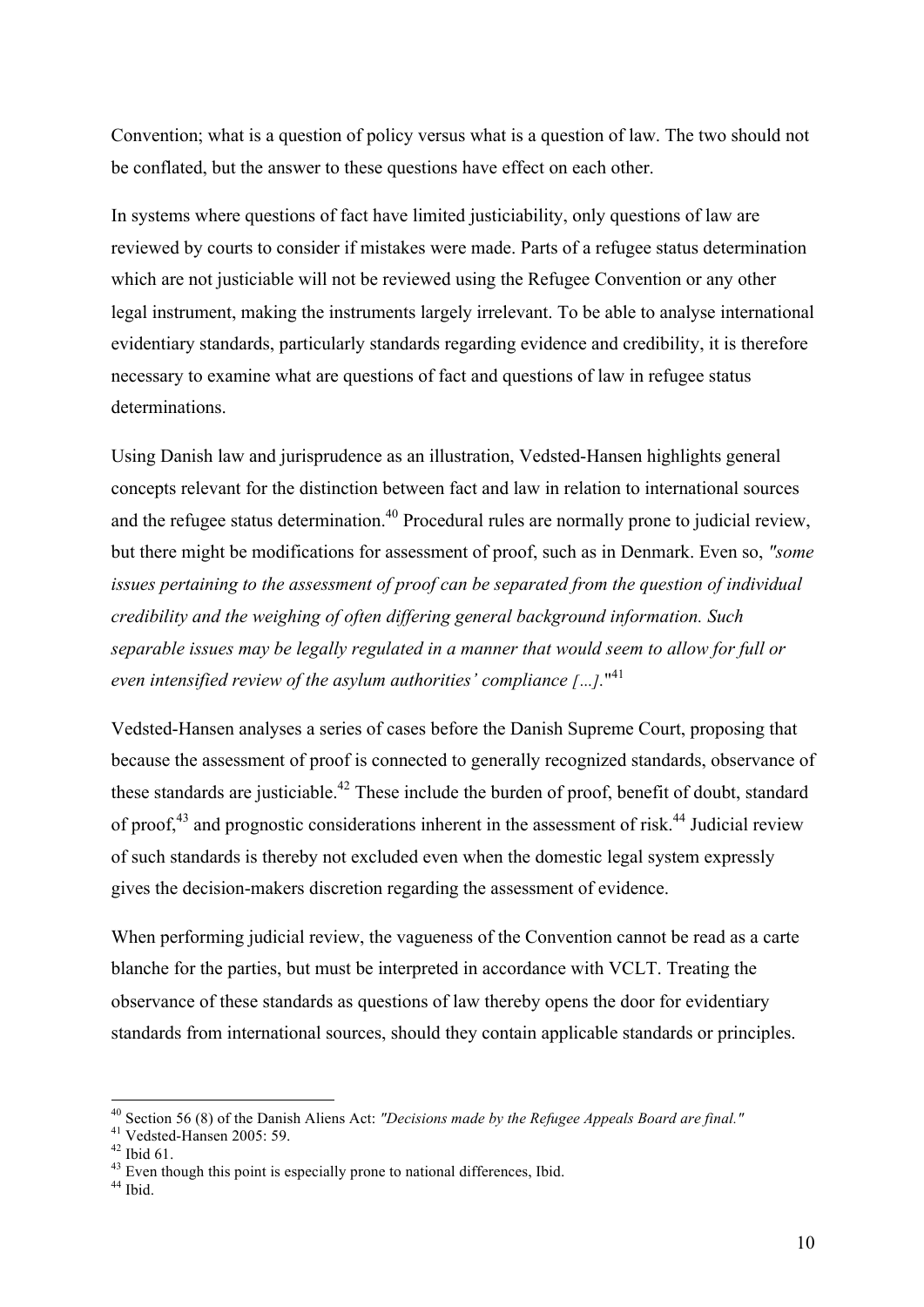Convention; what is a question of policy versus what is a question of law. The two should not be conflated, but the answer to these questions have effect on each other.

In systems where questions of fact have limited justiciability, only questions of law are reviewed by courts to consider if mistakes were made. Parts of a refugee status determination which are not justiciable will not be reviewed using the Refugee Convention or any other legal instrument, making the instruments largely irrelevant. To be able to analyse international evidentiary standards, particularly standards regarding evidence and credibility, it is therefore necessary to examine what are questions of fact and questions of law in refugee status determinations.

Using Danish law and jurisprudence as an illustration, Vedsted-Hansen highlights general concepts relevant for the distinction between fact and law in relation to international sources and the refugee status determination.<sup>40</sup> Procedural rules are normally prone to judicial review, but there might be modifications for assessment of proof, such as in Denmark. Even so, *"some issues pertaining to the assessment of proof can be separated from the question of individual credibility and the weighing of often differing general background information. Such separable issues may be legally regulated in a manner that would seem to allow for full or even intensified review of the asylum authorities' compliance […].*" 41

Vedsted-Hansen analyses a series of cases before the Danish Supreme Court, proposing that because the assessment of proof is connected to generally recognized standards, observance of these standards are justiciable.<sup>42</sup> These include the burden of proof, benefit of doubt, standard of proof,<sup>43</sup> and prognostic considerations inherent in the assessment of risk.<sup>44</sup> Judicial review of such standards is thereby not excluded even when the domestic legal system expressly gives the decision-makers discretion regarding the assessment of evidence.

When performing judicial review, the vagueness of the Convention cannot be read as a carte blanche for the parties, but must be interpreted in accordance with VCLT. Treating the observance of these standards as questions of law thereby opens the door for evidentiary standards from international sources, should they contain applicable standards or principles.

<sup>&</sup>lt;sup>40</sup> Section 56 (8) of the Danish Aliens Act: *"Decisions made by the Refugee Appeals Board are final."*<br><sup>41</sup> Vedsted-Hansen 2005: 59.<br><sup>42</sup> Ibid 61.<br><sup>43</sup> Even though this point is especially prone to national differences,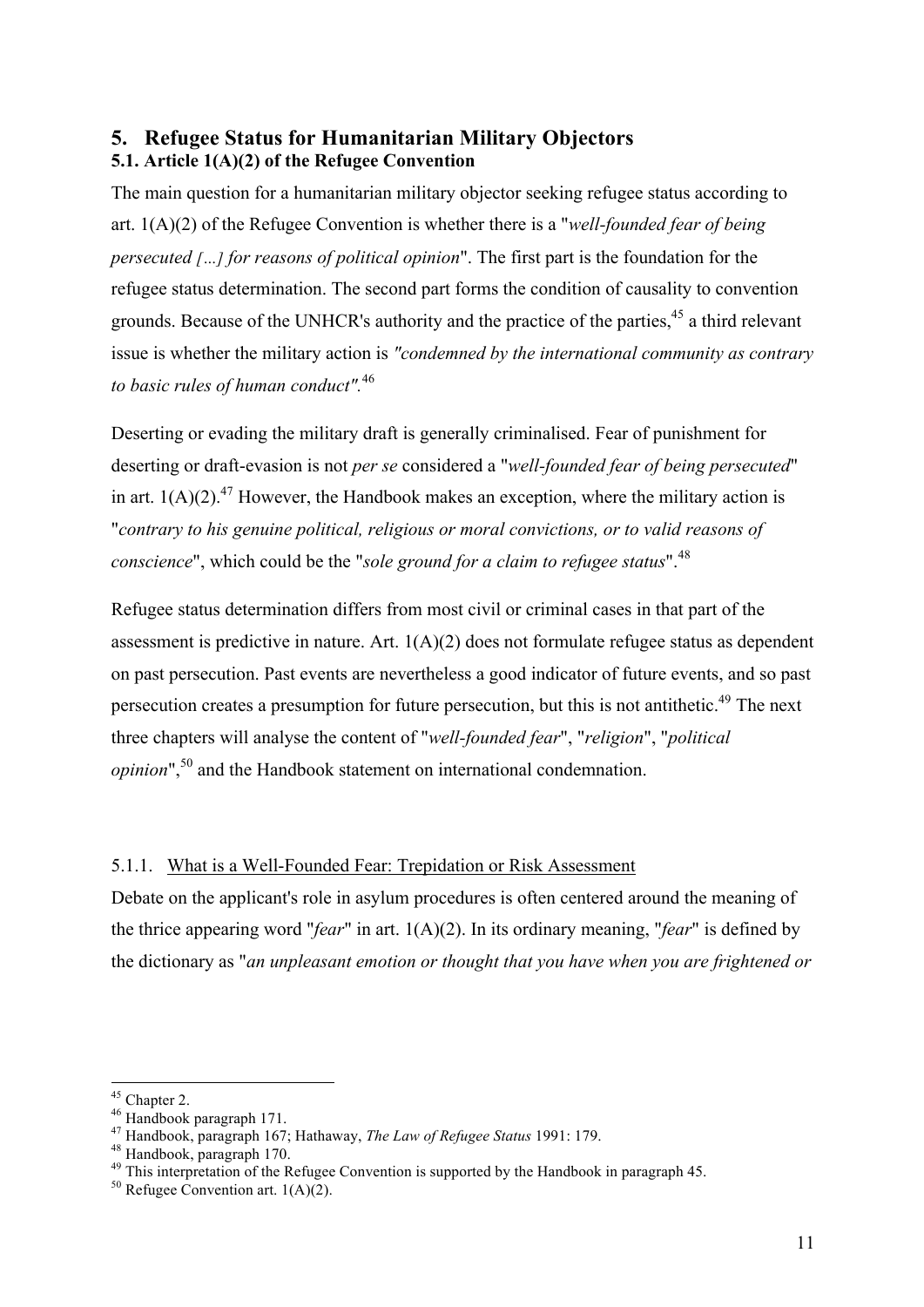#### **5. Refugee Status for Humanitarian Military Objectors 5.1. Article 1(A)(2) of the Refugee Convention**

The main question for a humanitarian military objector seeking refugee status according to art. 1(A)(2) of the Refugee Convention is whether there is a "*well-founded fear of being persecuted […] for reasons of political opinion*". The first part is the foundation for the refugee status determination. The second part forms the condition of causality to convention grounds. Because of the UNHCR's authority and the practice of the parties,<sup>45</sup> a third relevant issue is whether the military action is *"condemned by the international community as contrary to basic rules of human conduct".*<sup>46</sup>

Deserting or evading the military draft is generally criminalised. Fear of punishment for deserting or draft-evasion is not *per se* considered a "*well-founded fear of being persecuted*" in art.  $1(A)(2)$ .<sup>47</sup> However, the Handbook makes an exception, where the military action is "*contrary to his genuine political, religious or moral convictions, or to valid reasons of conscience*", which could be the "*sole ground for a claim to refugee status*". 48

Refugee status determination differs from most civil or criminal cases in that part of the assessment is predictive in nature. Art. 1(A)(2) does not formulate refugee status as dependent on past persecution. Past events are nevertheless a good indicator of future events, and so past persecution creates a presumption for future persecution, but this is not antithetic.49 The next three chapters will analyse the content of "*well-founded fear*", "*religion*", "*political opinion*",<sup>50</sup> and the Handbook statement on international condemnation.

#### 5.1.1. What is a Well-Founded Fear: Trepidation or Risk Assessment

Debate on the applicant's role in asylum procedures is often centered around the meaning of the thrice appearing word "*fear*" in art. 1(A)(2). In its ordinary meaning, "*fear*" is defined by the dictionary as "*an unpleasant emotion or thought that you have when you are frightened or* 

<sup>&</sup>lt;sup>45</sup> Chapter 2.<br><sup>46</sup> Handbook paragraph 171.<br><sup>47</sup> Handbook, paragraph 167; Hathaway, *The Law of Refugee Status* 1991: 179.<br><sup>48</sup> Handbook, paragraph 170.<br><sup>49</sup> This interpretation of the Refugee Convention is supported by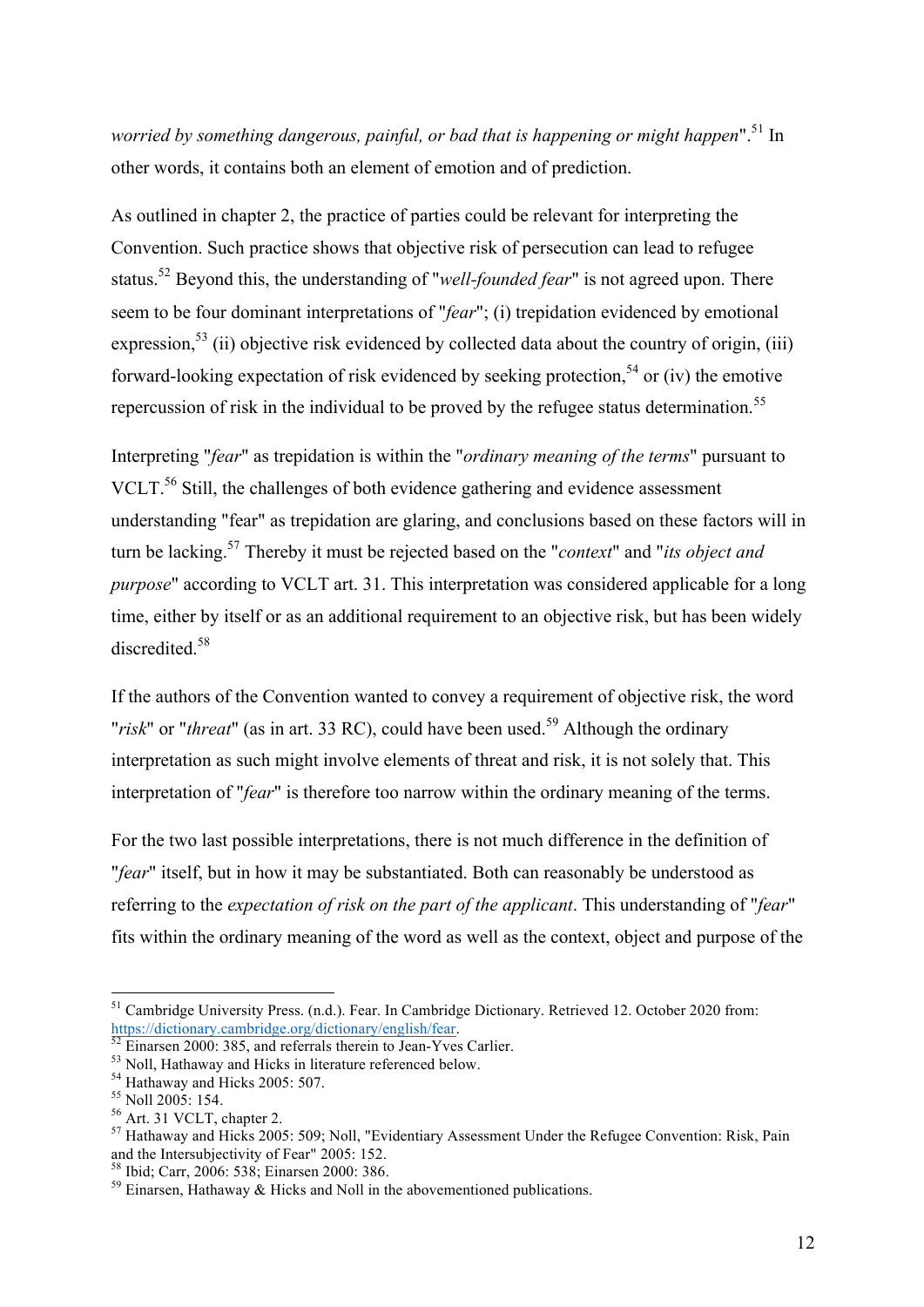*worried by something dangerous, painful, or bad that is happening or might happen*".<sup>51</sup> In other words, it contains both an element of emotion and of prediction.

As outlined in chapter 2, the practice of parties could be relevant for interpreting the Convention. Such practice shows that objective risk of persecution can lead to refugee status.<sup>52</sup> Beyond this, the understanding of "*well-founded fear*" is not agreed upon. There seem to be four dominant interpretations of "*fear*"; (i) trepidation evidenced by emotional expression,<sup>53</sup> (ii) objective risk evidenced by collected data about the country of origin, (iii) forward-looking expectation of risk evidenced by seeking protection.<sup>54</sup> or (iv) the emotive repercussion of risk in the individual to be proved by the refugee status determination.<sup>55</sup>

Interpreting "*fear*" as trepidation is within the "*ordinary meaning of the terms*" pursuant to VCLT.<sup>56</sup> Still, the challenges of both evidence gathering and evidence assessment understanding "fear" as trepidation are glaring, and conclusions based on these factors will in turn be lacking.57 Thereby it must be rejected based on the "*context*" and "*its object and purpose*" according to VCLT art. 31. This interpretation was considered applicable for a long time, either by itself or as an additional requirement to an objective risk, but has been widely discredited<sup>58</sup>

If the authors of the Convention wanted to convey a requirement of objective risk, the word "*risk*" or "*threat*" (as in art. 33 RC), could have been used.<sup>59</sup> Although the ordinary interpretation as such might involve elements of threat and risk, it is not solely that. This interpretation of "*fear*" is therefore too narrow within the ordinary meaning of the terms.

For the two last possible interpretations, there is not much difference in the definition of "*fear*" itself, but in how it may be substantiated. Both can reasonably be understood as referring to the *expectation of risk on the part of the applicant*. This understanding of "*fear*" fits within the ordinary meaning of the word as well as the context, object and purpose of the

<sup>&</sup>lt;sup>51</sup> Cambridge University Press. (n.d.). Fear. In Cambridge Dictionary. Retrieved 12. October 2020 from:<br>https://dictionary.cambridge.org/dictionary/english/fear.

<sup>&</sup>lt;sup>53</sup> Einarsen 2000: 385, and referrals therein to Jean-Yves Carlier.<br>
<sup>53</sup> Einarsen 2000: 385, and referrals therein to Jean-Yves Carlier.<br>
<sup>54</sup> Hathaway and Hicks 2005: 507.<br>
<sup>55</sup> Noll 2005: 154.<br>
<sup>56</sup> Art. 31 VCLT, chap

<sup>&</sup>lt;sup>58</sup> Ibid; Carr, 2006: 538; Einarsen 2000: 386.  $\frac{59}{2}$  Einarsen, Hathaway & Hicks and Noll in the abovementioned publications.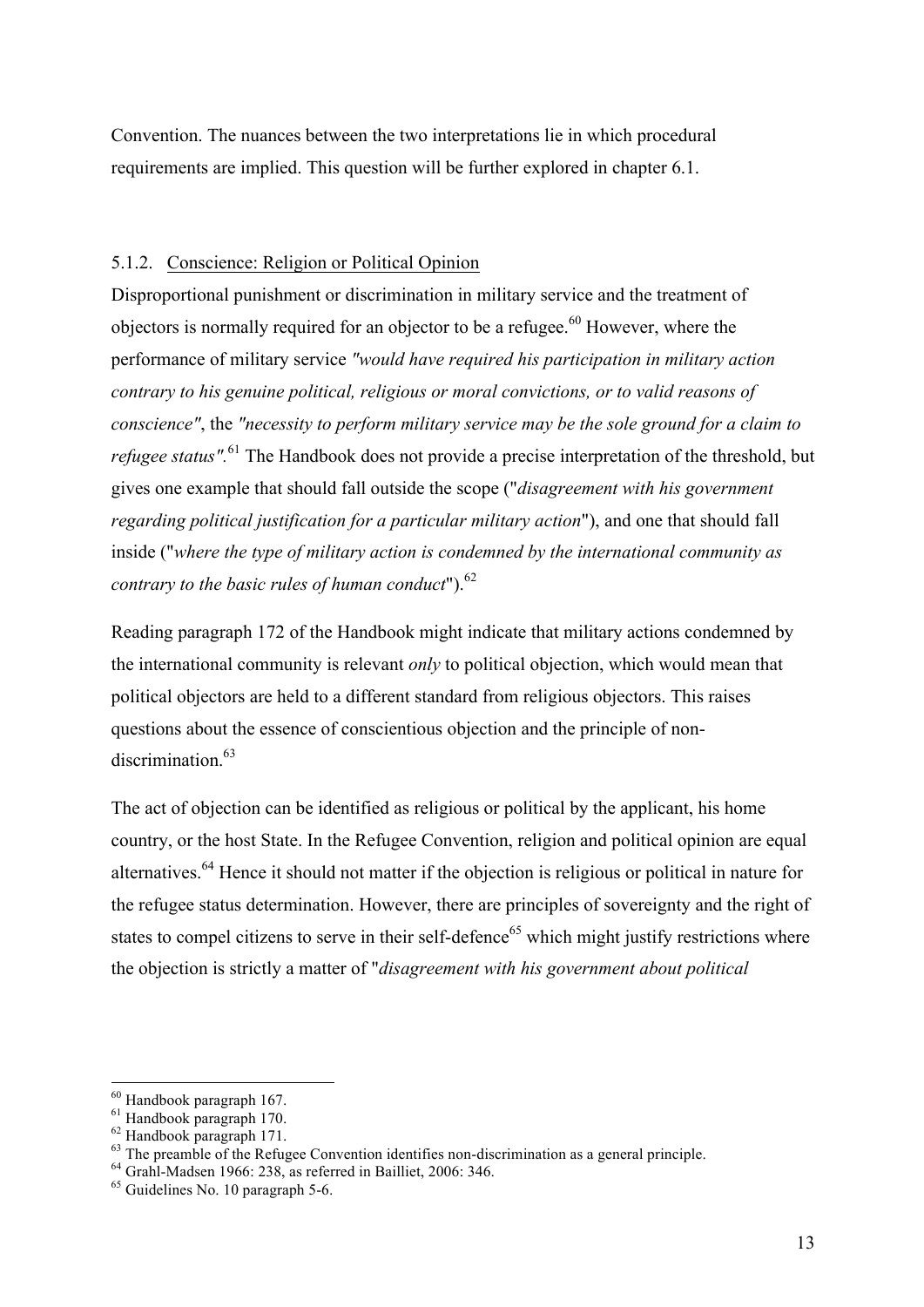Convention. The nuances between the two interpretations lie in which procedural requirements are implied. This question will be further explored in chapter 6.1.

#### 5.1.2. Conscience: Religion or Political Opinion

Disproportional punishment or discrimination in military service and the treatment of objectors is normally required for an objector to be a refugee.<sup>60</sup> However, where the performance of military service *"would have required his participation in military action contrary to his genuine political, religious or moral convictions, or to valid reasons of conscience"*, the *"necessity to perform military service may be the sole ground for a claim to refugee status".* <sup>61</sup> The Handbook does not provide a precise interpretation of the threshold, but gives one example that should fall outside the scope ("*disagreement with his government regarding political justification for a particular military action*"), and one that should fall inside ("*where the type of military action is condemned by the international community as contrary to the basic rules of human conduct*").<sup>62</sup>

Reading paragraph 172 of the Handbook might indicate that military actions condemned by the international community is relevant *only* to political objection, which would mean that political objectors are held to a different standard from religious objectors. This raises questions about the essence of conscientious objection and the principle of nondiscrimination.<sup>63</sup>

The act of objection can be identified as religious or political by the applicant, his home country, or the host State. In the Refugee Convention, religion and political opinion are equal alternatives.<sup>64</sup> Hence it should not matter if the objection is religious or political in nature for the refugee status determination. However, there are principles of sovereignty and the right of states to compel citizens to serve in their self-defence<sup>65</sup> which might justify restrictions where the objection is strictly a matter of "*disagreement with his government about political* 

<sup>&</sup>lt;sup>60</sup> Handbook paragraph 167.<br>
<sup>61</sup> Handbook paragraph 170.<br>
<sup>62</sup> Handbook paragraph 171.<br>
<sup>63</sup> The preamble of the Refugee Convention identifies non-discrimination as a general principle.<br>
<sup>64</sup> Grahl-Madsen 1966: 238, as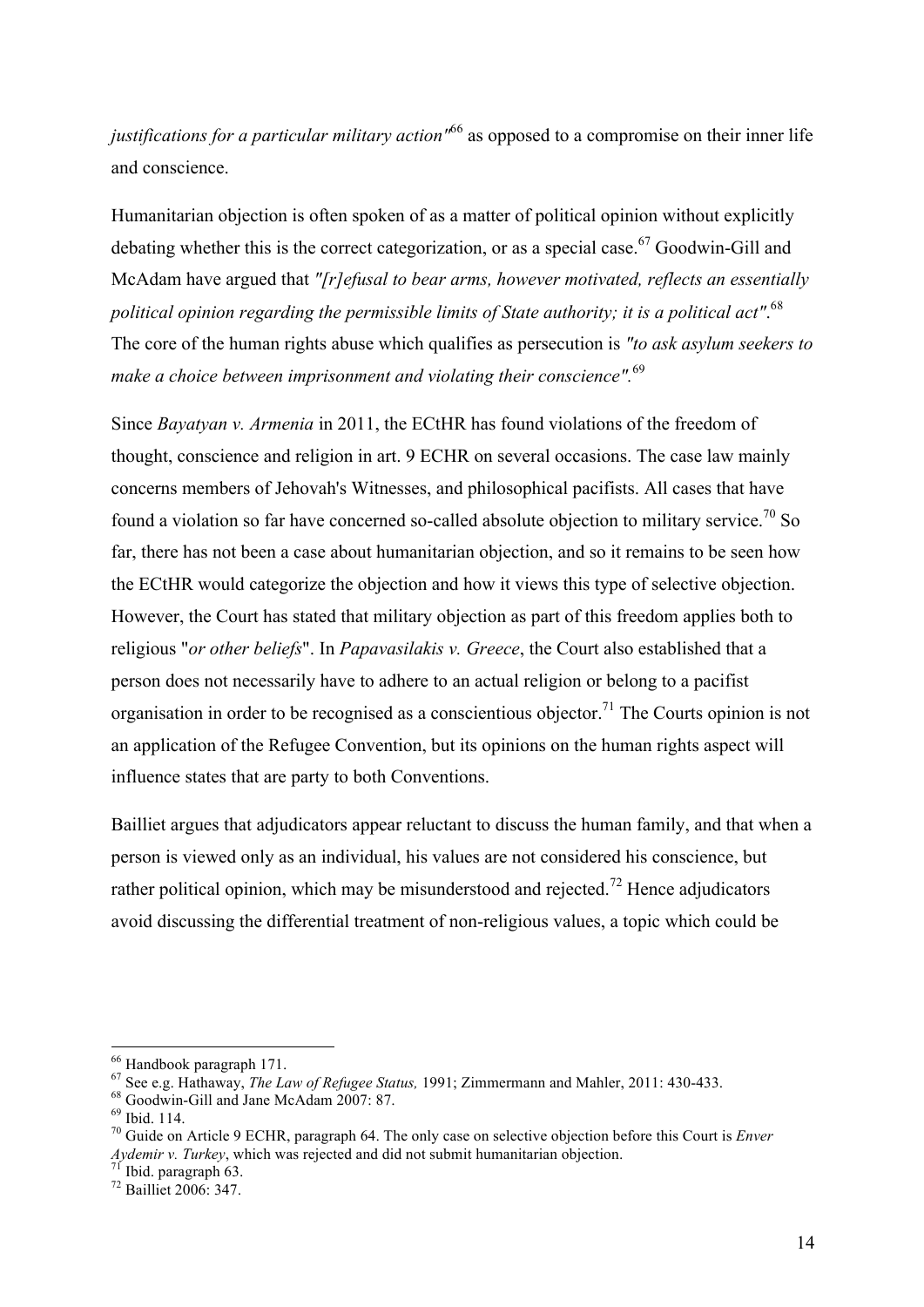*justifications for a particular military action"*<sup>66</sup> as opposed to a compromise on their inner life and conscience.

Humanitarian objection is often spoken of as a matter of political opinion without explicitly debating whether this is the correct categorization, or as a special case.<sup>67</sup> Goodwin-Gill and McAdam have argued that *"[r]efusal to bear arms, however motivated, reflects an essentially political opinion regarding the permissible limits of State authority; it is a political act"*. 68 The core of the human rights abuse which qualifies as persecution is *"to ask asylum seekers to make a choice between imprisonment and violating their conscience".*<sup>69</sup>

Since *Bayatyan v. Armenia* in 2011, the ECtHR has found violations of the freedom of thought, conscience and religion in art. 9 ECHR on several occasions. The case law mainly concerns members of Jehovah's Witnesses, and philosophical pacifists. All cases that have found a violation so far have concerned so-called absolute objection to military service.<sup>70</sup> So far, there has not been a case about humanitarian objection, and so it remains to be seen how the ECtHR would categorize the objection and how it views this type of selective objection. However, the Court has stated that military objection as part of this freedom applies both to religious "*or other beliefs*". In *Papavasilakis v. Greece*, the Court also established that a person does not necessarily have to adhere to an actual religion or belong to a pacifist organisation in order to be recognised as a conscientious objector. <sup>71</sup> The Courts opinion is not an application of the Refugee Convention, but its opinions on the human rights aspect will influence states that are party to both Conventions.

Bailliet argues that adjudicators appear reluctant to discuss the human family, and that when a person is viewed only as an individual, his values are not considered his conscience, but rather political opinion, which may be misunderstood and rejected.<sup>72</sup> Hence adjudicators avoid discussing the differential treatment of non-religious values, a topic which could be

<sup>&</sup>lt;sup>66</sup> Handbook paragraph 171.<br>
<sup>67</sup> See e.g. Hathaway, *The Law of Refugee Status*, 1991; Zimmermann and Mahler, 2011: 430-433.<br>
<sup>68</sup> Goodwin-Gill and Jane McAdam 2007: 87.<br>
<sup>69</sup> Ibid. 114.<br>
<sup>70</sup> Guide on Article 9 ECHR, p

*Aydemir v. Turkey*, which was rejected and did not submit humanitarian objection.<br><sup>71</sup> Ibid. paragraph 63.<br><sup>72</sup> Bailliet 2006: 347.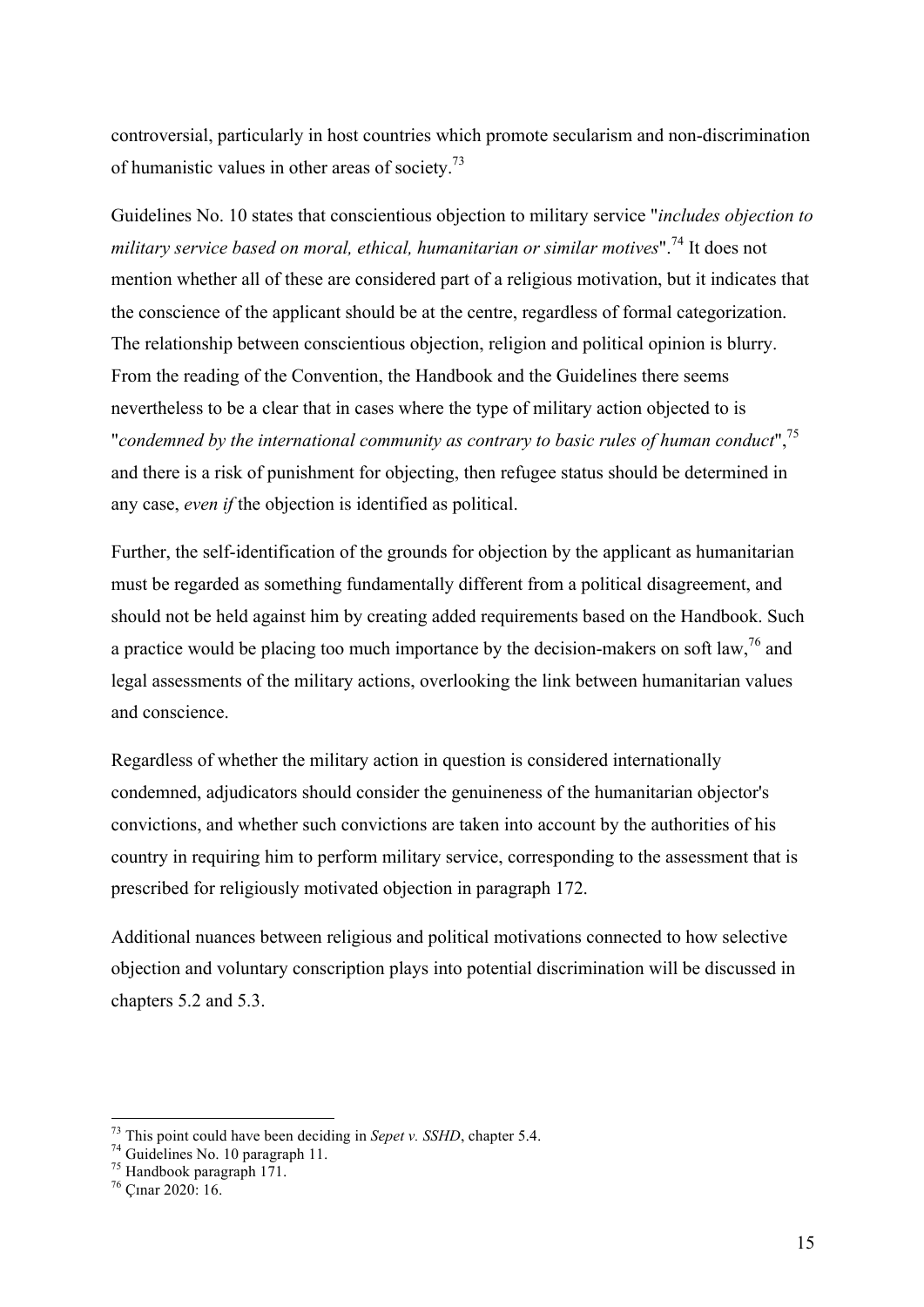controversial, particularly in host countries which promote secularism and non-discrimination of humanistic values in other areas of society.73

Guidelines No. 10 states that conscientious objection to military service "*includes objection to military service based on moral, ethical, humanitarian or similar motives*".<sup>74</sup> It does not mention whether all of these are considered part of a religious motivation, but it indicates that the conscience of the applicant should be at the centre, regardless of formal categorization. The relationship between conscientious objection, religion and political opinion is blurry. From the reading of the Convention, the Handbook and the Guidelines there seems nevertheless to be a clear that in cases where the type of military action objected to is "*condemned by the international community as contrary to basic rules of human conduct*",75 and there is a risk of punishment for objecting, then refugee status should be determined in any case, *even if* the objection is identified as political.

Further, the self-identification of the grounds for objection by the applicant as humanitarian must be regarded as something fundamentally different from a political disagreement, and should not be held against him by creating added requirements based on the Handbook. Such a practice would be placing too much importance by the decision-makers on soft law,  $^{76}$  and legal assessments of the military actions, overlooking the link between humanitarian values and conscience.

Regardless of whether the military action in question is considered internationally condemned, adjudicators should consider the genuineness of the humanitarian objector's convictions, and whether such convictions are taken into account by the authorities of his country in requiring him to perform military service, corresponding to the assessment that is prescribed for religiously motivated objection in paragraph 172.

Additional nuances between religious and political motivations connected to how selective objection and voluntary conscription plays into potential discrimination will be discussed in chapters 5.2 and 5.3.

<sup>&</sup>lt;sup>73</sup> This point could have been deciding in *Sepet v. SSHD*, chapter 5.4.  $^{74}$  Guidelines No. 10 paragraph 11.  $^{75}$  Handbook paragraph 171.  $^{76}$  Cmar 2020: 16.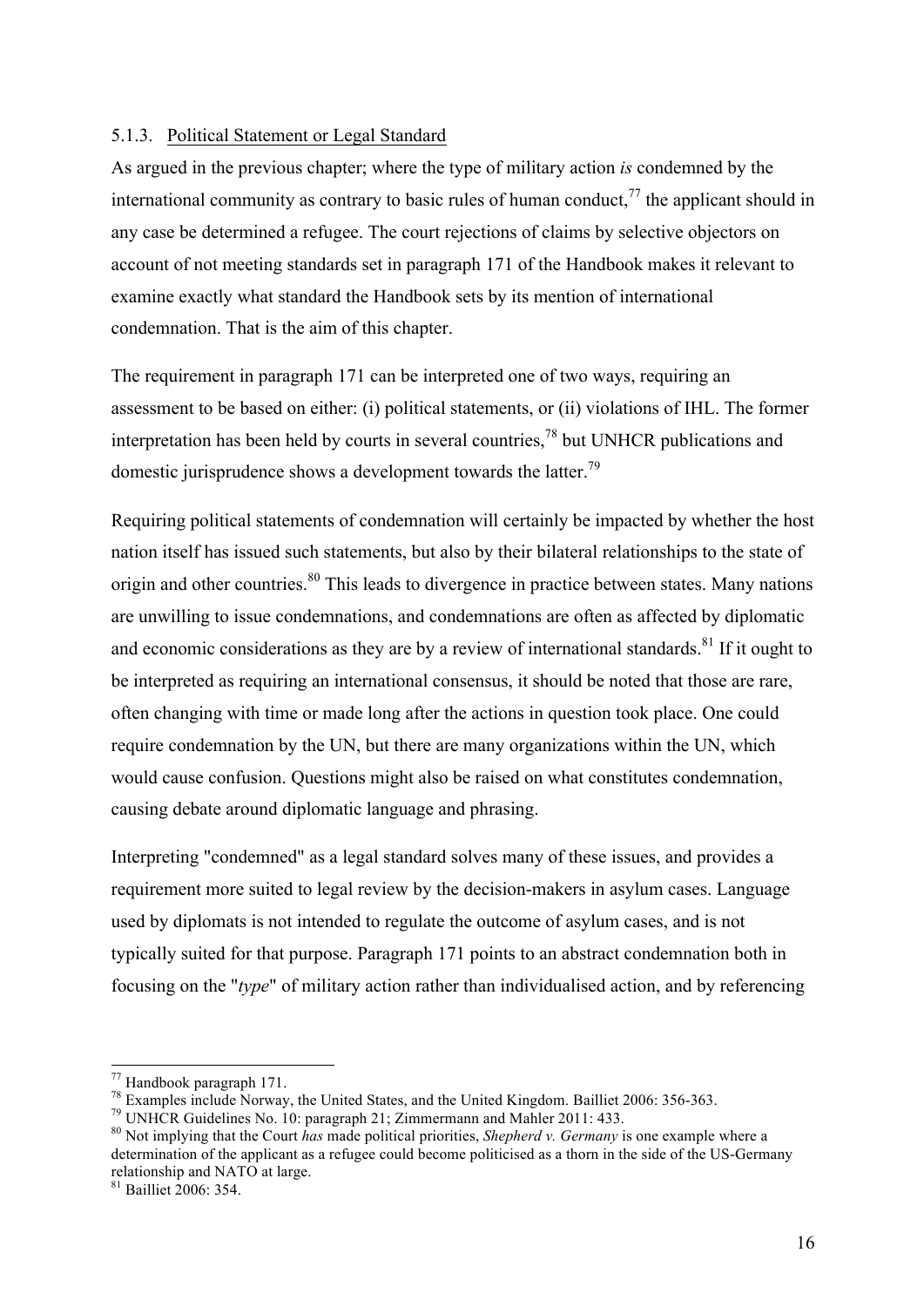#### 5.1.3. Political Statement or Legal Standard

As argued in the previous chapter; where the type of military action *is* condemned by the international community as contrary to basic rules of human conduct,  $^{77}$  the applicant should in any case be determined a refugee. The court rejections of claims by selective objectors on account of not meeting standards set in paragraph 171 of the Handbook makes it relevant to examine exactly what standard the Handbook sets by its mention of international condemnation. That is the aim of this chapter.

The requirement in paragraph 171 can be interpreted one of two ways, requiring an assessment to be based on either: (i) political statements, or (ii) violations of IHL. The former interpretation has been held by courts in several countries,<sup>78</sup> but UNHCR publications and domestic jurisprudence shows a development towards the latter.<sup>79</sup>

Requiring political statements of condemnation will certainly be impacted by whether the host nation itself has issued such statements, but also by their bilateral relationships to the state of origin and other countries.<sup>80</sup> This leads to divergence in practice between states. Many nations are unwilling to issue condemnations, and condemnations are often as affected by diplomatic and economic considerations as they are by a review of international standards.<sup>81</sup> If it ought to be interpreted as requiring an international consensus, it should be noted that those are rare, often changing with time or made long after the actions in question took place. One could require condemnation by the UN, but there are many organizations within the UN, which would cause confusion. Questions might also be raised on what constitutes condemnation, causing debate around diplomatic language and phrasing.

Interpreting "condemned" as a legal standard solves many of these issues, and provides a requirement more suited to legal review by the decision-makers in asylum cases. Language used by diplomats is not intended to regulate the outcome of asylum cases, and is not typically suited for that purpose. Paragraph 171 points to an abstract condemnation both in focusing on the "*type*" of military action rather than individualised action, and by referencing

<sup>&</sup>lt;sup>77</sup> Handbook paragraph 171.<br><sup>78</sup> Examples include Norway, the United States, and the United Kingdom. Bailliet 2006: 356-363.<br><sup>79</sup> UNHCR Guidelines No. 10: paragraph 21; Zimmermann and Mahler 2011: 433.<br><sup>80</sup> Not implying determination of the applicant as a refugee could become politicised as a thorn in the side of the US-Germany relationship and NATO at large.

<sup>81</sup> Bailliet 2006: 354.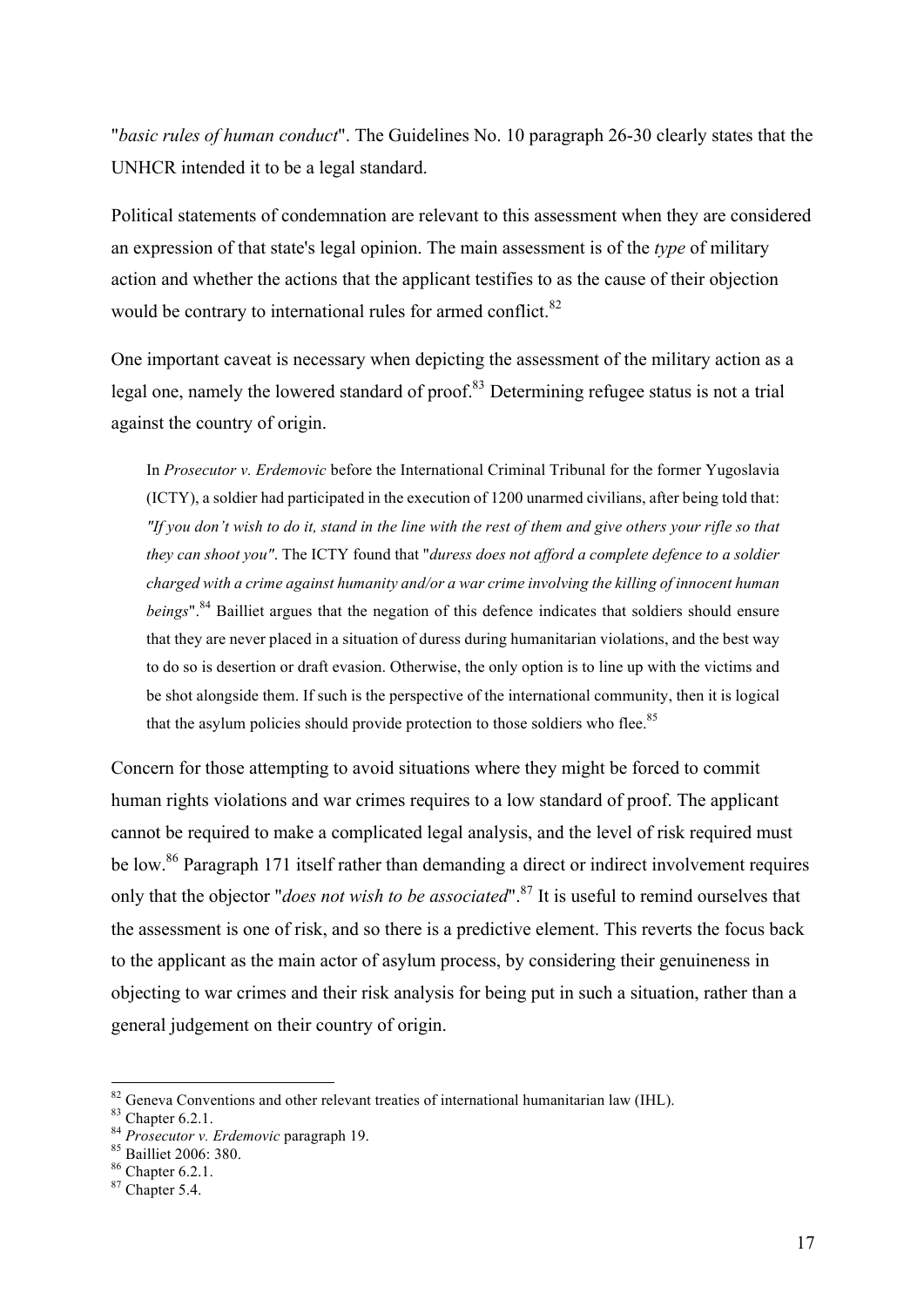"*basic rules of human conduct*". The Guidelines No. 10 paragraph 26-30 clearly states that the UNHCR intended it to be a legal standard.

Political statements of condemnation are relevant to this assessment when they are considered an expression of that state's legal opinion. The main assessment is of the *type* of military action and whether the actions that the applicant testifies to as the cause of their objection would be contrary to international rules for armed conflict.<sup>82</sup>

One important caveat is necessary when depicting the assessment of the military action as a legal one, namely the lowered standard of proof.<sup>83</sup> Determining refugee status is not a trial against the country of origin.

In *Prosecutor v. Erdemovic* before the International Criminal Tribunal for the former Yugoslavia (ICTY), a soldier had participated in the execution of 1200 unarmed civilians, after being told that: *"If you don't wish to do it, stand in the line with the rest of them and give others your rifle so that they can shoot you"*. The ICTY found that "*duress does not afford a complete defence to a soldier charged with a crime against humanity and/or a war crime involving the killing of innocent human beings*".<sup>84</sup> Bailliet argues that the negation of this defence indicates that soldiers should ensure that they are never placed in a situation of duress during humanitarian violations, and the best way to do so is desertion or draft evasion. Otherwise, the only option is to line up with the victims and be shot alongside them. If such is the perspective of the international community, then it is logical that the asylum policies should provide protection to those soldiers who flee.<sup>85</sup>

Concern for those attempting to avoid situations where they might be forced to commit human rights violations and war crimes requires to a low standard of proof. The applicant cannot be required to make a complicated legal analysis, and the level of risk required must be low.<sup>86</sup> Paragraph 171 itself rather than demanding a direct or indirect involvement requires only that the objector "*does not wish to be associated*".<sup>87</sup> It is useful to remind ourselves that the assessment is one of risk, and so there is a predictive element. This reverts the focus back to the applicant as the main actor of asylum process, by considering their genuineness in objecting to war crimes and their risk analysis for being put in such a situation, rather than a general judgement on their country of origin.

<sup>82</sup> Geneva Conventions and other relevant treaties of international humanitarian law (IHL).<br>
83 Chapter 6.2.1.<br>
84 *Prosecutor v. Erdemovic* paragraph 19.<br>
85 Bailliet 2006: 380.<br>
86 Chapter 6.2.1. 87 Chapter 5.4.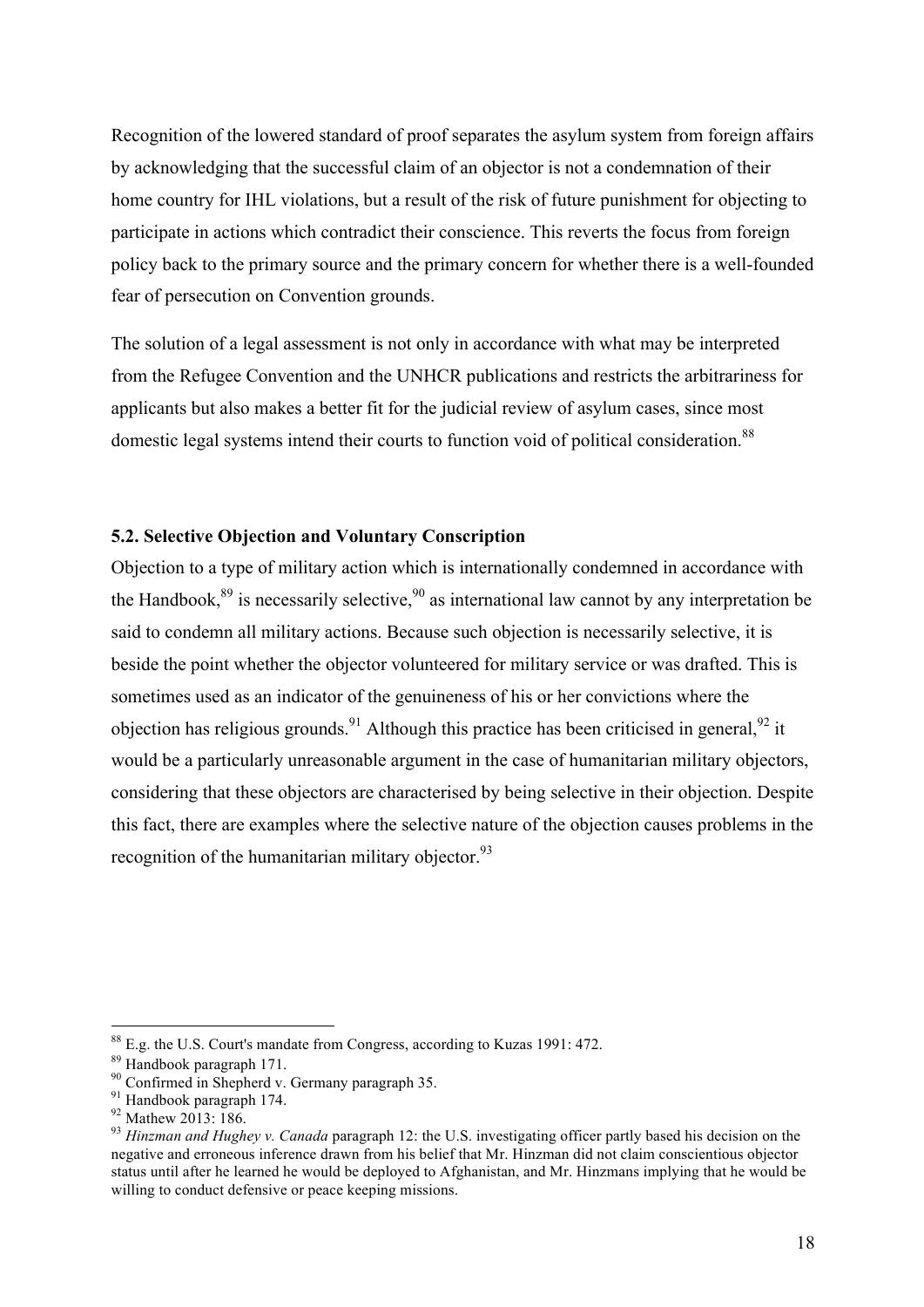Recognition of the lowered standard of proof separates the asylum system from foreign affairs by acknowledging that the successful claim of an objector is not a condemnation of their home country for IHL violations, but a result of the risk of future punishment for objecting to participate in actions which contradict their conscience. This reverts the focus from foreign policy back to the primary source and the primary concern for whether there is a well-founded fear of persecution on Convention grounds.

The solution of a legal assessment is not only in accordance with what may be interpreted from the Refugee Convention and the UNHCR publications and restricts the arbitrariness for applicants but also makes a better fit for the judicial review of asylum cases, since most domestic legal systems intend their courts to function void of political consideration.<sup>88</sup>

#### **5.2. Selective Objection and Voluntary Conscription**

Objection to a type of military action which is internationally condemned in accordance with the Handbook, $89$  is necessarily selective,  $90$  as international law cannot by any interpretation be said to condemn all military actions. Because such objection is necessarily selective, it is beside the point whether the objector volunteered for military service or was drafted. This is sometimes used as an indicator of the genuineness of his or her convictions where the objection has religious grounds.<sup>91</sup> Although this practice has been criticised in general, <sup>92</sup> it would be a particularly unreasonable argument in the case of humanitarian military objectors, considering that these objectors are characterised by being selective in their objection. Despite this fact, there are examples where the selective nature of the objection causes problems in the recognition of the humanitarian military objector. $93$ 

<sup>&</sup>lt;sup>88</sup> E.g. the U.S. Court's mandate from Congress, according to Kuzas 1991: 472.<br><sup>89</sup> Handbook paragraph 171.<br><sup>90</sup> Confirmed in Shepherd v. Germany paragraph 35.<br><sup>91</sup> Handbook paragraph 174.<br><sup>92</sup> Mathew 2013: 186.<br><sup>93</sup> Hin negative and erroneous inference drawn from his belief that Mr. Hinzman did not claim conscientious objector status until after he learned he would be deployed to Afghanistan, and Mr. Hinzmans implying that he would be willing to conduct defensive or peace keeping missions.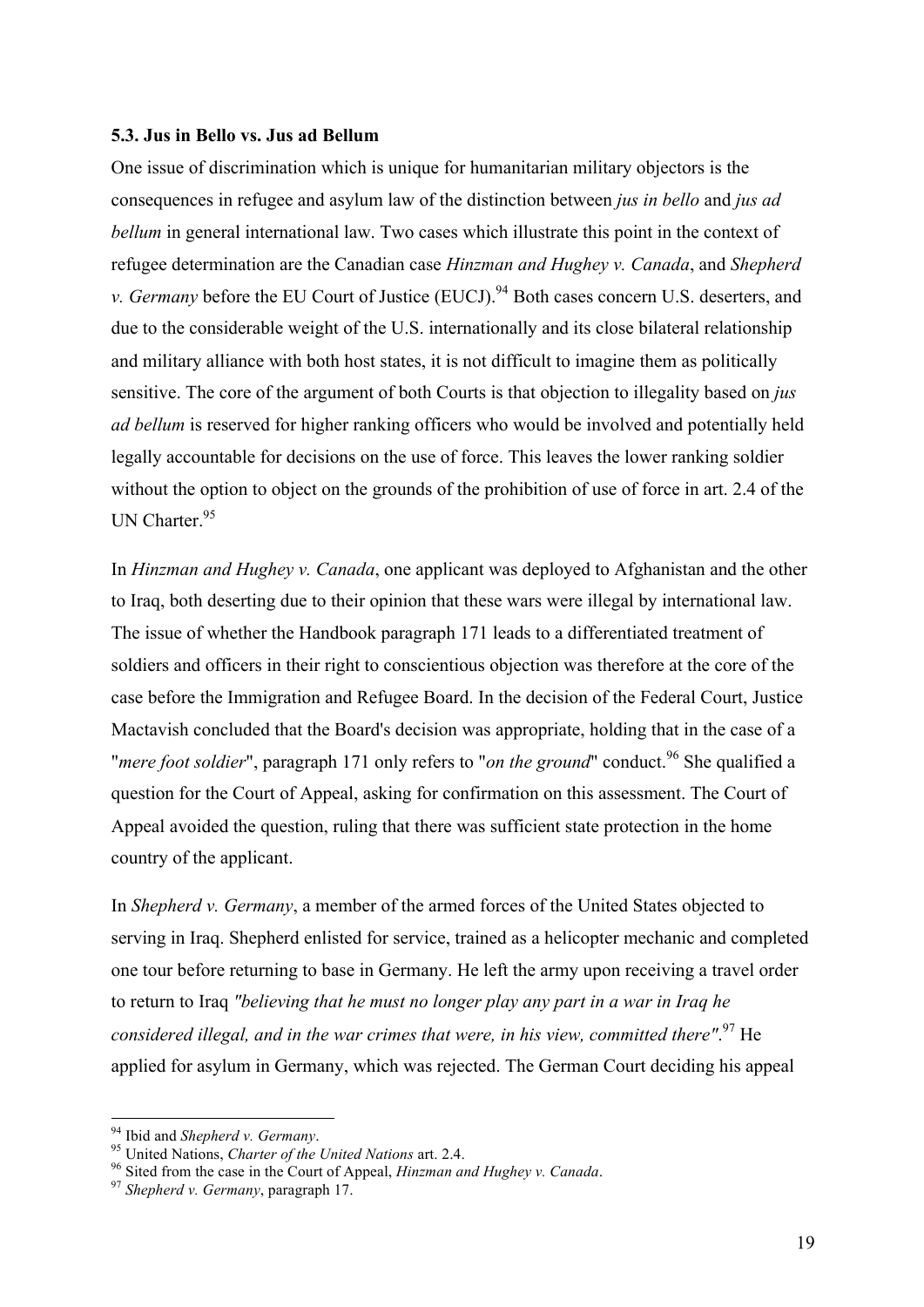#### **5.3. Jus in Bello vs. Jus ad Bellum**

One issue of discrimination which is unique for humanitarian military objectors is the consequences in refugee and asylum law of the distinction between *jus in bello* and *jus ad bellum* in general international law. Two cases which illustrate this point in the context of refugee determination are the Canadian case *Hinzman and Hughey v. Canada*, and *Shepherd v. Germany* before the EU Court of Justice (EUCJ).<sup>94</sup> Both cases concern U.S. deserters, and due to the considerable weight of the U.S. internationally and its close bilateral relationship and military alliance with both host states, it is not difficult to imagine them as politically sensitive. The core of the argument of both Courts is that objection to illegality based on *jus ad bellum* is reserved for higher ranking officers who would be involved and potentially held legally accountable for decisions on the use of force. This leaves the lower ranking soldier without the option to object on the grounds of the prohibition of use of force in art. 2.4 of the UN Charter. $95$ 

In *Hinzman and Hughey v. Canada*, one applicant was deployed to Afghanistan and the other to Iraq, both deserting due to their opinion that these wars were illegal by international law. The issue of whether the Handbook paragraph 171 leads to a differentiated treatment of soldiers and officers in their right to conscientious objection was therefore at the core of the case before the Immigration and Refugee Board. In the decision of the Federal Court, Justice Mactavish concluded that the Board's decision was appropriate, holding that in the case of a *"mere foot soldier"*, paragraph 171 only refers to "*on the ground*" conduct.<sup>96</sup> She qualified a question for the Court of Appeal, asking for confirmation on this assessment. The Court of Appeal avoided the question, ruling that there was sufficient state protection in the home country of the applicant.

In *Shepherd v. Germany*, a member of the armed forces of the United States objected to serving in Iraq. Shepherd enlisted for service, trained as a helicopter mechanic and completed one tour before returning to base in Germany. He left the army upon receiving a travel order to return to Iraq *"believing that he must no longer play any part in a war in Iraq he considered illegal, and in the war crimes that were, in his view, committed there"*. <sup>97</sup> He applied for asylum in Germany, which was rejected. The German Court deciding his appeal

<sup>&</sup>lt;sup>94</sup> Ibid and *Shepherd v. Germany.*<br><sup>95</sup> United Nations, *Charter of the United Nations* art. 2.4.<br><sup>96</sup> Sited from the case in the Court of Appeal, *Hinzman and Hughey v. Canada.*<br><sup>97</sup> Shepherd v. Germany, paragraph 17.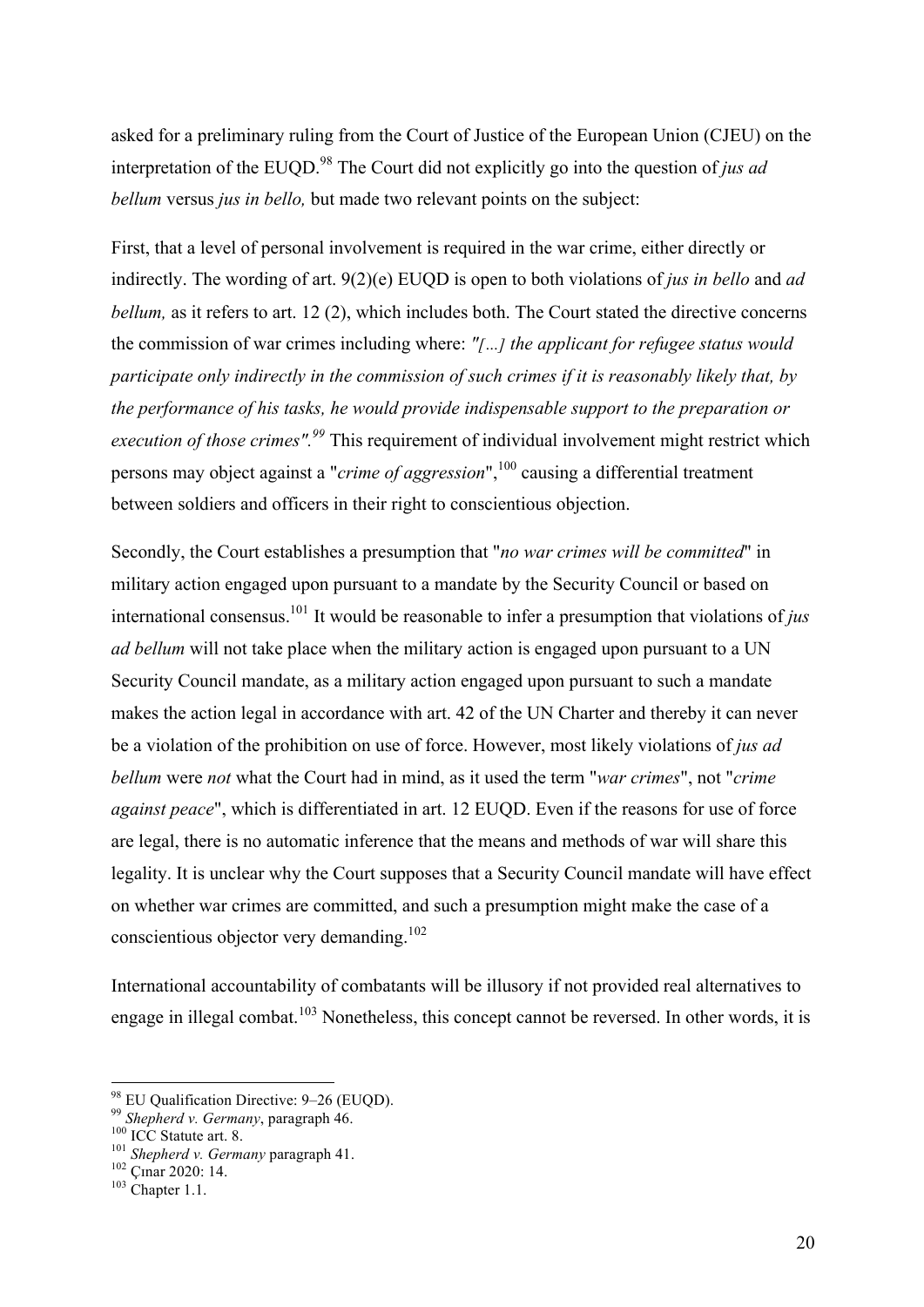asked for a preliminary ruling from the Court of Justice of the European Union (CJEU) on the interpretation of the EUOD.<sup>98</sup> The Court did not explicitly go into the question of *jus ad bellum* versus *jus in bello,* but made two relevant points on the subject:

First, that a level of personal involvement is required in the war crime, either directly or indirectly. The wording of art. 9(2)(e) EUQD is open to both violations of *jus in bello* and *ad bellum*, as it refers to art. 12 (2), which includes both. The Court stated the directive concerns the commission of war crimes including where: *"[…] the applicant for refugee status would participate only indirectly in the commission of such crimes if it is reasonably likely that, by the performance of his tasks, he would provide indispensable support to the preparation or execution of those crimes".99* This requirement of individual involvement might restrict which persons may object against a "*crime of aggression*", <sup>100</sup> causing a differential treatment between soldiers and officers in their right to conscientious objection.

Secondly, the Court establishes a presumption that "*no war crimes will be committed*" in military action engaged upon pursuant to a mandate by the Security Council or based on international consensus. <sup>101</sup> It would be reasonable to infer a presumption that violations of *jus ad bellum* will not take place when the military action is engaged upon pursuant to a UN Security Council mandate, as a military action engaged upon pursuant to such a mandate makes the action legal in accordance with art. 42 of the UN Charter and thereby it can never be a violation of the prohibition on use of force. However, most likely violations of *jus ad bellum* were *not* what the Court had in mind, as it used the term "*war crimes*", not "*crime against peace*", which is differentiated in art. 12 EUQD. Even if the reasons for use of force are legal, there is no automatic inference that the means and methods of war will share this legality. It is unclear why the Court supposes that a Security Council mandate will have effect on whether war crimes are committed, and such a presumption might make the case of a conscientious objector very demanding.<sup>102</sup>

International accountability of combatants will be illusory if not provided real alternatives to engage in illegal combat.<sup>103</sup> Nonetheless, this concept cannot be reversed. In other words, it is

<sup>&</sup>lt;sup>98</sup> EU Qualification Directive: 9–26 (EUQD).<br><sup>99</sup> *Shepherd v. Germany*, paragraph 46.<br><sup>100</sup> ICC Statute art. 8.<br><sup>101</sup> *Shepherd v. Germany* paragraph 41.<br><sup>102</sup> Çmar 2020: 14.<br><sup>103</sup> Chapter 1.1.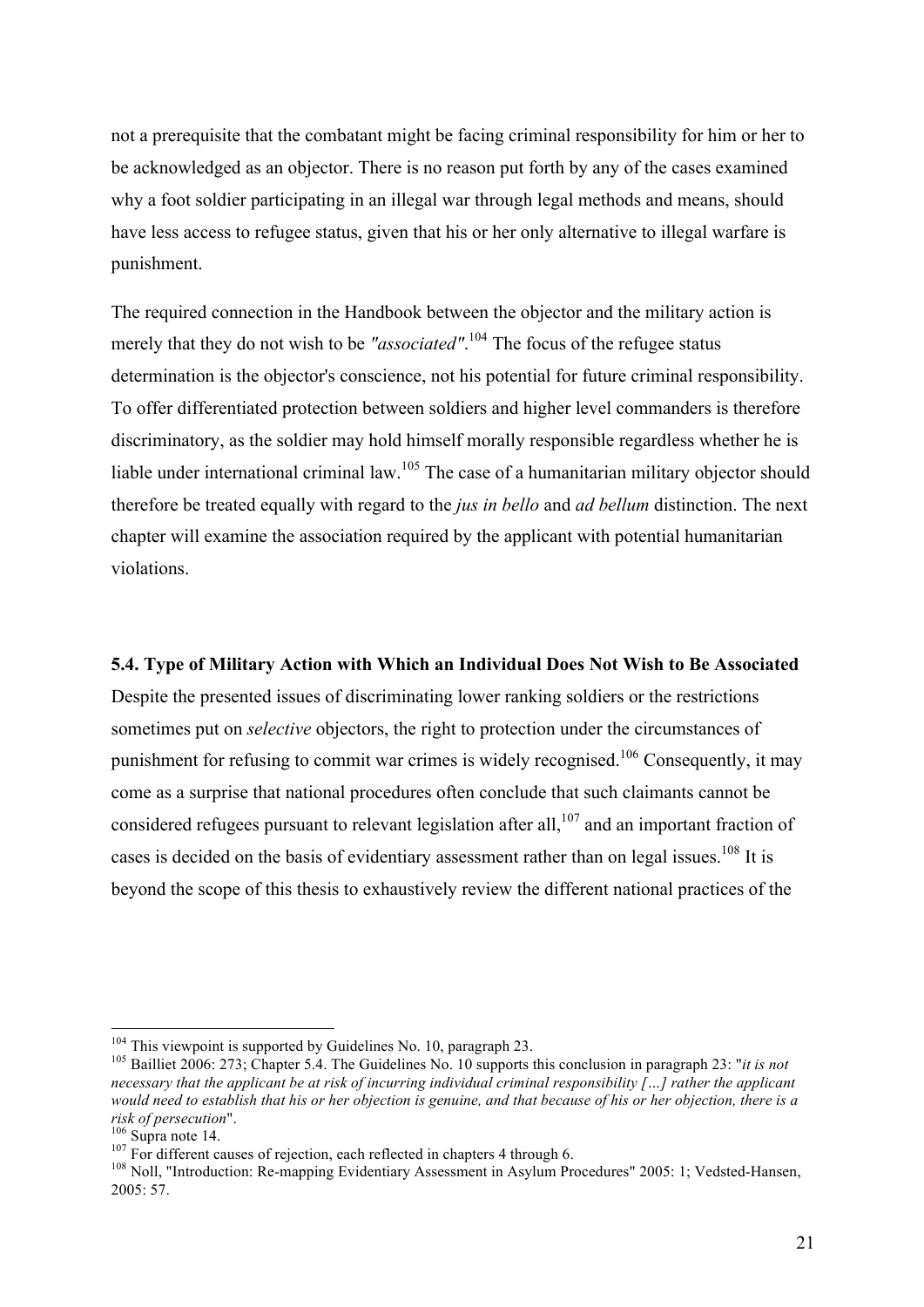not a prerequisite that the combatant might be facing criminal responsibility for him or her to be acknowledged as an objector. There is no reason put forth by any of the cases examined why a foot soldier participating in an illegal war through legal methods and means, should have less access to refugee status, given that his or her only alternative to illegal warfare is punishment.

The required connection in the Handbook between the objector and the military action is merely that they do not wish to be "associated".<sup>104</sup> The focus of the refugee status determination is the objector's conscience, not his potential for future criminal responsibility. To offer differentiated protection between soldiers and higher level commanders is therefore discriminatory, as the soldier may hold himself morally responsible regardless whether he is liable under international criminal law.<sup>105</sup> The case of a humanitarian military objector should therefore be treated equally with regard to the *jus in bello* and *ad bellum* distinction. The next chapter will examine the association required by the applicant with potential humanitarian violations.

#### **5.4. Type of Military Action with Which an Individual Does Not Wish to Be Associated**

Despite the presented issues of discriminating lower ranking soldiers or the restrictions sometimes put on *selective* objectors, the right to protection under the circumstances of punishment for refusing to commit war crimes is widely recognised.106 Consequently, it may come as a surprise that national procedures often conclude that such claimants cannot be considered refugees pursuant to relevant legislation after all,  $107$  and an important fraction of cases is decided on the basis of evidentiary assessment rather than on legal issues.<sup>108</sup> It is beyond the scope of this thesis to exhaustively review the different national practices of the

<sup>&</sup>lt;sup>104</sup> This viewpoint is supported by Guidelines No. 10, paragraph 23.<br><sup>105</sup> Bailliet 2006: 273; Chapter 5.4. The Guidelines No. 10 supports this conclusion in paragraph 23: "*it is not necessary that the applicant be at risk of incurring individual criminal responsibility […] rather the applicant would need to establish that his or her objection is genuine, and that because of his or her objection, there is a* 

<sup>&</sup>lt;sup>106</sup> Supra note 14.<br><sup>107</sup> For different causes of rejection, each reflected in chapters 4 through 6.<br><sup>108</sup> Noll, "Introduction: Re-mapping Evidentiary Assessment in Asylum Procedures" 2005: 1; Vedsted-Hansen, 2005: 57.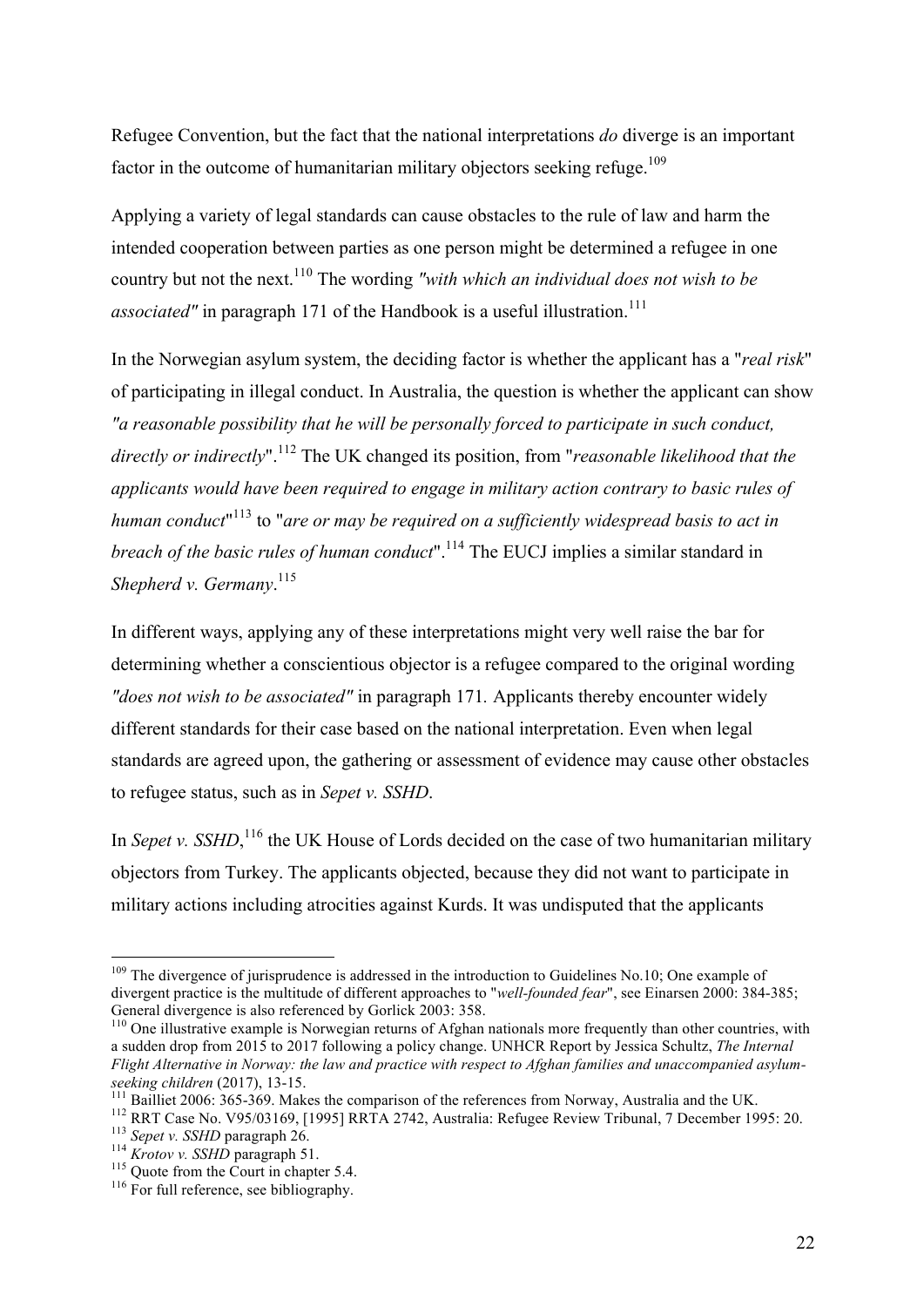Refugee Convention, but the fact that the national interpretations *do* diverge is an important factor in the outcome of humanitarian military objectors seeking refuge.<sup>109</sup>

Applying a variety of legal standards can cause obstacles to the rule of law and harm the intended cooperation between parties as one person might be determined a refugee in one country but not the next.<sup>110</sup> The wording *"with which an individual does not wish to be associated"* in paragraph 171 of the Handbook is a useful illustration.<sup>111</sup>

In the Norwegian asylum system, the deciding factor is whether the applicant has a "*real risk*" of participating in illegal conduct. In Australia, the question is whether the applicant can show *"a reasonable possibility that he will be personally forced to participate in such conduct, directly or indirectly*".<sup>112</sup> The UK changed its position, from "*reasonable likelihood that the applicants would have been required to engage in military action contrary to basic rules of*  human conduct<sup>"113</sup> to "are or may be required on a sufficiently widespread basis to act in *breach of the basic rules of human conduct*".<sup>114</sup> The EUCJ implies a similar standard in *Shepherd v. Germany*. 115

In different ways, applying any of these interpretations might very well raise the bar for determining whether a conscientious objector is a refugee compared to the original wording *"does not wish to be associated"* in paragraph 171*.* Applicants thereby encounter widely different standards for their case based on the national interpretation. Even when legal standards are agreed upon, the gathering or assessment of evidence may cause other obstacles to refugee status, such as in *Sepet v. SSHD*.

In *Sepet v. SSHD*,<sup>116</sup>, the UK House of Lords decided on the case of two humanitarian military objectors from Turkey. The applicants objected, because they did not want to participate in military actions including atrocities against Kurds. It was undisputed that the applicants

<sup>&</sup>lt;sup>109</sup> The divergence of jurisprudence is addressed in the introduction to Guidelines No.10; One example of divergent practice is the multitude of different approaches to "*well-founded fear*", see Einarsen 2000: 384-385;<br>General divergence is also referenced by Gorlick 2003: 358.

 $\frac{110}{20}$  One illustrative example is Norwegian returns of Afghan nationals more frequently than other countries, with a sudden drop from 2015 to 2017 following a policy change. UNHCR Report by Jessica Schultz, *The Internal Flight Alternative in Norway: the law and practice with respect to Afghan families and unaccompanied asylum-*

<sup>&</sup>lt;sup>111</sup> Bailliet 2006: 365-369. Makes the comparison of the references from Norway, Australia and the UK.<br><sup>112</sup> RRT Case No. V95/03169, [1995] RRTA 2742, Australia: Refugee Review Tribunal, 7 December 1995: 20.<br><sup>113</sup> Sepet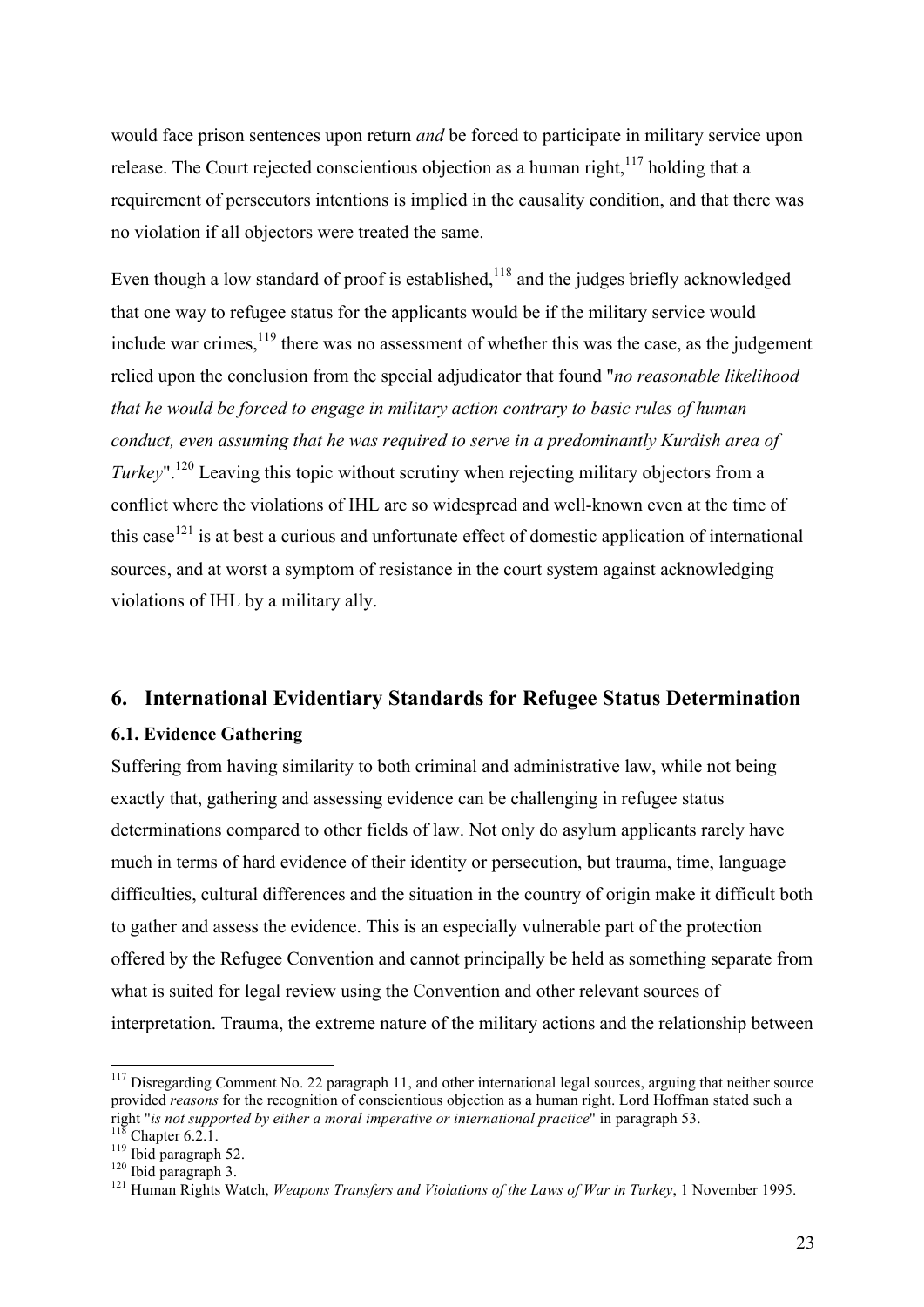would face prison sentences upon return *and* be forced to participate in military service upon release. The Court rejected conscientious objection as a human right.<sup>117</sup> holding that a requirement of persecutors intentions is implied in the causality condition, and that there was no violation if all objectors were treated the same.

Even though a low standard of proof is established, $118$  and the judges briefly acknowledged that one way to refugee status for the applicants would be if the military service would include war crimes,  $119$  there was no assessment of whether this was the case, as the judgement relied upon the conclusion from the special adjudicator that found "*no reasonable likelihood that he would be forced to engage in military action contrary to basic rules of human conduct, even assuming that he was required to serve in a predominantly Kurdish area of Turkey*".<sup>120</sup> Leaving this topic without scrutiny when rejecting military objectors from a conflict where the violations of IHL are so widespread and well-known even at the time of this case<sup>121</sup> is at best a curious and unfortunate effect of domestic application of international sources, and at worst a symptom of resistance in the court system against acknowledging violations of IHL by a military ally.

#### **6. International Evidentiary Standards for Refugee Status Determination**

#### **6.1. Evidence Gathering**

Suffering from having similarity to both criminal and administrative law, while not being exactly that, gathering and assessing evidence can be challenging in refugee status determinations compared to other fields of law. Not only do asylum applicants rarely have much in terms of hard evidence of their identity or persecution, but trauma, time, language difficulties, cultural differences and the situation in the country of origin make it difficult both to gather and assess the evidence. This is an especially vulnerable part of the protection offered by the Refugee Convention and cannot principally be held as something separate from what is suited for legal review using the Convention and other relevant sources of interpretation. Trauma, the extreme nature of the military actions and the relationship between

<sup>&</sup>lt;sup>117</sup> Disregarding Comment No. 22 paragraph 11, and other international legal sources, arguing that neither source provided *reasons* for the recognition of conscientious objection as a human right. Lord Hoffman stated such a right "*is not supported by either a moral imperative or international practice*" in paragraph 53.

<sup>&</sup>lt;sup>118</sup> Chapter 6.2.1.<br><sup>119</sup> Ibid paragraph 52.<br><sup>120</sup> Ibid paragraph 3.<br><sup>121</sup> Human Rights Watch, *Weapons Transfers and Violations of the Laws of War in Turkey*, 1 November 1995.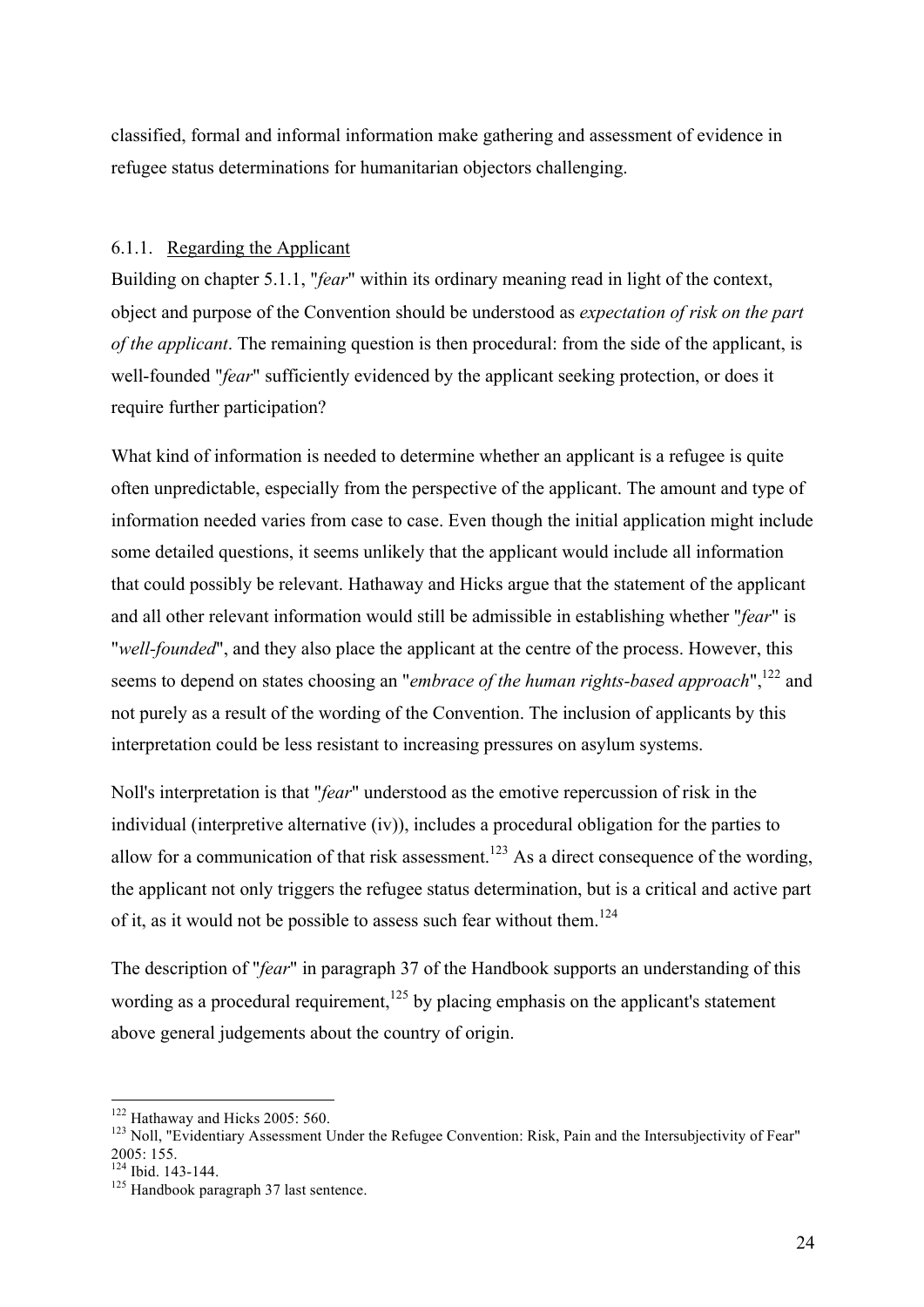classified, formal and informal information make gathering and assessment of evidence in refugee status determinations for humanitarian objectors challenging.

#### 6.1.1. Regarding the Applicant

Building on chapter 5.1.1, "*fear*" within its ordinary meaning read in light of the context, object and purpose of the Convention should be understood as *expectation of risk on the part of the applicant*. The remaining question is then procedural: from the side of the applicant, is well-founded "*fear*" sufficiently evidenced by the applicant seeking protection, or does it require further participation?

What kind of information is needed to determine whether an applicant is a refugee is quite often unpredictable, especially from the perspective of the applicant. The amount and type of information needed varies from case to case. Even though the initial application might include some detailed questions, it seems unlikely that the applicant would include all information that could possibly be relevant. Hathaway and Hicks argue that the statement of the applicant and all other relevant information would still be admissible in establishing whether "*fear*" is "*well-founded*", and they also place the applicant at the centre of the process. However, this seems to depend on states choosing an "*embrace of the human rights-based approach*",<sup>122</sup> and not purely as a result of the wording of the Convention. The inclusion of applicants by this interpretation could be less resistant to increasing pressures on asylum systems.

Noll's interpretation is that "*fear*" understood as the emotive repercussion of risk in the individual (interpretive alternative (iv)), includes a procedural obligation for the parties to allow for a communication of that risk assessment.<sup>123</sup> As a direct consequence of the wording, the applicant not only triggers the refugee status determination, but is a critical and active part of it, as it would not be possible to assess such fear without them.<sup>124</sup>

The description of "*fear*" in paragraph 37 of the Handbook supports an understanding of this wording as a procedural requirement,  $125$  by placing emphasis on the applicant's statement above general judgements about the country of origin.

<sup>&</sup>lt;sup>122</sup> Hathaway and Hicks 2005: 560.<br><sup>123</sup> Noll, "Evidentiary Assessment Under the Refugee Convention: Risk, Pain and the Intersubjectivity of Fear"<br>2005: 155.

 $\frac{124}{125}$  Ibid. 143-144.<br><sup>125</sup> Handbook paragraph 37 last sentence.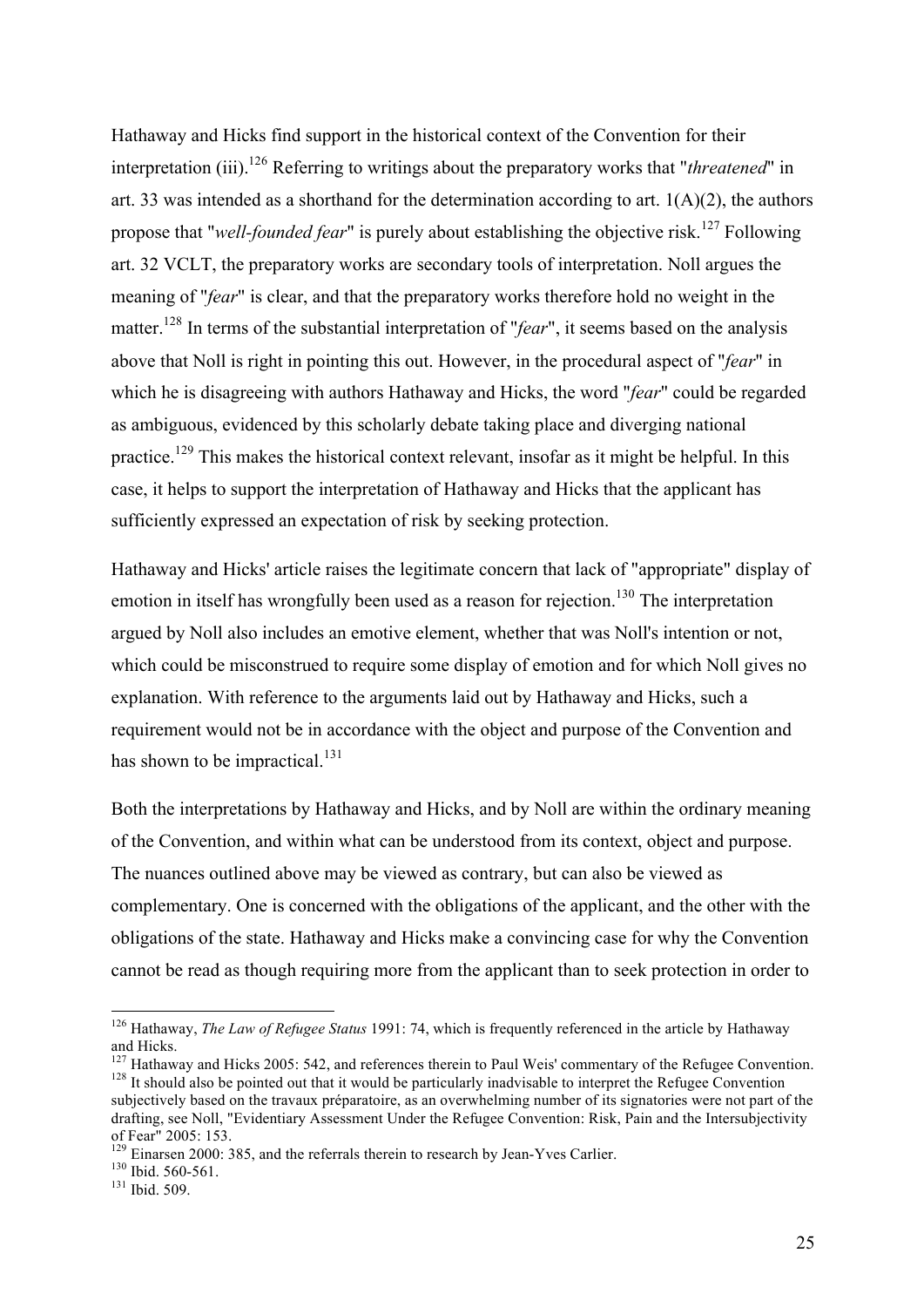Hathaway and Hicks find support in the historical context of the Convention for their interpretation (iii).126 Referring to writings about the preparatory works that "*threatened*" in art. 33 was intended as a shorthand for the determination according to art. 1(A)(2), the authors propose that "*well-founded fear*" is purely about establishing the objective risk.<sup>127</sup> Following art. 32 VCLT, the preparatory works are secondary tools of interpretation. Noll argues the meaning of "*fear*" is clear, and that the preparatory works therefore hold no weight in the matter.<sup>128</sup> In terms of the substantial interpretation of "*fear*", it seems based on the analysis above that Noll is right in pointing this out. However, in the procedural aspect of "*fear*" in which he is disagreeing with authors Hathaway and Hicks, the word "*fear*" could be regarded as ambiguous, evidenced by this scholarly debate taking place and diverging national practice.<sup>129</sup> This makes the historical context relevant, insofar as it might be helpful. In this case, it helps to support the interpretation of Hathaway and Hicks that the applicant has sufficiently expressed an expectation of risk by seeking protection.

Hathaway and Hicks' article raises the legitimate concern that lack of "appropriate" display of emotion in itself has wrongfully been used as a reason for rejection.<sup>130</sup> The interpretation argued by Noll also includes an emotive element, whether that was Noll's intention or not, which could be misconstrued to require some display of emotion and for which Noll gives no explanation. With reference to the arguments laid out by Hathaway and Hicks, such a requirement would not be in accordance with the object and purpose of the Convention and has shown to be impractical.<sup>131</sup>

Both the interpretations by Hathaway and Hicks, and by Noll are within the ordinary meaning of the Convention, and within what can be understood from its context, object and purpose. The nuances outlined above may be viewed as contrary, but can also be viewed as complementary. One is concerned with the obligations of the applicant, and the other with the obligations of the state. Hathaway and Hicks make a convincing case for why the Convention cannot be read as though requiring more from the applicant than to seek protection in order to

 <sup>126</sup> Hathaway, *The Law of Refugee Status* 1991: 74, which is frequently referenced in the article by Hathaway and Hicks.<br><sup>127</sup> Hathawav and Hicks 2005: 542, and references therein to Paul Weis' commentary of the Refugee Convention.

Hathaway and Hicks 2005: 542, and references therein to Paul Weis' commentary of the Refugee Convention. 128 It should also be pointed out that it would be particularly inadvisable to interpret the Refugee Convention. subjectively based on the travaux préparatoire, as an overwhelming number of its signatories were not part of the drafting, see Noll, "Evidentiary Assessment Under the Refugee Convention: Risk, Pain and the Intersubjectivity

<sup>&</sup>lt;sup>129</sup> Einarsen 2000: 385, and the referrals therein to research by Jean-Yves Carlier. <sup>130</sup> Ibid. 560-561.<br><sup>131</sup> Ibid. 509.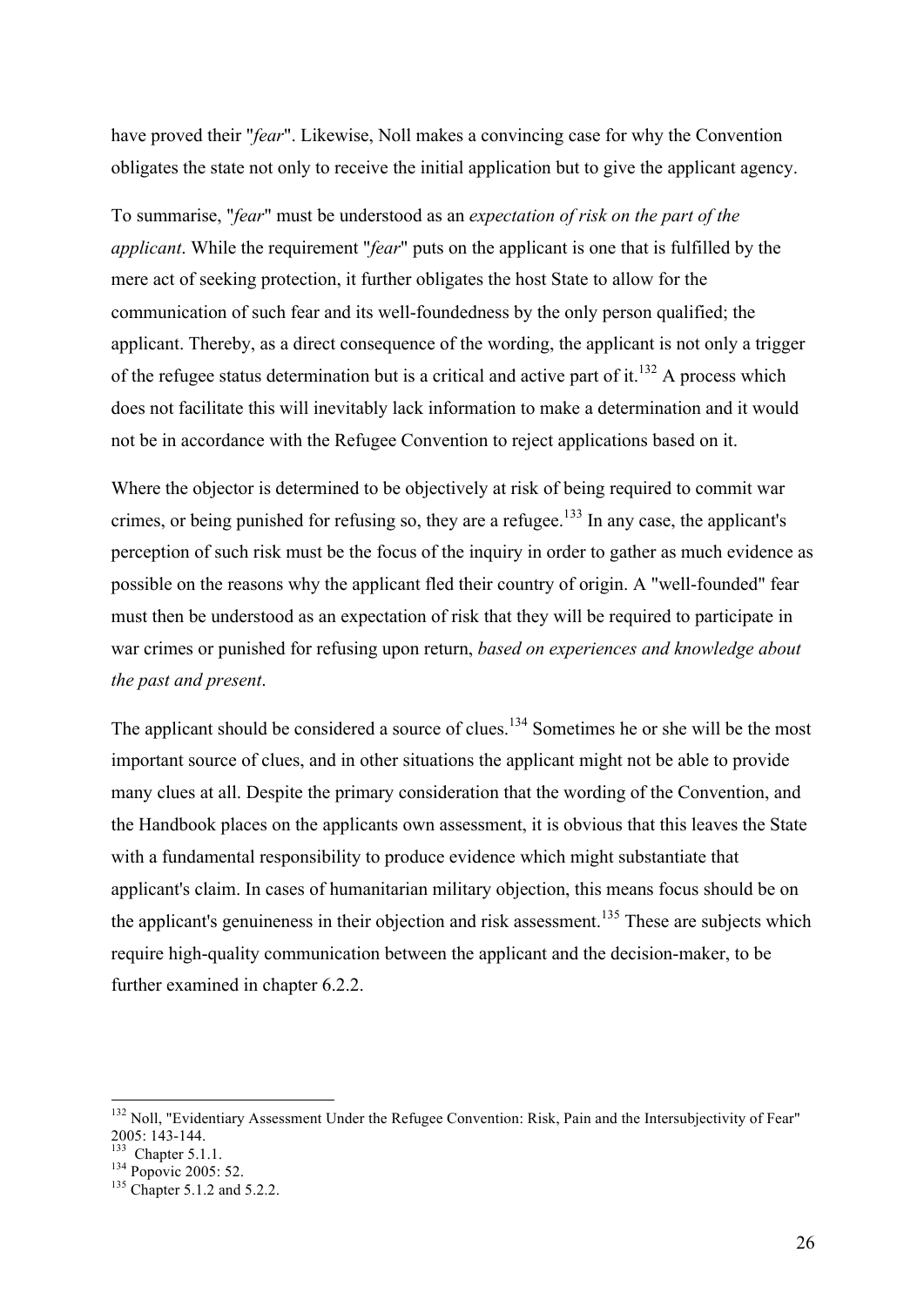have proved their "*fear*". Likewise, Noll makes a convincing case for why the Convention obligates the state not only to receive the initial application but to give the applicant agency.

To summarise, "*fear*" must be understood as an *expectation of risk on the part of the applicant*. While the requirement "*fear*" puts on the applicant is one that is fulfilled by the mere act of seeking protection, it further obligates the host State to allow for the communication of such fear and its well-foundedness by the only person qualified; the applicant. Thereby, as a direct consequence of the wording, the applicant is not only a trigger of the refugee status determination but is a critical and active part of it.<sup>132</sup> A process which does not facilitate this will inevitably lack information to make a determination and it would not be in accordance with the Refugee Convention to reject applications based on it.

Where the objector is determined to be objectively at risk of being required to commit war crimes, or being punished for refusing so, they are a refugee.<sup>133</sup> In any case, the applicant's perception of such risk must be the focus of the inquiry in order to gather as much evidence as possible on the reasons why the applicant fled their country of origin. A "well-founded" fear must then be understood as an expectation of risk that they will be required to participate in war crimes or punished for refusing upon return, *based on experiences and knowledge about the past and present*.

The applicant should be considered a source of clues.<sup>134</sup> Sometimes he or she will be the most important source of clues, and in other situations the applicant might not be able to provide many clues at all. Despite the primary consideration that the wording of the Convention, and the Handbook places on the applicants own assessment, it is obvious that this leaves the State with a fundamental responsibility to produce evidence which might substantiate that applicant's claim. In cases of humanitarian military objection, this means focus should be on the applicant's genuineness in their objection and risk assessment.<sup>135</sup> These are subjects which require high-quality communication between the applicant and the decision-maker, to be further examined in chapter 6.2.2.

<sup>&</sup>lt;sup>132</sup> Noll, "Evidentiary Assessment Under the Refugee Convention: Risk, Pain and the Intersubjectivity of Fear"<br>2005: 143-144.

<sup>&</sup>lt;sup>133</sup> Chapter 5.1.1.<br><sup>134</sup> Popovic 2005: 52.<br><sup>135</sup> Chapter 5.1.2 and 5.2.2.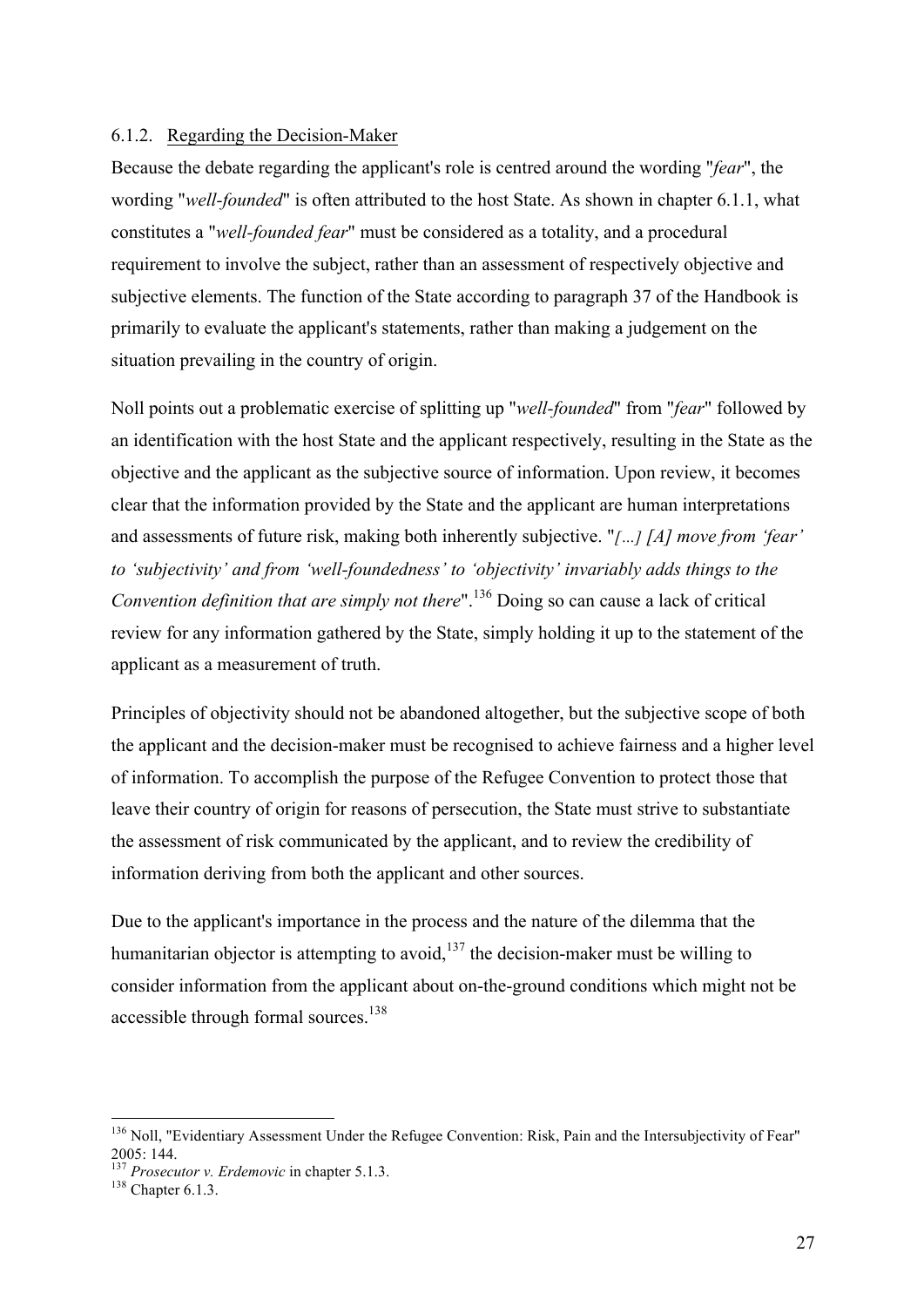#### 6.1.2. Regarding the Decision-Maker

Because the debate regarding the applicant's role is centred around the wording "*fear*", the wording "*well-founded*" is often attributed to the host State. As shown in chapter 6.1.1, what constitutes a "*well-founded fear*" must be considered as a totality, and a procedural requirement to involve the subject, rather than an assessment of respectively objective and subjective elements. The function of the State according to paragraph 37 of the Handbook is primarily to evaluate the applicant's statements, rather than making a judgement on the situation prevailing in the country of origin.

Noll points out a problematic exercise of splitting up "*well-founded*" from "*fear*" followed by an identification with the host State and the applicant respectively, resulting in the State as the objective and the applicant as the subjective source of information. Upon review, it becomes clear that the information provided by the State and the applicant are human interpretations and assessments of future risk, making both inherently subjective. "*[…] [A] move from 'fear' to 'subjectivity' and from 'well-foundedness' to 'objectivity' invariably adds things to the Convention definition that are simply not there*".<sup>136</sup> Doing so can cause a lack of critical review for any information gathered by the State, simply holding it up to the statement of the applicant as a measurement of truth.

Principles of objectivity should not be abandoned altogether, but the subjective scope of both the applicant and the decision-maker must be recognised to achieve fairness and a higher level of information. To accomplish the purpose of the Refugee Convention to protect those that leave their country of origin for reasons of persecution, the State must strive to substantiate the assessment of risk communicated by the applicant, and to review the credibility of information deriving from both the applicant and other sources.

Due to the applicant's importance in the process and the nature of the dilemma that the humanitarian objector is attempting to avoid, $137$  the decision-maker must be willing to consider information from the applicant about on-the-ground conditions which might not be accessible through formal sources.<sup>138</sup>

<sup>&</sup>lt;sup>136</sup> Noll, "Evidentiary Assessment Under the Refugee Convention: Risk, Pain and the Intersubjectivity of Fear" 2005: 144. 137 *Prosecutor v. Erdemovic* in chapter 5.1.3. 138 Chapter 6.1.3.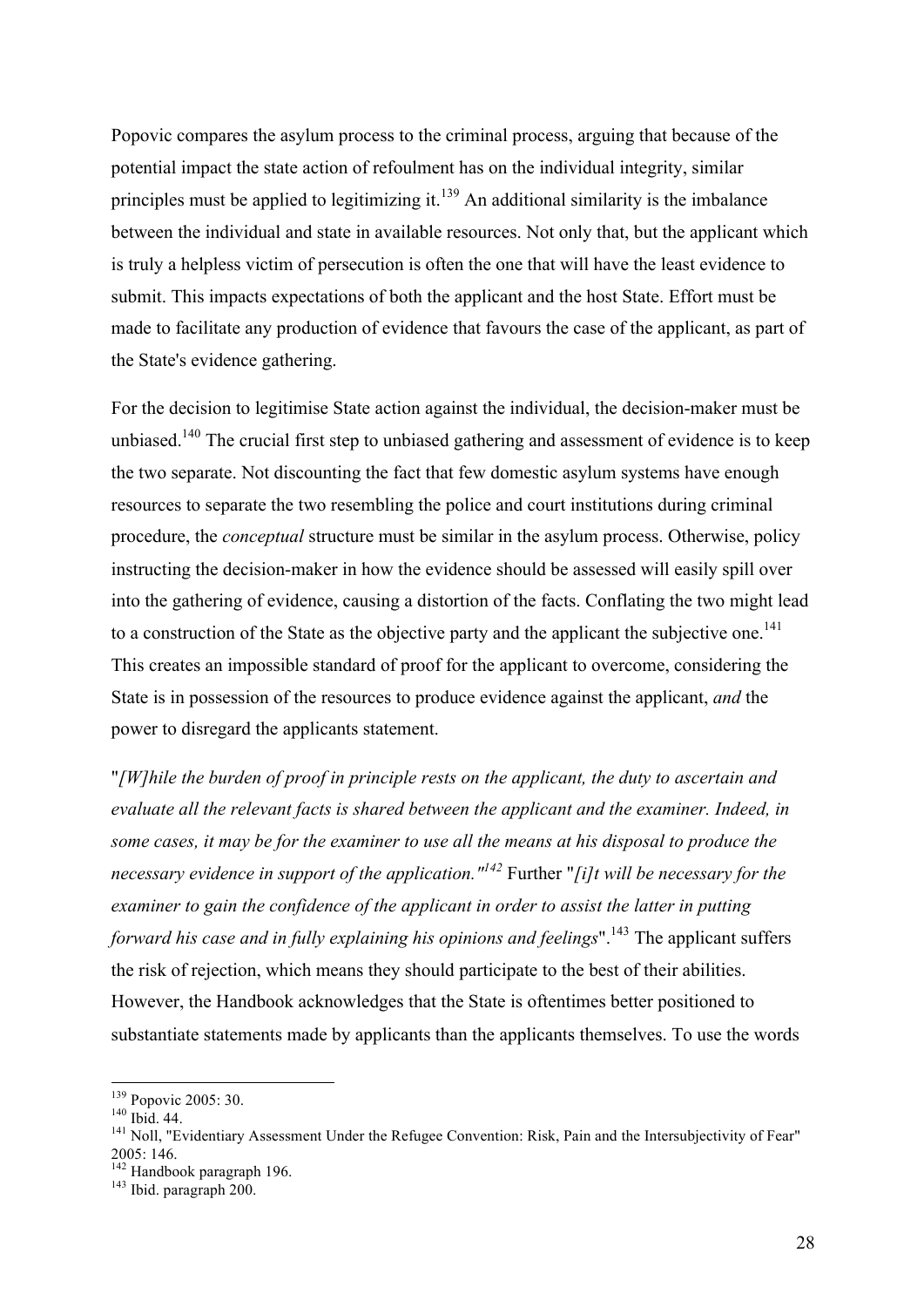Popovic compares the asylum process to the criminal process, arguing that because of the potential impact the state action of refoulment has on the individual integrity, similar principles must be applied to legitimizing it.<sup>139</sup> An additional similarity is the imbalance between the individual and state in available resources. Not only that, but the applicant which is truly a helpless victim of persecution is often the one that will have the least evidence to submit. This impacts expectations of both the applicant and the host State. Effort must be made to facilitate any production of evidence that favours the case of the applicant, as part of the State's evidence gathering.

For the decision to legitimise State action against the individual, the decision-maker must be unbiased.<sup>140</sup> The crucial first step to unbiased gathering and assessment of evidence is to keep the two separate. Not discounting the fact that few domestic asylum systems have enough resources to separate the two resembling the police and court institutions during criminal procedure, the *conceptual* structure must be similar in the asylum process. Otherwise, policy instructing the decision-maker in how the evidence should be assessed will easily spill over into the gathering of evidence, causing a distortion of the facts. Conflating the two might lead to a construction of the State as the objective party and the applicant the subjective one.<sup>141</sup> This creates an impossible standard of proof for the applicant to overcome, considering the State is in possession of the resources to produce evidence against the applicant, *and* the power to disregard the applicants statement.

"*[W]hile the burden of proof in principle rests on the applicant, the duty to ascertain and evaluate all the relevant facts is shared between the applicant and the examiner. Indeed, in some cases, it may be for the examiner to use all the means at his disposal to produce the necessary evidence in support of the application."<sup>142</sup>* Further "*[i]t will be necessary for the examiner to gain the confidence of the applicant in order to assist the latter in putting forward his case and in fully explaining his opinions and feelings*".<sup>143</sup> The applicant suffers the risk of rejection, which means they should participate to the best of their abilities. However, the Handbook acknowledges that the State is oftentimes better positioned to substantiate statements made by applicants than the applicants themselves. To use the words

<sup>&</sup>lt;sup>139</sup> Popovic 2005: 30.<br><sup>140</sup> Ibid. 44.<br><sup>141</sup> Noll, "Evidentiary Assessment Under the Refugee Convention: Risk, Pain and the Intersubjectivity of Fear"<br>2005: 146.

<sup>&</sup>lt;sup>142</sup> Handbook paragraph 196.<br><sup>143</sup> Ibid. paragraph 200.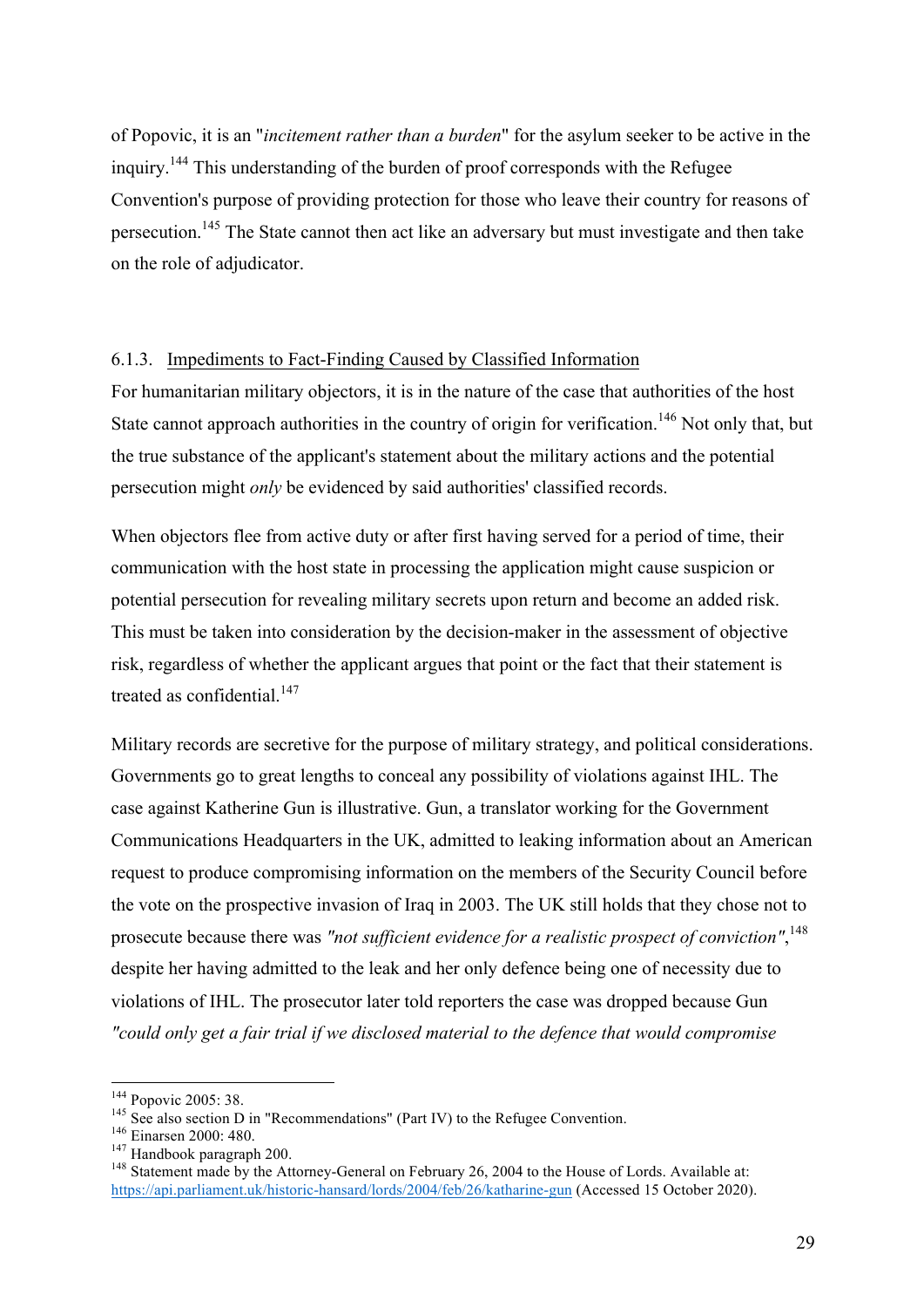of Popovic, it is an "*incitement rather than a burden*" for the asylum seeker to be active in the inquiry.<sup>144</sup> This understanding of the burden of proof corresponds with the Refugee Convention's purpose of providing protection for those who leave their country for reasons of persecution.<sup>145</sup> The State cannot then act like an adversary but must investigate and then take on the role of adjudicator.

#### 6.1.3. Impediments to Fact-Finding Caused by Classified Information

For humanitarian military objectors, it is in the nature of the case that authorities of the host State cannot approach authorities in the country of origin for verification.<sup>146</sup> Not only that, but the true substance of the applicant's statement about the military actions and the potential persecution might *only* be evidenced by said authorities' classified records.

When objectors flee from active duty or after first having served for a period of time, their communication with the host state in processing the application might cause suspicion or potential persecution for revealing military secrets upon return and become an added risk. This must be taken into consideration by the decision-maker in the assessment of objective risk, regardless of whether the applicant argues that point or the fact that their statement is treated as confidential. $147$ 

Military records are secretive for the purpose of military strategy, and political considerations. Governments go to great lengths to conceal any possibility of violations against IHL. The case against Katherine Gun is illustrative. Gun, a translator working for the Government Communications Headquarters in the UK, admitted to leaking information about an American request to produce compromising information on the members of the Security Council before the vote on the prospective invasion of Iraq in 2003. The UK still holds that they chose not to prosecute because there was *"not sufficient evidence for a realistic prospect of conviction"*, 148 despite her having admitted to the leak and her only defence being one of necessity due to violations of IHL. The prosecutor later told reporters the case was dropped because Gun *"could only get a fair trial if we disclosed material to the defence that would compromise* 

<sup>&</sup>lt;sup>144</sup> Popovic 2005: 38.<br><sup>145</sup> See also section D in "Recommendations" (Part IV) to the Refugee Convention.<br><sup>146</sup> Einarsen 2000: 480.<br><sup>147</sup> Handbook paragraph 200.<br><sup>148</sup> Statement made by the Attorney-General on February 2

https://api.parliament.uk/historic-hansard/lords/2004/feb/26/katharine-gun (Accessed 15 October 2020).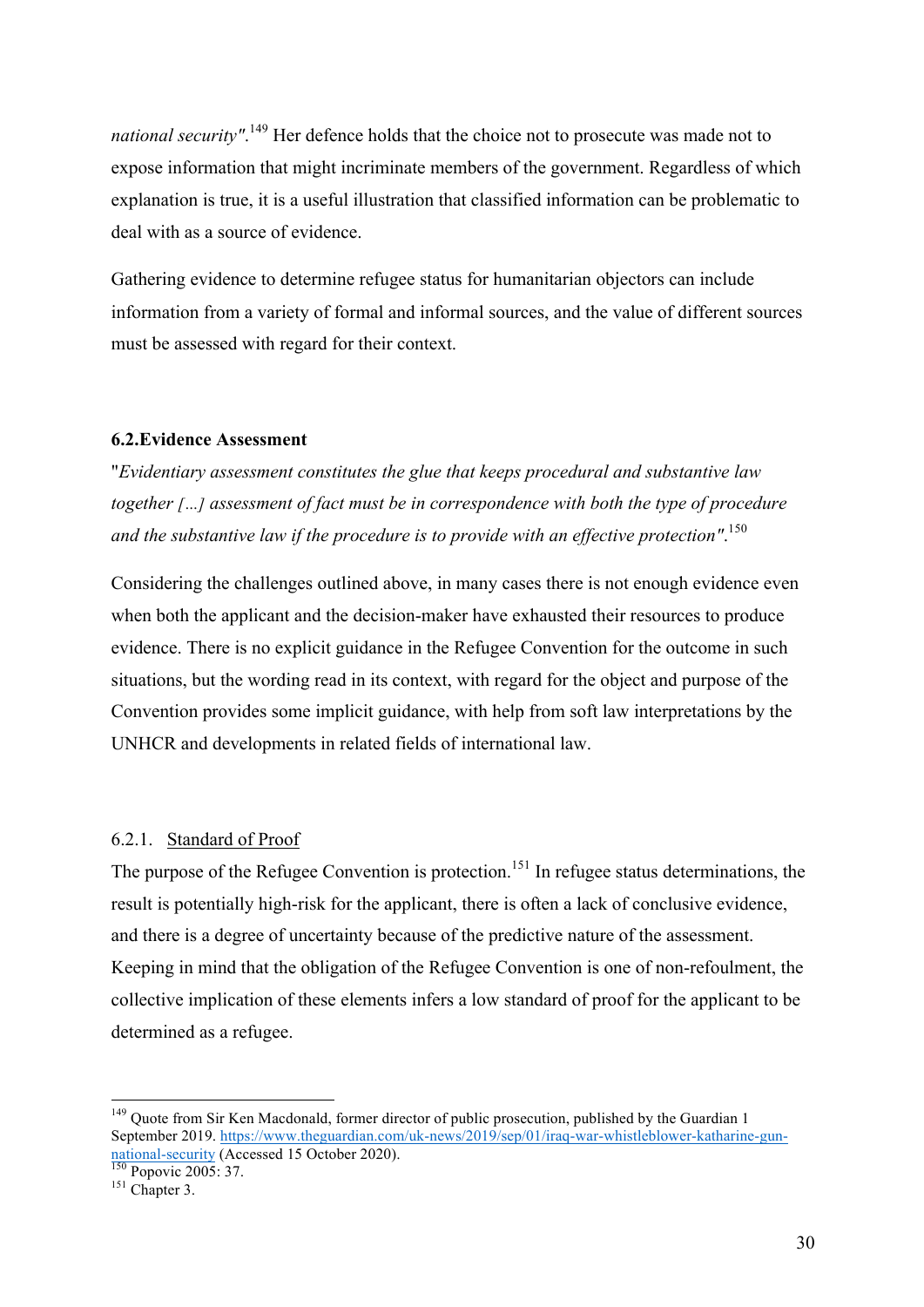national security".<sup>149</sup> Her defence holds that the choice not to prosecute was made not to expose information that might incriminate members of the government. Regardless of which explanation is true, it is a useful illustration that classified information can be problematic to deal with as a source of evidence.

Gathering evidence to determine refugee status for humanitarian objectors can include information from a variety of formal and informal sources, and the value of different sources must be assessed with regard for their context.

#### **6.2.Evidence Assessment**

"*Evidentiary assessment constitutes the glue that keeps procedural and substantive law together […] assessment of fact must be in correspondence with both the type of procedure and the substantive law if the procedure is to provide with an effective protection"*. 150

Considering the challenges outlined above, in many cases there is not enough evidence even when both the applicant and the decision-maker have exhausted their resources to produce evidence. There is no explicit guidance in the Refugee Convention for the outcome in such situations, but the wording read in its context, with regard for the object and purpose of the Convention provides some implicit guidance, with help from soft law interpretations by the UNHCR and developments in related fields of international law.

#### 6.2.1. Standard of Proof

The purpose of the Refugee Convention is protection.<sup>151</sup> In refugee status determinations, the result is potentially high-risk for the applicant, there is often a lack of conclusive evidence, and there is a degree of uncertainty because of the predictive nature of the assessment. Keeping in mind that the obligation of the Refugee Convention is one of non-refoulment, the collective implication of these elements infers a low standard of proof for the applicant to be determined as a refugee.

<sup>&</sup>lt;sup>149</sup> Quote from Sir Ken Macdonald, former director of public prosecution, published by the Guardian 1 September 2019. https://www.theguardian.com/uk-news/2019/sep/01/iraq-war-whistleblower-katharine-gunnational-security (Accessed 15 October 2020).<br>
<sup>150</sup> Popovic 2005: 37.<br>
<sup>151</sup> Chapter 3.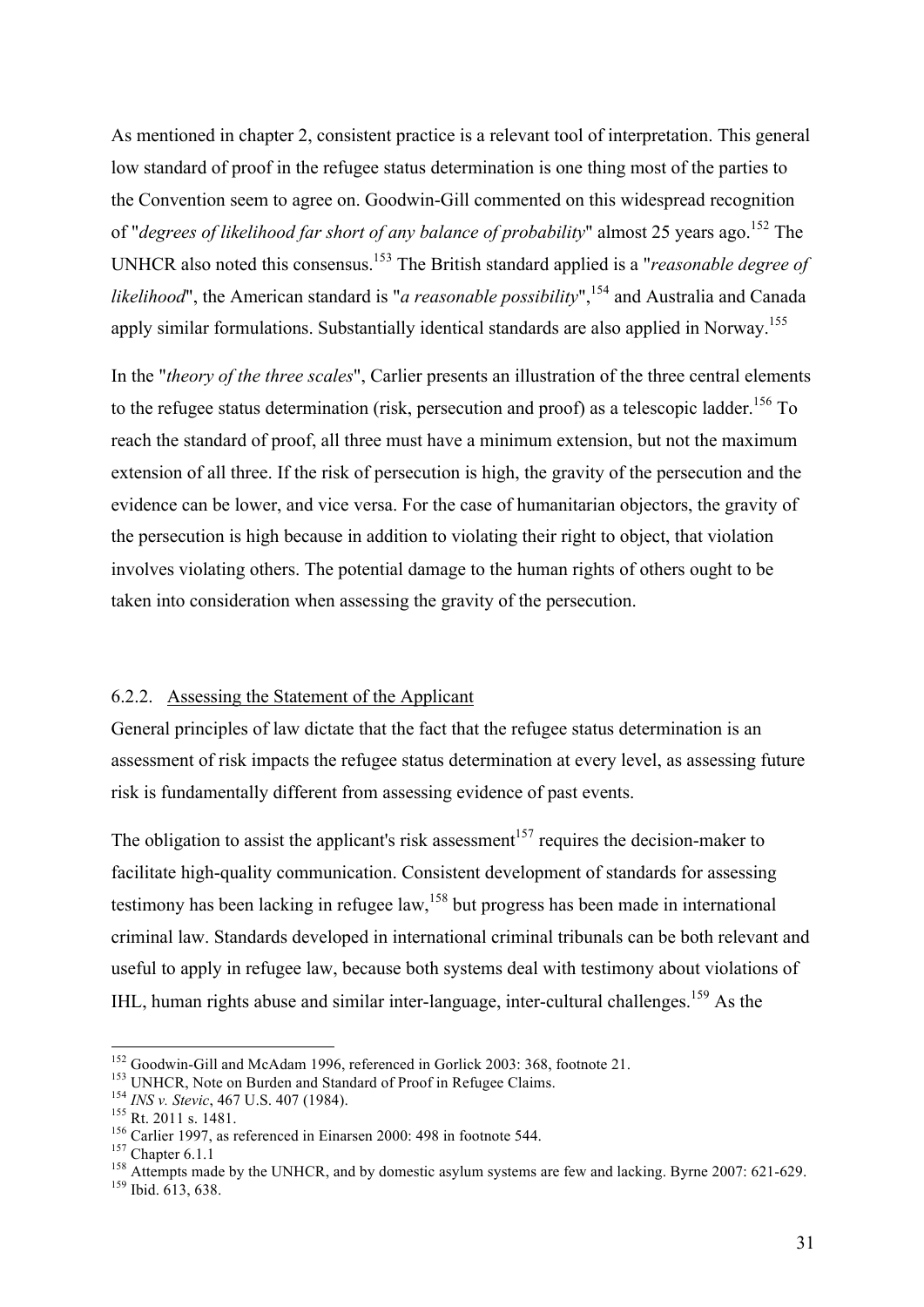As mentioned in chapter 2, consistent practice is a relevant tool of interpretation. This general low standard of proof in the refugee status determination is one thing most of the parties to the Convention seem to agree on. Goodwin-Gill commented on this widespread recognition of "*degrees of likelihood far short of any balance of probability*" almost 25 years ago. <sup>152</sup> The UNHCR also noted this consensus. <sup>153</sup> The British standard applied is a "*reasonable degree of likelihood*", the American standard is "*a reasonable possibility*", <sup>154</sup> and Australia and Canada apply similar formulations. Substantially identical standards are also applied in Norway.<sup>155</sup>

In the "*theory of the three scales*", Carlier presents an illustration of the three central elements to the refugee status determination (risk, persecution and proof) as a telescopic ladder.<sup>156</sup> To reach the standard of proof, all three must have a minimum extension, but not the maximum extension of all three. If the risk of persecution is high, the gravity of the persecution and the evidence can be lower, and vice versa. For the case of humanitarian objectors, the gravity of the persecution is high because in addition to violating their right to object, that violation involves violating others. The potential damage to the human rights of others ought to be taken into consideration when assessing the gravity of the persecution.

#### 6.2.2. Assessing the Statement of the Applicant

General principles of law dictate that the fact that the refugee status determination is an assessment of risk impacts the refugee status determination at every level, as assessing future risk is fundamentally different from assessing evidence of past events.

The obligation to assist the applicant's risk assessment<sup>157</sup> requires the decision-maker to facilitate high-quality communication. Consistent development of standards for assessing testimony has been lacking in refugee law,<sup>158</sup> but progress has been made in international criminal law. Standards developed in international criminal tribunals can be both relevant and useful to apply in refugee law, because both systems deal with testimony about violations of IHL, human rights abuse and similar inter-language, inter-cultural challenges.<sup>159</sup> As the

<sup>&</sup>lt;sup>152</sup> Goodwin-Gill and McAdam 1996, referenced in Gorlick 2003: 368, footnote 21.<br><sup>153</sup> UNHCR, Note on Burden and Standard of Proof in Refugee Claims.<br><sup>154</sup> *INS v. Stevic*, 467 U.S. 407 (1984).<br><sup>155</sup> Rt. 2011 s. 1481.<br><sup>1</sup>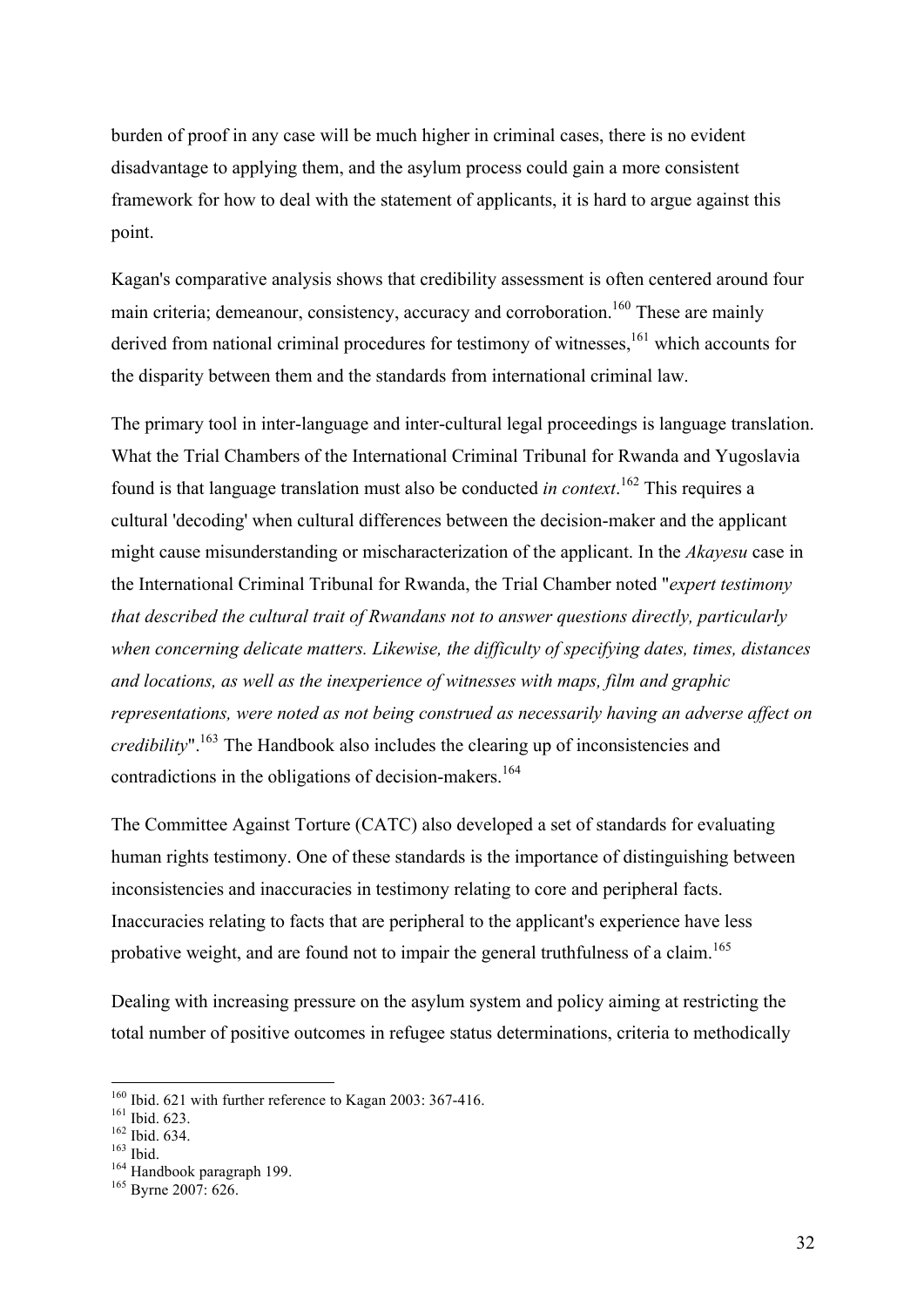burden of proof in any case will be much higher in criminal cases, there is no evident disadvantage to applying them, and the asylum process could gain a more consistent framework for how to deal with the statement of applicants, it is hard to argue against this point.

Kagan's comparative analysis shows that credibility assessment is often centered around four main criteria; demeanour, consistency, accuracy and corroboration.<sup>160</sup> These are mainly derived from national criminal procedures for testimony of witnesses,<sup>161</sup> which accounts for the disparity between them and the standards from international criminal law.

The primary tool in inter-language and inter-cultural legal proceedings is language translation. What the Trial Chambers of the International Criminal Tribunal for Rwanda and Yugoslavia found is that language translation must also be conducted *in context*. <sup>162</sup> This requires a cultural 'decoding' when cultural differences between the decision-maker and the applicant might cause misunderstanding or mischaracterization of the applicant. In the *Akayesu* case in the International Criminal Tribunal for Rwanda, the Trial Chamber noted "*expert testimony that described the cultural trait of Rwandans not to answer questions directly, particularly when concerning delicate matters. Likewise, the difficulty of specifying dates, times, distances and locations, as well as the inexperience of witnesses with maps, film and graphic representations, were noted as not being construed as necessarily having an adverse affect on credibility*".<sup>163</sup> The Handbook also includes the clearing up of inconsistencies and contradictions in the obligations of decision-makers.<sup>164</sup>

The Committee Against Torture (CATC) also developed a set of standards for evaluating human rights testimony. One of these standards is the importance of distinguishing between inconsistencies and inaccuracies in testimony relating to core and peripheral facts. Inaccuracies relating to facts that are peripheral to the applicant's experience have less probative weight, and are found not to impair the general truthfulness of a claim.<sup>165</sup>

Dealing with increasing pressure on the asylum system and policy aiming at restricting the total number of positive outcomes in refugee status determinations, criteria to methodically

<sup>&</sup>lt;sup>160</sup> Ibid. 621 with further reference to Kagan 2003: 367-416.<br><sup>161</sup> Ibid. 623.<br><sup>162</sup> Ibid. 634.<br><sup>164</sup> Handbook paragraph 199.<br><sup>164</sup> Byrne 2007: 626.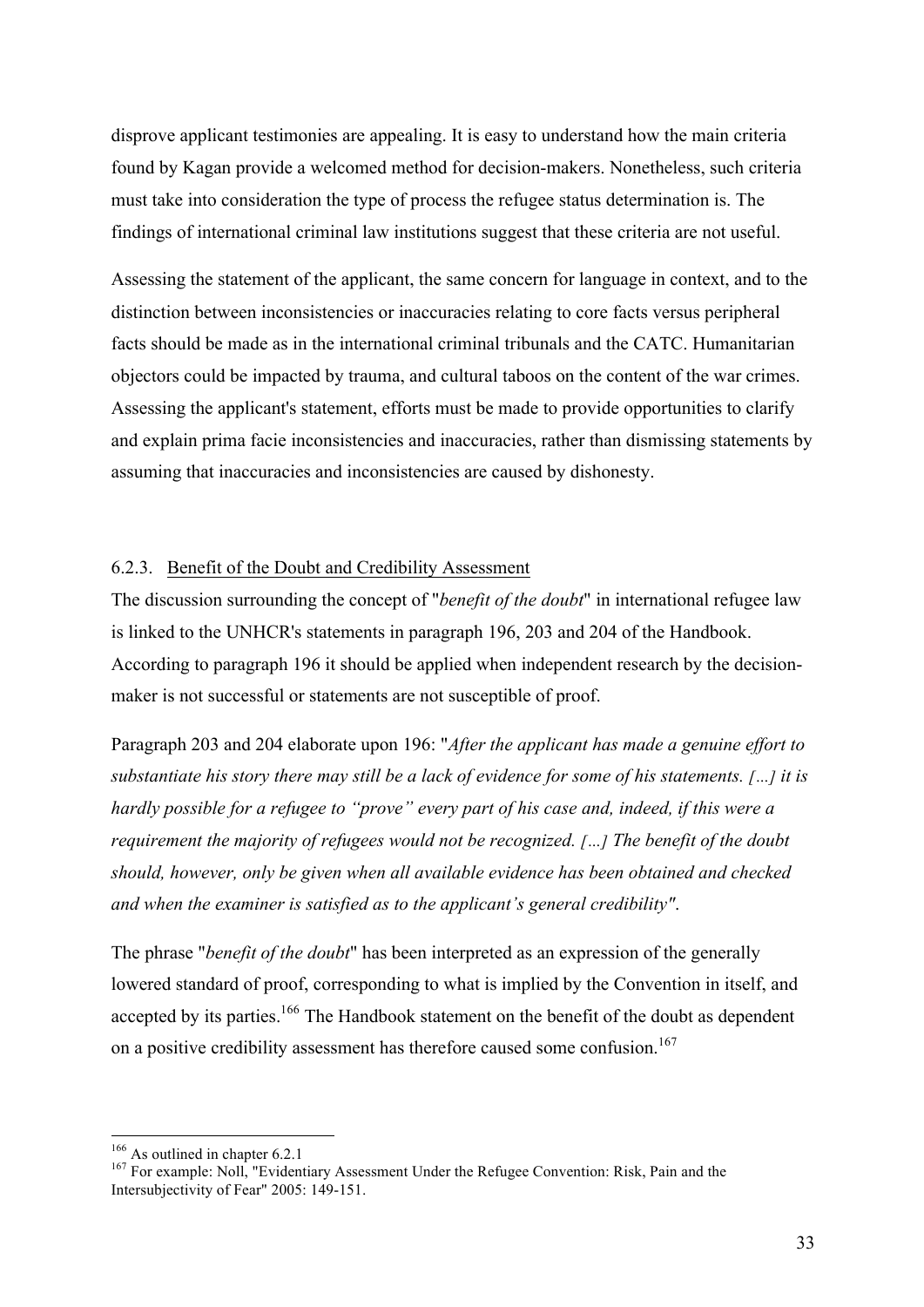disprove applicant testimonies are appealing. It is easy to understand how the main criteria found by Kagan provide a welcomed method for decision-makers. Nonetheless, such criteria must take into consideration the type of process the refugee status determination is. The findings of international criminal law institutions suggest that these criteria are not useful.

Assessing the statement of the applicant, the same concern for language in context, and to the distinction between inconsistencies or inaccuracies relating to core facts versus peripheral facts should be made as in the international criminal tribunals and the CATC. Humanitarian objectors could be impacted by trauma, and cultural taboos on the content of the war crimes. Assessing the applicant's statement, efforts must be made to provide opportunities to clarify and explain prima facie inconsistencies and inaccuracies, rather than dismissing statements by assuming that inaccuracies and inconsistencies are caused by dishonesty.

#### 6.2.3. Benefit of the Doubt and Credibility Assessment

The discussion surrounding the concept of "*benefit of the doubt*" in international refugee law is linked to the UNHCR's statements in paragraph 196, 203 and 204 of the Handbook. According to paragraph 196 it should be applied when independent research by the decisionmaker is not successful or statements are not susceptible of proof.

Paragraph 203 and 204 elaborate upon 196: "*After the applicant has made a genuine effort to substantiate his story there may still be a lack of evidence for some of his statements. […] it is hardly possible for a refugee to "prove" every part of his case and, indeed, if this were a requirement the majority of refugees would not be recognized. […] The benefit of the doubt should, however, only be given when all available evidence has been obtained and checked and when the examiner is satisfied as to the applicant's general credibility"*.

The phrase "*benefit of the doubt*" has been interpreted as an expression of the generally lowered standard of proof, corresponding to what is implied by the Convention in itself, and accepted by its parties.<sup>166</sup> The Handbook statement on the benefit of the doubt as dependent on a positive credibility assessment has therefore caused some confusion.<sup>167</sup>

<sup>&</sup>lt;sup>166</sup> As outlined in chapter 6.2.1<br><sup>167</sup> For example: Noll, "Evidentiary Assessment Under the Refugee Convention: Risk, Pain and the Intersubjectivity of Fear" 2005: 149-151.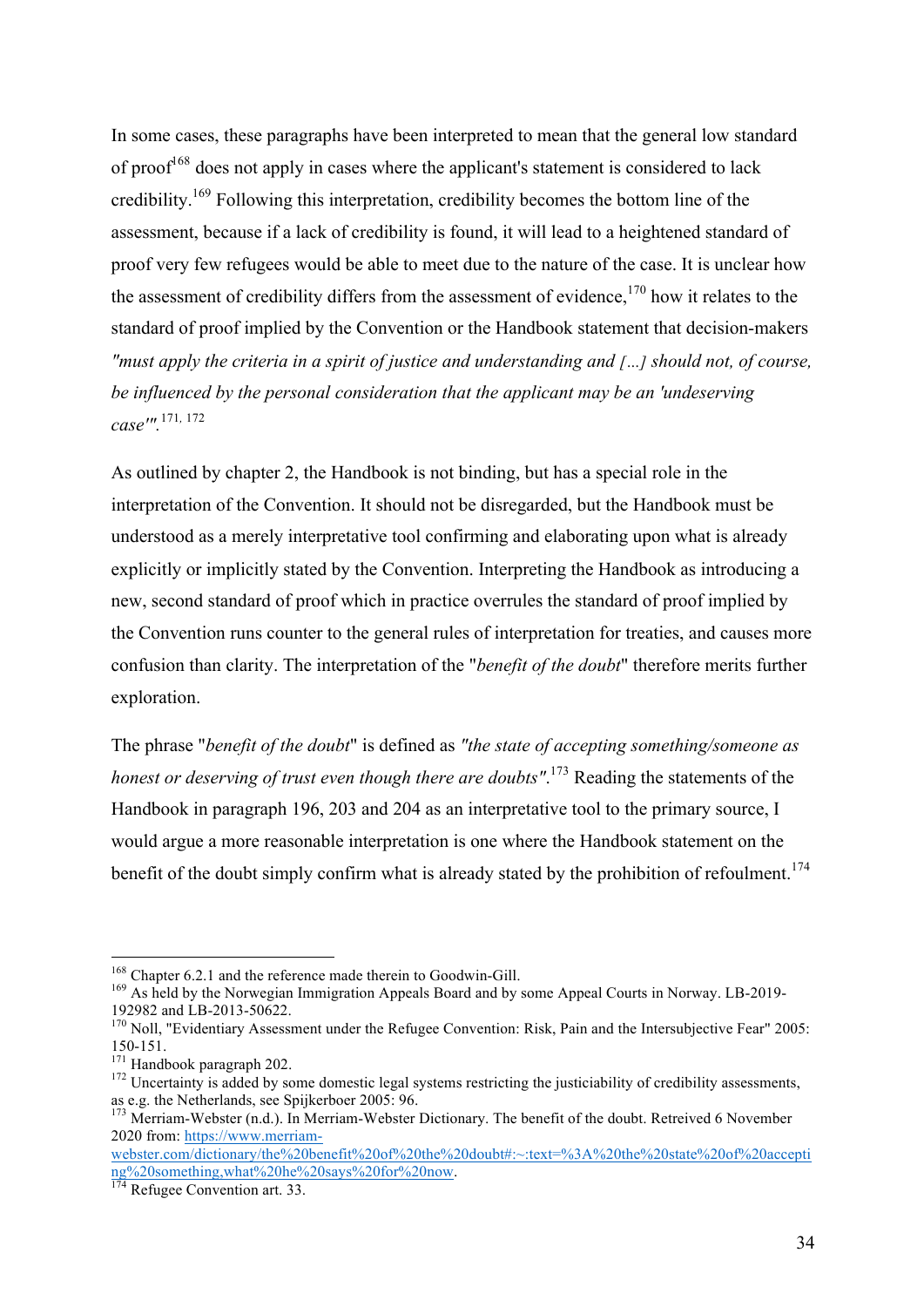In some cases, these paragraphs have been interpreted to mean that the general low standard of proof<sup> $168$ </sup> does not apply in cases where the applicant's statement is considered to lack credibility.<sup>169</sup> Following this interpretation, credibility becomes the bottom line of the assessment, because if a lack of credibility is found, it will lead to a heightened standard of proof very few refugees would be able to meet due to the nature of the case. It is unclear how the assessment of credibility differs from the assessment of evidence,  $170$  how it relates to the standard of proof implied by the Convention or the Handbook statement that decision-makers *"must apply the criteria in a spirit of justice and understanding and […] should not, of course, be influenced by the personal consideration that the applicant may be an 'undeserving case'".*<sup>171</sup>*,* <sup>172</sup>

As outlined by chapter 2, the Handbook is not binding, but has a special role in the interpretation of the Convention. It should not be disregarded, but the Handbook must be understood as a merely interpretative tool confirming and elaborating upon what is already explicitly or implicitly stated by the Convention. Interpreting the Handbook as introducing a new, second standard of proof which in practice overrules the standard of proof implied by the Convention runs counter to the general rules of interpretation for treaties, and causes more confusion than clarity. The interpretation of the "*benefit of the doubt*" therefore merits further exploration.

The phrase "*benefit of the doubt*" is defined as *"the state of accepting something/someone as honest or deserving of trust even though there are doubts"*. <sup>173</sup> Reading the statements of the Handbook in paragraph 196, 203 and 204 as an interpretative tool to the primary source, I would argue a more reasonable interpretation is one where the Handbook statement on the benefit of the doubt simply confirm what is already stated by the prohibition of refoulment.<sup>174</sup>

<sup>&</sup>lt;sup>168</sup> Chapter 6.2.1 and the reference made therein to Goodwin-Gill.<br><sup>169</sup> As held by the Norwegian Immigration Appeals Board and by some Appeal Courts in Norway. LB-2019-<br>192982 and LB-2013-50622.

 $170$  Noll. "Evidentiary Assessment under the Refugee Convention: Risk, Pain and the Intersubjective Fear" 2005:

<sup>150-151.&</sup>lt;br><sup>171</sup> Handbook paragraph 202.<br><sup>172</sup> Uncertainty is added by some domestic legal systems restricting the justiciability of credibility assessments,<br>as e.g. the Netherlands, see Spijkerboer 2005: 96.

 $173$  Merriam-Webster (n.d.). In Merriam-Webster Dictionary. The benefit of the doubt. Retreived 6 November 2020 from: https://www.merriam-

webster.com/dictionary/the%20benefit%20of%20the%20doubt#:~:text=%3A%20the%20state%20of%20accepti ng%20something,what%20he%20says%20for%20now. <sup>174</sup> Refugee Convention art. 33.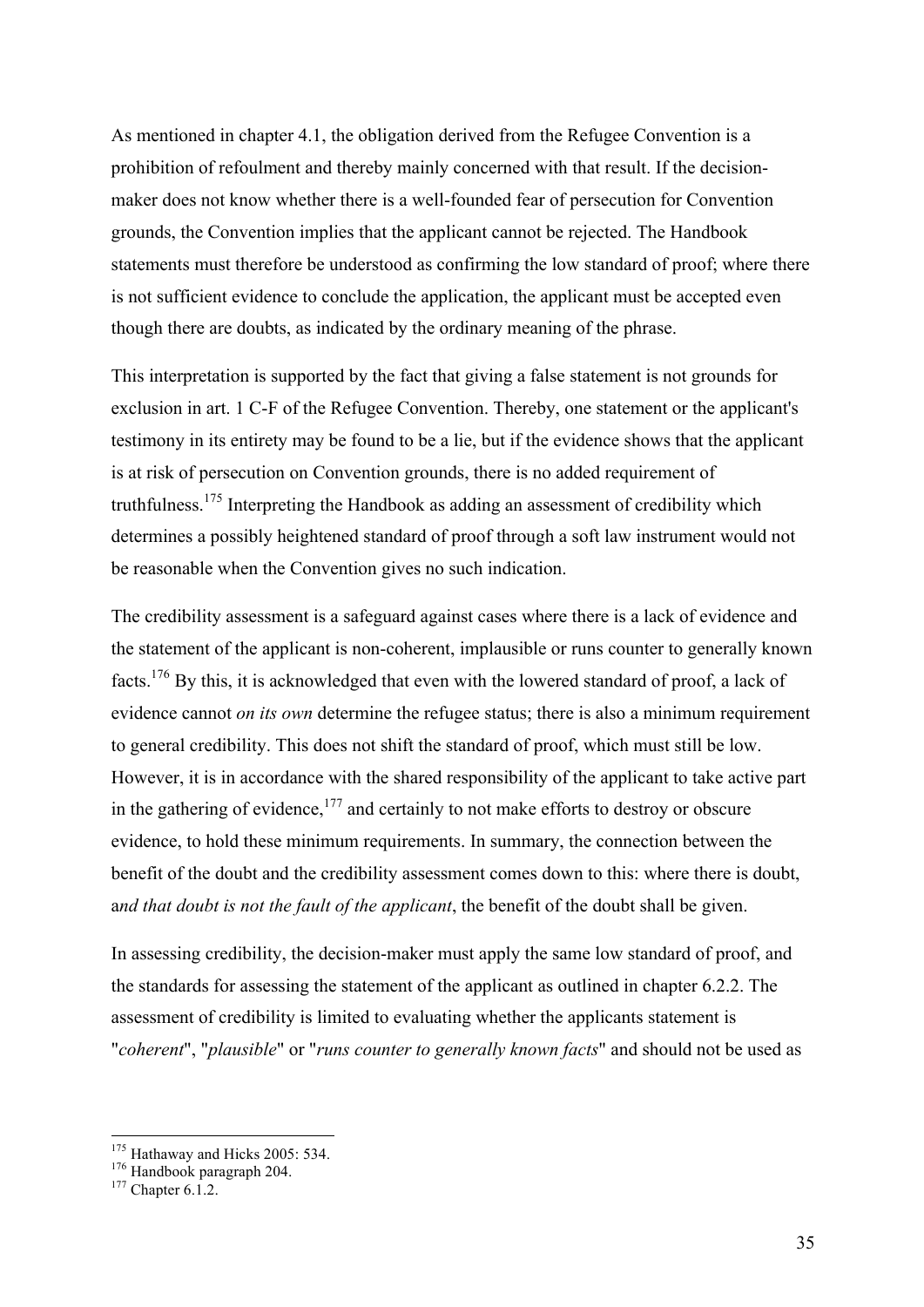As mentioned in chapter 4.1, the obligation derived from the Refugee Convention is a prohibition of refoulment and thereby mainly concerned with that result. If the decisionmaker does not know whether there is a well-founded fear of persecution for Convention grounds, the Convention implies that the applicant cannot be rejected. The Handbook statements must therefore be understood as confirming the low standard of proof; where there is not sufficient evidence to conclude the application, the applicant must be accepted even though there are doubts, as indicated by the ordinary meaning of the phrase.

This interpretation is supported by the fact that giving a false statement is not grounds for exclusion in art. 1 C-F of the Refugee Convention. Thereby, one statement or the applicant's testimony in its entirety may be found to be a lie, but if the evidence shows that the applicant is at risk of persecution on Convention grounds, there is no added requirement of truthfulness.<sup>175</sup> Interpreting the Handbook as adding an assessment of credibility which determines a possibly heightened standard of proof through a soft law instrument would not be reasonable when the Convention gives no such indication.

The credibility assessment is a safeguard against cases where there is a lack of evidence and the statement of the applicant is non-coherent, implausible or runs counter to generally known facts.<sup>176</sup> By this, it is acknowledged that even with the lowered standard of proof, a lack of evidence cannot *on its own* determine the refugee status; there is also a minimum requirement to general credibility. This does not shift the standard of proof, which must still be low. However, it is in accordance with the shared responsibility of the applicant to take active part in the gathering of evidence,<sup>177</sup> and certainly to not make efforts to destroy or obscure evidence, to hold these minimum requirements. In summary, the connection between the benefit of the doubt and the credibility assessment comes down to this: where there is doubt, a*nd that doubt is not the fault of the applicant*, the benefit of the doubt shall be given.

In assessing credibility, the decision-maker must apply the same low standard of proof, and the standards for assessing the statement of the applicant as outlined in chapter 6.2.2. The assessment of credibility is limited to evaluating whether the applicants statement is "*coherent*", "*plausible*" or "*runs counter to generally known facts*" and should not be used as

<sup>&</sup>lt;sup>175</sup> Hathaway and Hicks 2005: 534.<br><sup>176</sup> Handbook paragraph 204.<br><sup>177</sup> Chapter 6.1.2.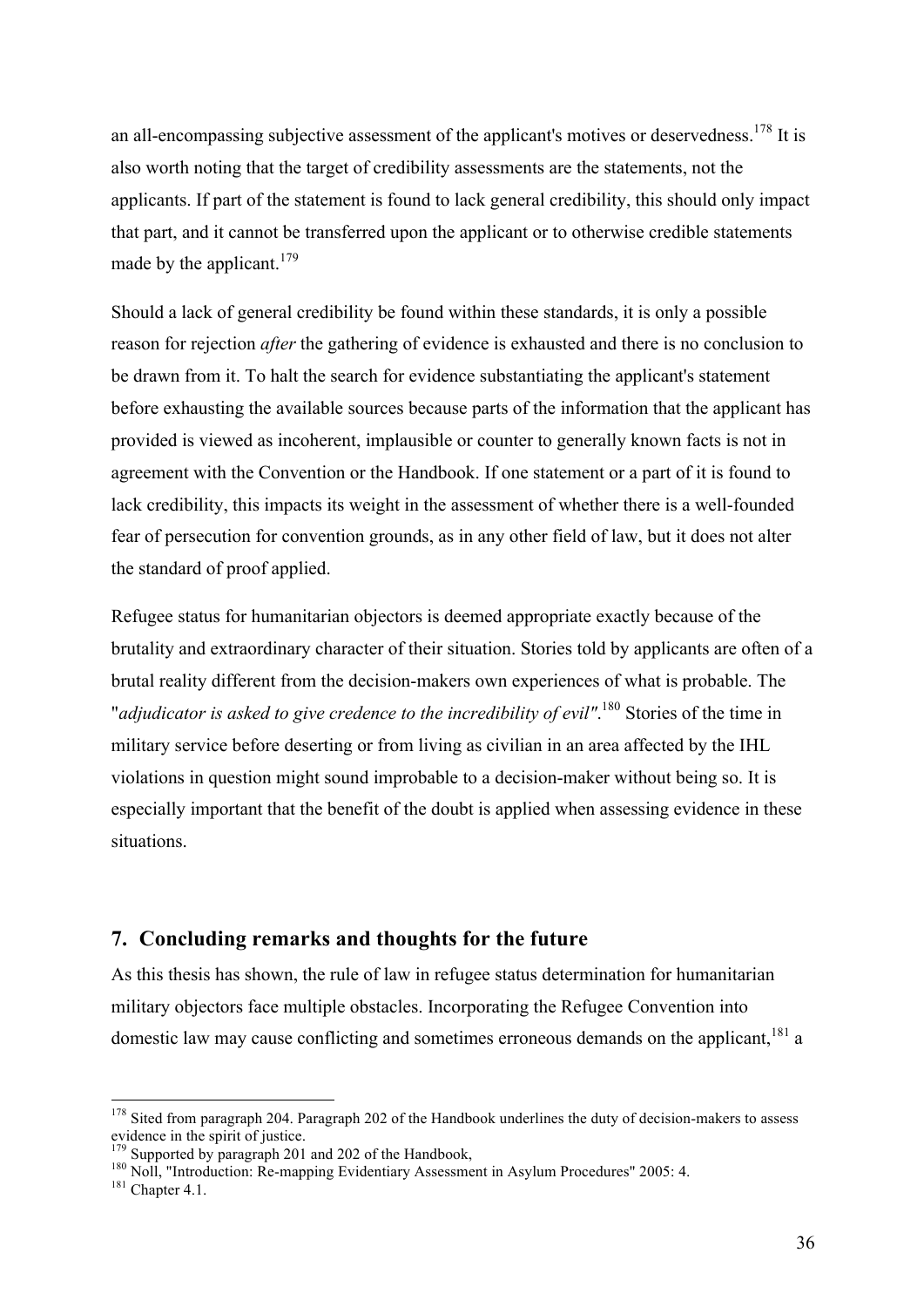an all-encompassing subjective assessment of the applicant's motives or deservedness.<sup>178</sup> It is also worth noting that the target of credibility assessments are the statements, not the applicants. If part of the statement is found to lack general credibility, this should only impact that part, and it cannot be transferred upon the applicant or to otherwise credible statements made by the applicant.<sup>179</sup>

Should a lack of general credibility be found within these standards, it is only a possible reason for rejection *after* the gathering of evidence is exhausted and there is no conclusion to be drawn from it. To halt the search for evidence substantiating the applicant's statement before exhausting the available sources because parts of the information that the applicant has provided is viewed as incoherent, implausible or counter to generally known facts is not in agreement with the Convention or the Handbook. If one statement or a part of it is found to lack credibility, this impacts its weight in the assessment of whether there is a well-founded fear of persecution for convention grounds, as in any other field of law, but it does not alter the standard of proof applied.

Refugee status for humanitarian objectors is deemed appropriate exactly because of the brutality and extraordinary character of their situation. Stories told by applicants are often of a brutal reality different from the decision-makers own experiences of what is probable. The "*adjudicator is asked to give credence to the incredibility of evil"*. <sup>180</sup> Stories of the time in military service before deserting or from living as civilian in an area affected by the IHL violations in question might sound improbable to a decision-maker without being so. It is especially important that the benefit of the doubt is applied when assessing evidence in these situations.

#### **7. Concluding remarks and thoughts for the future**

As this thesis has shown, the rule of law in refugee status determination for humanitarian military objectors face multiple obstacles. Incorporating the Refugee Convention into domestic law may cause conflicting and sometimes erroneous demands on the applicant,<sup>181</sup> a

<sup>&</sup>lt;sup>178</sup> Sited from paragraph 204. Paragraph 202 of the Handbook underlines the duty of decision-makers to assess evidence in the spirit of justice.<br><sup>179</sup> Supported by paragraph 201 and 202 of the Handbook,

<sup>&</sup>lt;sup>180</sup> Noll, "Introduction: Re-mapping Evidentiary Assessment in Asylum Procedures" 2005: 4.<br><sup>181</sup> Chapter 4.1.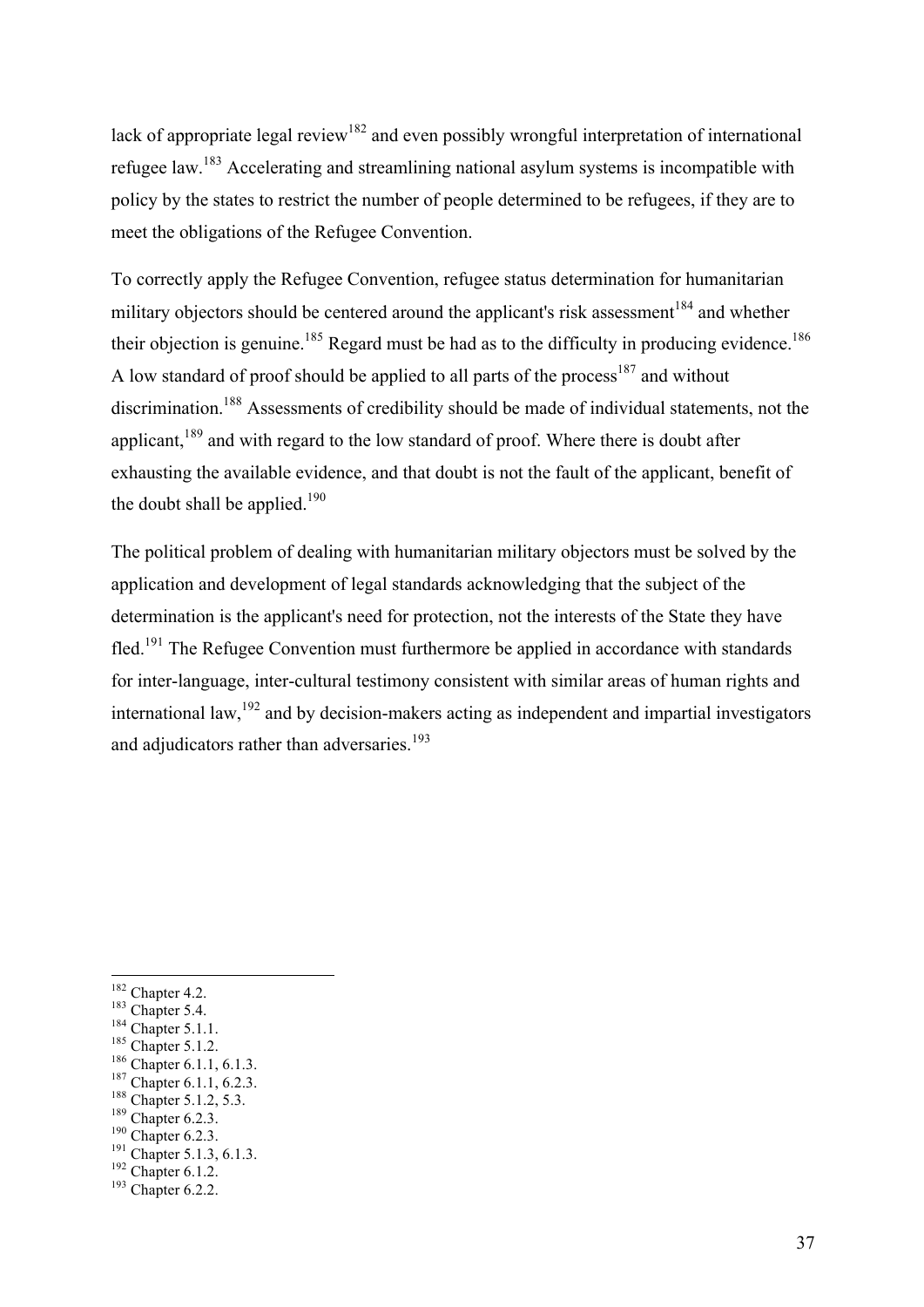lack of appropriate legal review<sup>182</sup> and even possibly wrongful interpretation of international refugee law.<sup>183</sup> Accelerating and streamlining national asylum systems is incompatible with policy by the states to restrict the number of people determined to be refugees, if they are to meet the obligations of the Refugee Convention.

To correctly apply the Refugee Convention, refugee status determination for humanitarian military objectors should be centered around the applicant's risk assessment<sup>184</sup> and whether their objection is genuine.<sup>185</sup> Regard must be had as to the difficulty in producing evidence.<sup>186</sup> A low standard of proof should be applied to all parts of the process<sup>187</sup> and without discrimination.<sup>188</sup> Assessments of credibility should be made of individual statements, not the applicant,<sup>189</sup> and with regard to the low standard of proof. Where there is doubt after exhausting the available evidence, and that doubt is not the fault of the applicant, benefit of the doubt shall be applied. $190$ 

The political problem of dealing with humanitarian military objectors must be solved by the application and development of legal standards acknowledging that the subject of the determination is the applicant's need for protection, not the interests of the State they have fled.<sup>191</sup> The Refugee Convention must furthermore be applied in accordance with standards for inter-language, inter-cultural testimony consistent with similar areas of human rights and international law,<sup>192</sup> and by decision-makers acting as independent and impartial investigators and adjudicators rather than adversaries.<sup>193</sup>

- 
- 
- 
- 
- 
- <sup>182</sup> Chapter 4.2.<br>
<sup>183</sup> Chapter 5.4.<br>
<sup>184</sup> Chapter 5.1.1.<br>
<sup>185</sup> Chapter 5.1.2.<br>
<sup>186</sup> Chapter 6.1.1, 6.1.3.<br>
<sup>187</sup> Chapter 6.1.1, 6.2.3.<br>
<sup>188</sup> Chapter 5.1.2, 5.3.<br>
<sup>190</sup> Chapter 6.2.3.<br>
<sup>191</sup> Chapter 5.1.3, 6.1.3.<br>
<sup>1</sup>
-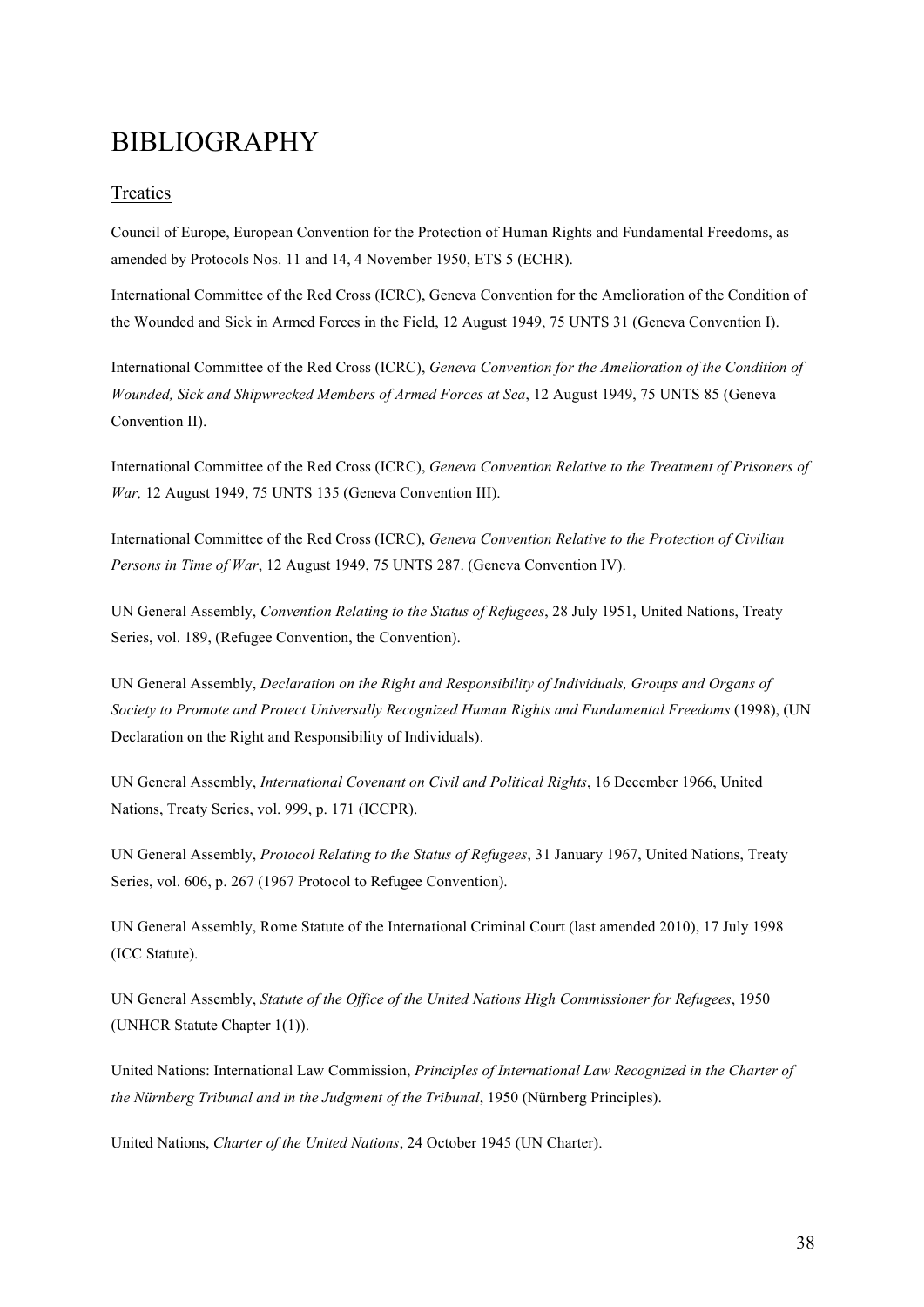### BIBLIOGRAPHY

#### Treaties

Council of Europe, European Convention for the Protection of Human Rights and Fundamental Freedoms, as amended by Protocols Nos. 11 and 14, 4 November 1950, ETS 5 (ECHR).

International Committee of the Red Cross (ICRC), Geneva Convention for the Amelioration of the Condition of the Wounded and Sick in Armed Forces in the Field, 12 August 1949, 75 UNTS 31 (Geneva Convention I).

International Committee of the Red Cross (ICRC), *Geneva Convention for the Amelioration of the Condition of Wounded, Sick and Shipwrecked Members of Armed Forces at Sea*, 12 August 1949, 75 UNTS 85 (Geneva Convention II).

International Committee of the Red Cross (ICRC), *Geneva Convention Relative to the Treatment of Prisoners of War,* 12 August 1949, 75 UNTS 135 (Geneva Convention III).

International Committee of the Red Cross (ICRC), *Geneva Convention Relative to the Protection of Civilian Persons in Time of War*, 12 August 1949, 75 UNTS 287. (Geneva Convention IV).

UN General Assembly, *Convention Relating to the Status of Refugees*, 28 July 1951, United Nations, Treaty Series, vol. 189, (Refugee Convention, the Convention).

UN General Assembly, *Declaration on the Right and Responsibility of Individuals, Groups and Organs of Society to Promote and Protect Universally Recognized Human Rights and Fundamental Freedoms* (1998), (UN Declaration on the Right and Responsibility of Individuals).

UN General Assembly, *International Covenant on Civil and Political Rights*, 16 December 1966, United Nations, Treaty Series, vol. 999, p. 171 (ICCPR).

UN General Assembly, *Protocol Relating to the Status of Refugees*, 31 January 1967, United Nations, Treaty Series, vol. 606, p. 267 (1967 Protocol to Refugee Convention).

UN General Assembly, Rome Statute of the International Criminal Court (last amended 2010), 17 July 1998 (ICC Statute).

UN General Assembly, *Statute of the Office of the United Nations High Commissioner for Refugees*, 1950 (UNHCR Statute Chapter 1(1)).

United Nations: International Law Commission, *Principles of International Law Recognized in the Charter of the Nürnberg Tribunal and in the Judgment of the Tribunal*, 1950 (Nürnberg Principles).

United Nations, *Charter of the United Nations*, 24 October 1945 (UN Charter).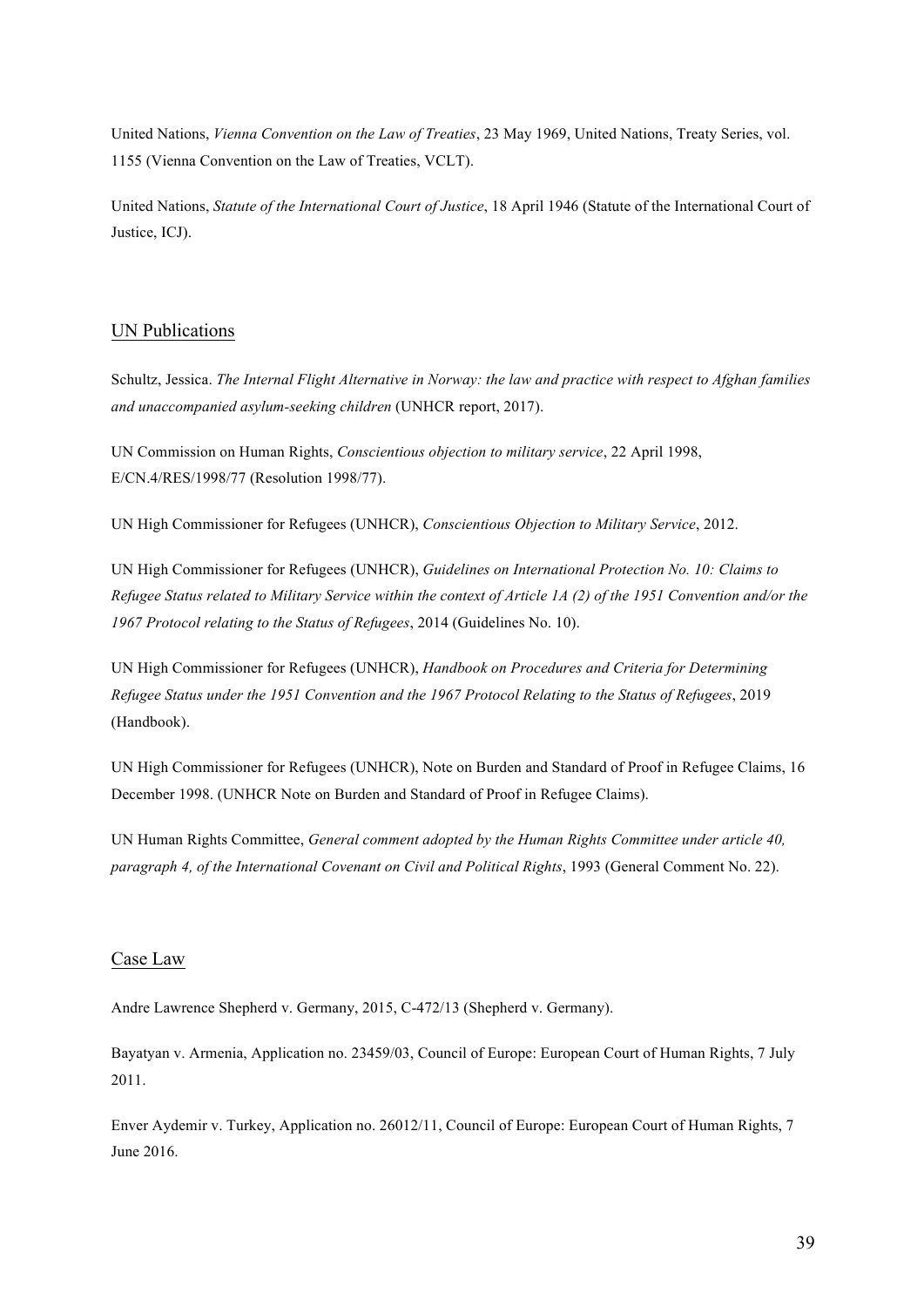United Nations, *Vienna Convention on the Law of Treaties*, 23 May 1969, United Nations, Treaty Series, vol. 1155 (Vienna Convention on the Law of Treaties, VCLT).

United Nations, *Statute of the International Court of Justice*, 18 April 1946 (Statute of the International Court of Justice, ICJ).

#### UN Publications

Schultz, Jessica. *The Internal Flight Alternative in Norway: the law and practice with respect to Afghan families and unaccompanied asylum-seeking children* (UNHCR report, 2017).

UN Commission on Human Rights, *Conscientious objection to military service*, 22 April 1998, E/CN.4/RES/1998/77 (Resolution 1998/77).

UN High Commissioner for Refugees (UNHCR), *Conscientious Objection to Military Service*, 2012.

UN High Commissioner for Refugees (UNHCR), *Guidelines on International Protection No. 10: Claims to Refugee Status related to Military Service within the context of Article 1A (2) of the 1951 Convention and/or the 1967 Protocol relating to the Status of Refugees*, 2014 (Guidelines No. 10).

UN High Commissioner for Refugees (UNHCR), *Handbook on Procedures and Criteria for Determining Refugee Status under the 1951 Convention and the 1967 Protocol Relating to the Status of Refugees*, 2019 (Handbook).

UN High Commissioner for Refugees (UNHCR), Note on Burden and Standard of Proof in Refugee Claims, 16 December 1998. (UNHCR Note on Burden and Standard of Proof in Refugee Claims).

UN Human Rights Committee, *General comment adopted by the Human Rights Committee under article 40, paragraph 4, of the International Covenant on Civil and Political Rights*, 1993 (General Comment No. 22).

#### Case Law

Andre Lawrence Shepherd v. Germany, 2015, C-472/13 (Shepherd v. Germany).

Bayatyan v. Armenia, Application no. 23459/03, Council of Europe: European Court of Human Rights, 7 July 2011.

Enver Aydemir v. Turkey, Application no. 26012/11, Council of Europe: European Court of Human Rights, 7 June 2016.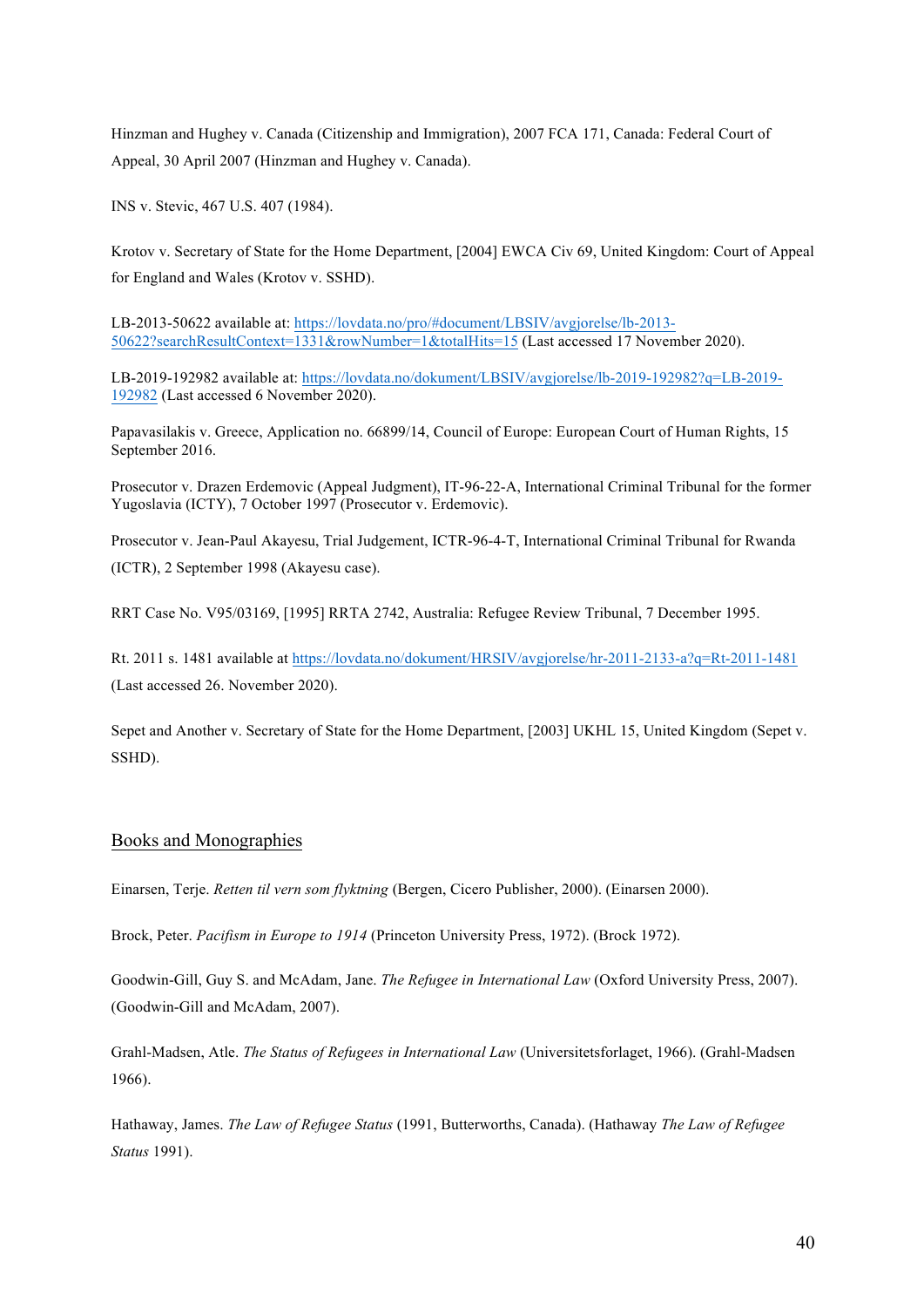Hinzman and Hughey v. Canada (Citizenship and Immigration), 2007 FCA 171, Canada: Federal Court of Appeal, 30 April 2007 (Hinzman and Hughey v. Canada).

INS v. Stevic, 467 U.S. 407 (1984).

Krotov v. Secretary of State for the Home Department, [2004] EWCA Civ 69, United Kingdom: Court of Appeal for England and Wales (Krotov v. SSHD).

LB-2013-50622 available at: https://lovdata.no/pro/#document/LBSIV/avgjorelse/lb-2013- 50622?searchResultContext=1331&rowNumber=1&totalHits=15 (Last accessed 17 November 2020).

LB-2019-192982 available at: https://lovdata.no/dokument/LBSIV/avgjorelse/lb-2019-192982?q=LB-2019- 192982 (Last accessed 6 November 2020).

Papavasilakis v. Greece, Application no. 66899/14, Council of Europe: European Court of Human Rights, 15 September 2016.

Prosecutor v. Drazen Erdemovic (Appeal Judgment), IT-96-22-A, International Criminal Tribunal for the former Yugoslavia (ICTY), 7 October 1997 (Prosecutor v. Erdemovic).

Prosecutor v. Jean-Paul Akayesu, Trial Judgement, ICTR-96-4-T, International Criminal Tribunal for Rwanda (ICTR), 2 September 1998 (Akayesu case).

RRT Case No. V95/03169, [1995] RRTA 2742, Australia: Refugee Review Tribunal, 7 December 1995.

Rt. 2011 s. 1481 available at https://lovdata.no/dokument/HRSIV/avgjorelse/hr-2011-2133-a?q=Rt-2011-1481 (Last accessed 26. November 2020).

Sepet and Another v. Secretary of State for the Home Department, [2003] UKHL 15, United Kingdom (Sepet v. SSHD).

#### Books and Monographies

Einarsen, Terje. *Retten til vern som flyktning* (Bergen, Cicero Publisher, 2000). (Einarsen 2000).

Brock, Peter. *Pacifism in Europe to 1914* (Princeton University Press, 1972). (Brock 1972).

Goodwin-Gill, Guy S. and McAdam, Jane. *The Refugee in International Law* (Oxford University Press, 2007). (Goodwin-Gill and McAdam, 2007).

Grahl-Madsen, Atle. *The Status of Refugees in International Law* (Universitetsforlaget, 1966). (Grahl-Madsen 1966).

Hathaway, James. *The Law of Refugee Status* (1991, Butterworths, Canada). (Hathaway *The Law of Refugee Status* 1991).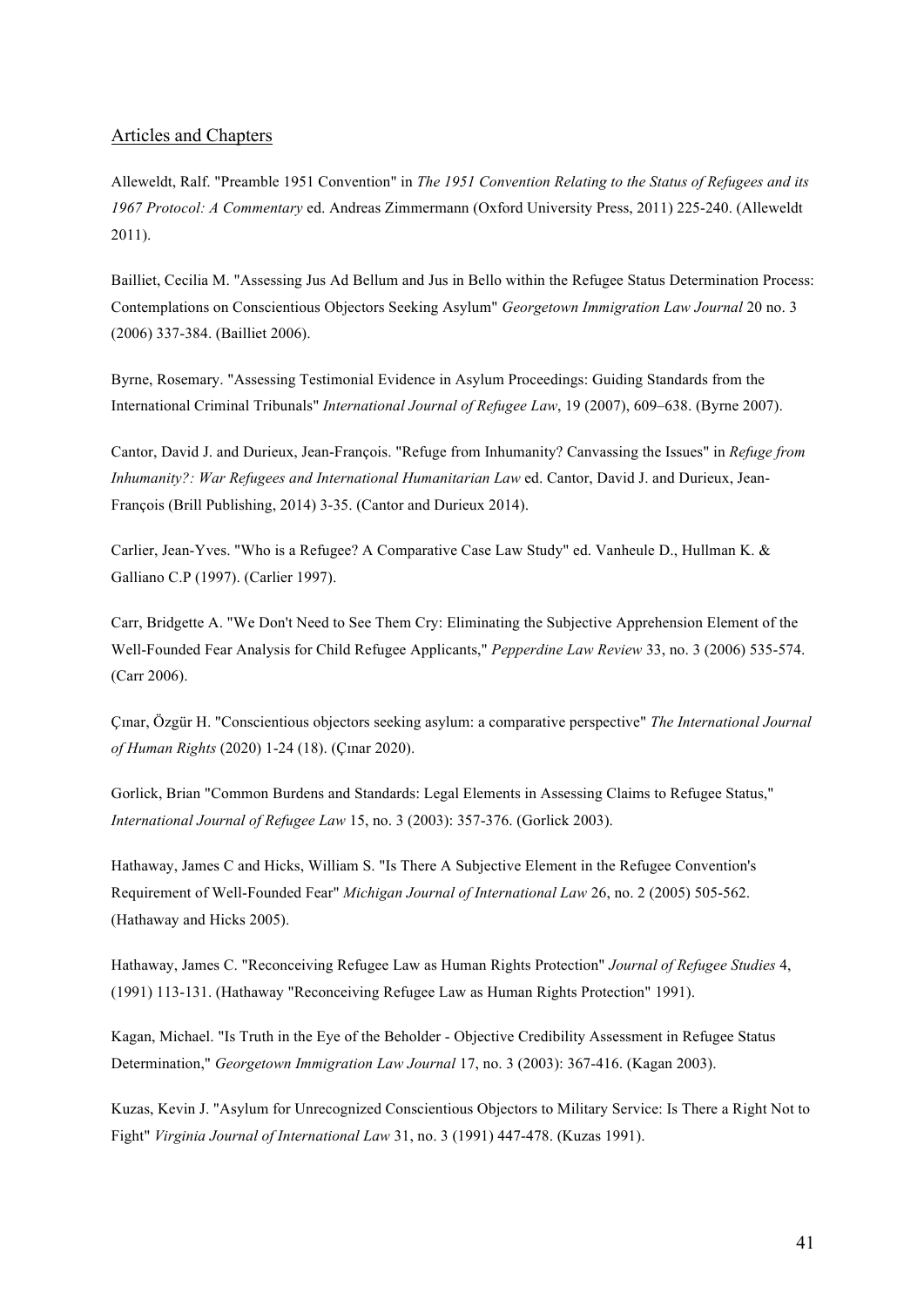#### Articles and Chapters

Alleweldt, Ralf. "Preamble 1951 Convention" in *The 1951 Convention Relating to the Status of Refugees and its 1967 Protocol: A Commentary* ed. Andreas Zimmermann (Oxford University Press, 2011) 225-240. (Alleweldt 2011).

Bailliet, Cecilia M. "Assessing Jus Ad Bellum and Jus in Bello within the Refugee Status Determination Process: Contemplations on Conscientious Objectors Seeking Asylum" *Georgetown Immigration Law Journal* 20 no. 3 (2006) 337-384. (Bailliet 2006).

Byrne, Rosemary. "Assessing Testimonial Evidence in Asylum Proceedings: Guiding Standards from the International Criminal Tribunals" *International Journal of Refugee Law*, 19 (2007), 609–638. (Byrne 2007).

Cantor, David J. and Durieux, Jean-François. "Refuge from Inhumanity? Canvassing the Issues" in *Refuge from Inhumanity?: War Refugees and International Humanitarian Law* ed. Cantor, David J. and Durieux, Jean-François (Brill Publishing, 2014) 3-35. (Cantor and Durieux 2014).

Carlier, Jean-Yves. "Who is a Refugee? A Comparative Case Law Study" ed. Vanheule D., Hullman K. & Galliano C.P (1997). (Carlier 1997).

Carr, Bridgette A. "We Don't Need to See Them Cry: Eliminating the Subjective Apprehension Element of the Well-Founded Fear Analysis for Child Refugee Applicants," *Pepperdine Law Review* 33, no. 3 (2006) 535-574. (Carr 2006).

Çɪnar, Özgür H. "Conscientious objectors seeking asylum: a comparative perspective" *The International Journal of Human Rights* (2020) 1-24 (18). (Çɪnar 2020).

Gorlick, Brian "Common Burdens and Standards: Legal Elements in Assessing Claims to Refugee Status," *International Journal of Refugee Law* 15, no. 3 (2003): 357-376. (Gorlick 2003).

Hathaway, James C and Hicks, William S. "Is There A Subjective Element in the Refugee Convention's Requirement of Well-Founded Fear" *Michigan Journal of International Law* 26, no. 2 (2005) 505-562. (Hathaway and Hicks 2005).

Hathaway, James C. "Reconceiving Refugee Law as Human Rights Protection" *Journal of Refugee Studies* 4, (1991) 113-131. (Hathaway "Reconceiving Refugee Law as Human Rights Protection" 1991).

Kagan, Michael. "Is Truth in the Eye of the Beholder - Objective Credibility Assessment in Refugee Status Determination," *Georgetown Immigration Law Journal* 17, no. 3 (2003): 367-416. (Kagan 2003).

Kuzas, Kevin J. "Asylum for Unrecognized Conscientious Objectors to Military Service: Is There a Right Not to Fight" *Virginia Journal of International Law* 31, no. 3 (1991) 447-478. (Kuzas 1991).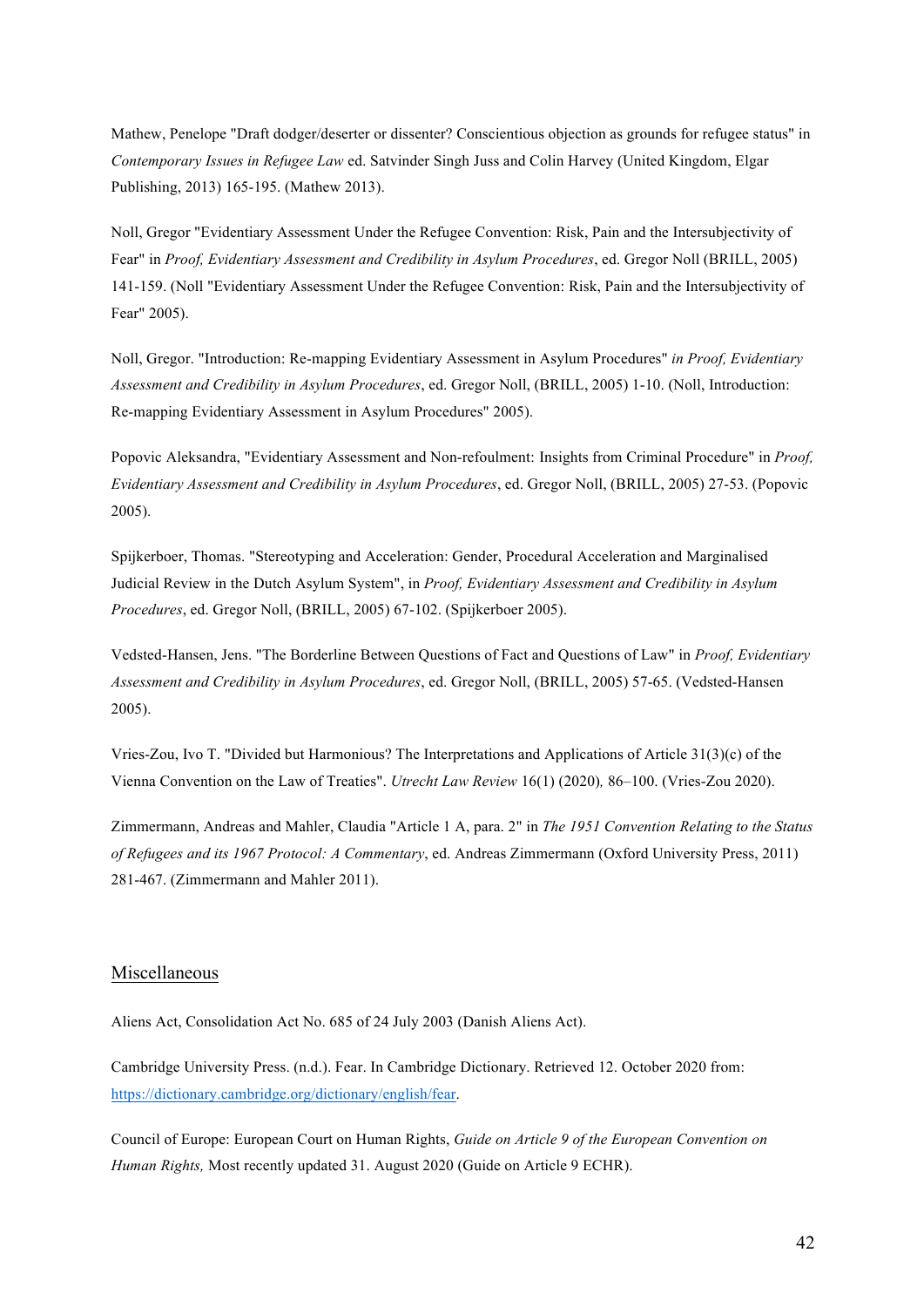Mathew, Penelope "Draft dodger/deserter or dissenter? Conscientious objection as grounds for refugee status" in *Contemporary Issues in Refugee Law* ed. Satvinder Singh Juss and Colin Harvey (United Kingdom, Elgar Publishing, 2013) 165-195. (Mathew 2013).

Noll, Gregor "Evidentiary Assessment Under the Refugee Convention: Risk, Pain and the Intersubjectivity of Fear" in *Proof, Evidentiary Assessment and Credibility in Asylum Procedures*, ed. Gregor Noll (BRILL, 2005) 141-159. (Noll "Evidentiary Assessment Under the Refugee Convention: Risk, Pain and the Intersubjectivity of Fear" 2005).

Noll, Gregor. "Introduction: Re-mapping Evidentiary Assessment in Asylum Procedures" *in Proof, Evidentiary Assessment and Credibility in Asylum Procedures*, ed. Gregor Noll, (BRILL, 2005) 1-10. (Noll, Introduction: Re-mapping Evidentiary Assessment in Asylum Procedures" 2005).

Popovic Aleksandra, "Evidentiary Assessment and Non-refoulment: Insights from Criminal Procedure" in *Proof, Evidentiary Assessment and Credibility in Asylum Procedures*, ed. Gregor Noll, (BRILL, 2005) 27-53. (Popovic 2005).

Spijkerboer, Thomas. "Stereotyping and Acceleration: Gender, Procedural Acceleration and Marginalised Judicial Review in the Dutch Asylum System", in *Proof, Evidentiary Assessment and Credibility in Asylum Procedures*, ed. Gregor Noll, (BRILL, 2005) 67-102. (Spijkerboer 2005).

Vedsted-Hansen, Jens. "The Borderline Between Questions of Fact and Questions of Law" in *Proof, Evidentiary Assessment and Credibility in Asylum Procedures*, ed. Gregor Noll, (BRILL, 2005) 57-65. (Vedsted-Hansen 2005).

Vries-Zou, Ivo T. "Divided but Harmonious? The Interpretations and Applications of Article 31(3)(c) of the Vienna Convention on the Law of Treaties". *Utrecht Law Review* 16(1) (2020)*,* 86–100. (Vries-Zou 2020).

Zimmermann, Andreas and Mahler, Claudia "Article 1 A, para. 2" in *The 1951 Convention Relating to the Status of Refugees and its 1967 Protocol: A Commentary*, ed. Andreas Zimmermann (Oxford University Press, 2011) 281-467. (Zimmermann and Mahler 2011).

#### Miscellaneous

Aliens Act, Consolidation Act No. 685 of 24 July 2003 (Danish Aliens Act).

Cambridge University Press. (n.d.). Fear. In Cambridge Dictionary. Retrieved 12. October 2020 from: https://dictionary.cambridge.org/dictionary/english/fear.

Council of Europe: European Court on Human Rights, *Guide on Article 9 of the European Convention on Human Rights,* Most recently updated 31. August 2020 (Guide on Article 9 ECHR).